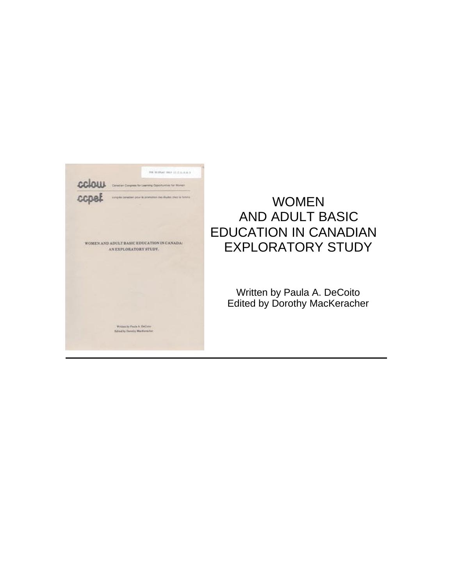

# WOMEN AND ADULT BASIC EDUCATION IN CANADIAN EXPLORATORY STUDY

Written by Paula A. DeCoito Edited by Dorothy MacKeracher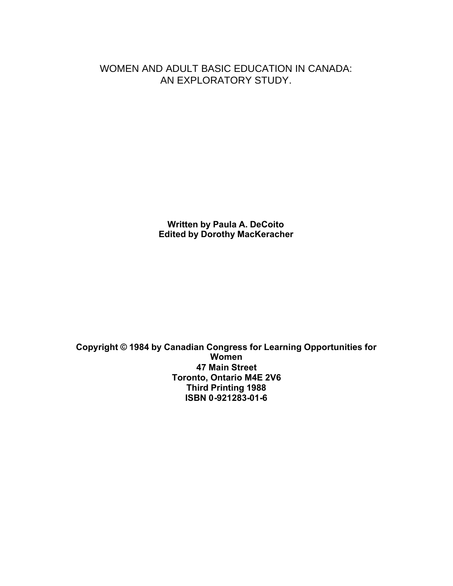WOMEN AND ADULT BASIC EDUCATION IN CANADA: AN EXPLORATORY STUDY.

> **Written by Paula A. DeCoito Edited by Dorothy MacKeracher**

**Copyright © 1984 by Canadian Congress for Learning Opportunities for Women 47 Main Street Toronto, Ontario M4E 2V6 Third Printing 1988 ISBN 0-921283-01-6**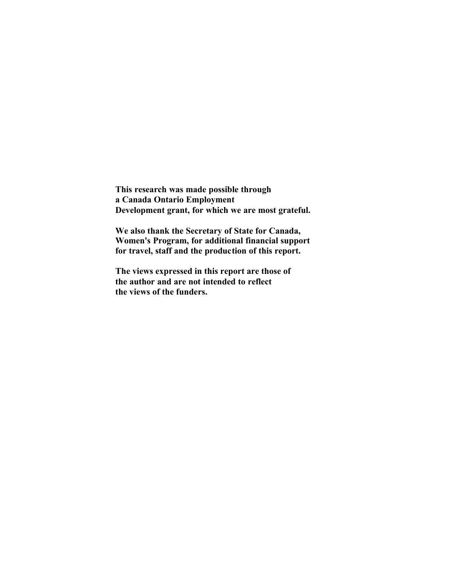**This research was made possible through a Canada Ontario Employment Development grant, for which we are most grateful.** 

**We also thank the Secretary of State for Canada, Women's Program, for additional financial support for travel, staff and the production of this report.**

**The views expressed in this report are those of the author and are not intended to reflect the views of the funders.**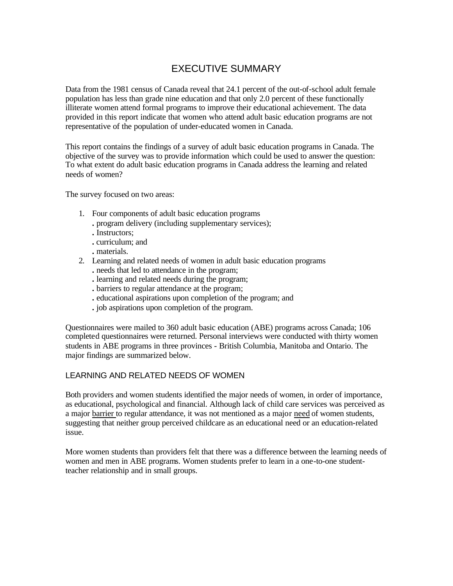## EXECUTIVE SUMMARY

Data from the 1981 census of Canada reveal that 24.1 percent of the out-of-school adult female population has less than grade nine education and that only 2.0 percent of these functionally illiterate women attend formal programs to improve their educational achievement. The data provided in this report indicate that women who attend adult basic education programs are not representative of the population of under-educated women in Canada.

This report contains the findings of a survey of adult basic education programs in Canada. The objective of the survey was to provide information which could be used to answer the question: To what extent do adult basic education programs in Canada address the learning and related needs of women?

The survey focused on two areas:

- 1. Four components of adult basic education programs
	- **.** program delivery (including supplementary services);
	- **.** Instructors;
	- **.** curriculum; and
	- **.** materials.
- 2. Learning and related needs of women in adult basic education programs
	- **.** needs that led to attendance in the program;
	- **.** learning and related needs during the program;
	- **.** barriers to regular attendance at the program;
	- **.** educational aspirations upon completion of the program; and
	- **.** job aspirations upon completion of the program.

Questionnaires were mailed to 360 adult basic education (ABE) programs across Canada; 106 completed questionnaires were returned. Personal interviews were conducted with thirty women students in ABE programs in three provinces - British Columbia, Manitoba and Ontario. The major findings are summarized below.

#### LEARNING AND RELATED NEEDS OF WOMEN

Both providers and women students identified the major needs of women, in order of importance, as educational, psychological and financial. Although lack of child care services was perceived as a major barrier to regular attendance, it was not mentioned as a major need of women students, suggesting that neither group perceived childcare as an educational need or an education-related issue.

More women students than providers felt that there was a difference between the learning needs of women and men in ABE programs. Women students prefer to learn in a one-to-one studentteacher relationship and in small groups.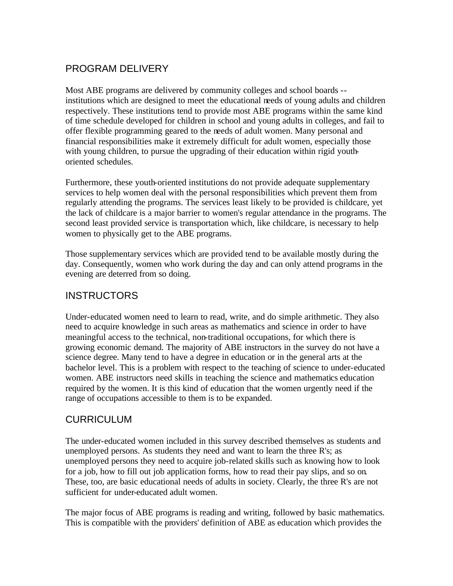## PROGRAM DELIVERY

Most ABE programs are delivered by community colleges and school boards - institutions which are designed to meet the educational needs of young adults and children respectively. These institutions tend to provide most ABE programs within the same kind of time schedule developed for children in school and young adults in colleges, and fail to offer flexible programming geared to the needs of adult women. Many personal and financial responsibilities make it extremely difficult for adult women, especially those with young children, to pursue the upgrading of their education within rigid youthoriented schedules.

Furthermore, these youth-oriented institutions do not provide adequate supplementary services to help women deal with the personal responsibilities which prevent them from regularly attending the programs. The services least likely to be provided is childcare, yet the lack of childcare is a major barrier to women's regular attendance in the programs. The second least provided service is transportation which, like childcare, is necessary to help women to physically get to the ABE programs.

Those supplementary services which are provided tend to be available mostly during the day. Consequently, women who work during the day and can only attend programs in the evening are deterred from so doing.

## **INSTRUCTORS**

Under-educated women need to learn to read, write, and do simple arithmetic. They also need to acquire knowledge in such areas as mathematics and science in order to have meaningful access to the technical, non-traditional occupations, for which there is growing economic demand. The majority of ABE instructors in the survey do not have a science degree. Many tend to have a degree in education or in the general arts at the bachelor level. This is a problem with respect to the teaching of science to under-educated women. ABE instructors need skills in teaching the science and mathematics education required by the women. It is this kind of education that the women urgently need if the range of occupations accessible to them is to be expanded.

## **CURRICULUM**

The under-educated women included in this survey described themselves as students and unemployed persons. As students they need and want to learn the three R's; as unemployed persons they need to acquire job-related skills such as knowing how to look for a job, how to fill out job application forms, how to read their pay slips, and so on. These, too, are basic educational needs of adults in society. Clearly, the three R's are not sufficient for under-educated adult women.

The major focus of ABE programs is reading and writing, followed by basic mathematics. This is compatible with the providers' definition of ABE as education which provides the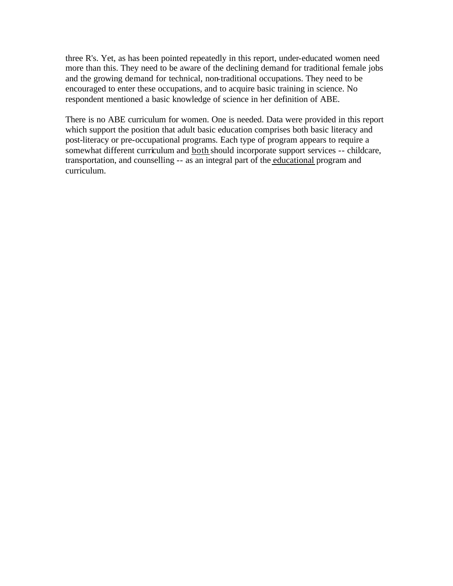three R's. Yet, as has been pointed repeatedly in this report, under-educated women need more than this. They need to be aware of the declining demand for traditional female jobs and the growing demand for technical, non-traditional occupations. They need to be encouraged to enter these occupations, and to acquire basic training in science. No respondent mentioned a basic knowledge of science in her definition of ABE.

There is no ABE curriculum for women. One is needed. Data were provided in this report which support the position that adult basic education comprises both basic literacy and post-literacy or pre-occupational programs. Each type of program appears to require a somewhat different curriculum and both should incorporate support services -- childcare, transportation, and counselling -- as an integral part of the educational program and curriculum.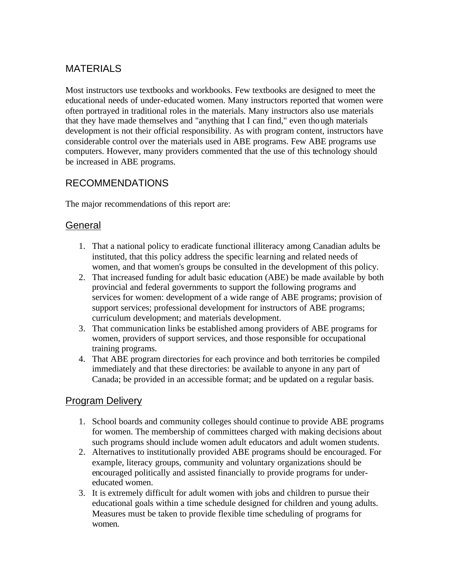## **MATERIALS**

Most instructors use textbooks and workbooks. Few textbooks are designed to meet the educational needs of under-educated women. Many instructors reported that women were often portrayed in traditional roles in the materials. Many instructors also use materials that they have made themselves and "anything that I can find," even though materials development is not their official responsibility. As with program content, instructors have considerable control over the materials used in ABE programs. Few ABE programs use computers. However, many providers commented that the use of this technology should be increased in ABE programs.

## RECOMMENDATIONS

The major recommendations of this report are:

## **General**

- 1. That a national policy to eradicate functional illiteracy among Canadian adults be instituted, that this policy address the specific learning and related needs of women, and that women's groups be consulted in the development of this policy.
- 2. That increased funding for adult basic education (ABE) be made available by both provincial and federal governments to support the following programs and services for women: development of a wide range of ABE programs; provision of support services; professional development for instructors of ABE programs; curriculum development; and materials development.
- 3. That communication links be established among providers of ABE programs for women, providers of support services, and those responsible for occupational training programs.
- 4. That ABE program directories for each province and both territories be compiled immediately and that these directories: be available to anyone in any part of Canada; be provided in an accessible format; and be updated on a regular basis.

## Program Delivery

- 1. School boards and community colleges should continue to provide ABE programs for women. The membership of committees charged with making decisions about such programs should include women adult educators and adult women students.
- 2. Alternatives to institutionally provided ABE programs should be encouraged. For example, literacy groups, community and voluntary organizations should be encouraged politically and assisted financially to provide programs for undereducated women.
- 3. It is extremely difficult for adult women with jobs and children to pursue their educational goals within a time schedule designed for children and young adults. Measures must be taken to provide flexible time scheduling of programs for women.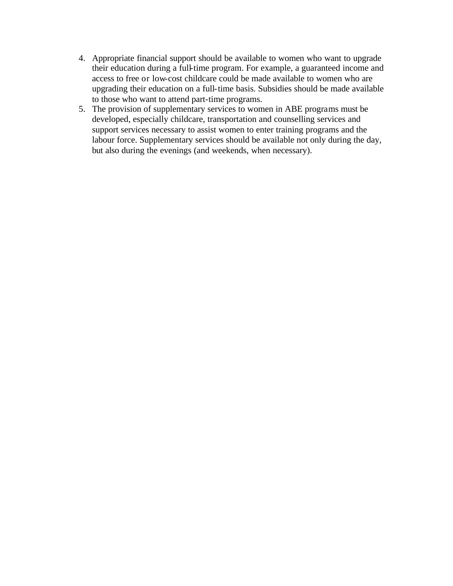- 4. Appropriate financial support should be available to women who want to upgrade their education during a full-time program. For example, a guaranteed income and access to free or low-cost childcare could be made available to women who are upgrading their education on a full-time basis. Subsidies should be made available to those who want to attend part-time programs.
- 5. The provision of supplementary services to women in ABE programs must be developed, especially childcare, transportation and counselling services and support services necessary to assist women to enter training programs and the labour force. Supplementary services should be available not only during the day, but also during the evenings (and weekends, when necessary).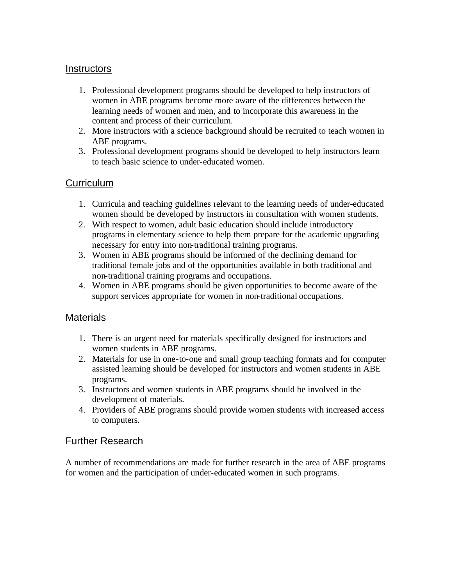### **Instructors**

- 1. Professional development programs should be developed to help instructors of women in ABE programs become more aware of the differences between the learning needs of women and men, and to incorporate this awareness in the content and process of their curriculum.
- 2. More instructors with a science background should be recruited to teach women in ABE programs.
- 3. Professional development programs should be developed to help instructors learn to teach basic science to under-educated women.

## **Curriculum**

- 1. Curricula and teaching guidelines relevant to the learning needs of under-educated women should be developed by instructors in consultation with women students.
- 2. With respect to women, adult basic education should include introductory programs in elementary science to help them prepare for the academic upgrading necessary for entry into non-traditional training programs.
- 3. Women in ABE programs should be informed of the declining demand for traditional female jobs and of the opportunities available in both traditional and non-traditional training programs and occupations.
- 4. Women in ABE programs should be given opportunities to become aware of the support services appropriate for women in non-traditional occupations.

### **Materials**

- 1. There is an urgent need for materials specifically designed for instructors and women students in ABE programs.
- 2. Materials for use in one-to-one and small group teaching formats and for computer assisted learning should be developed for instructors and women students in ABE programs.
- 3. Instructors and women students in ABE programs should be involved in the development of materials.
- 4. Providers of ABE programs should provide women students with increased access to computers.

### Further Research

A number of recommendations are made for further research in the area of ABE programs for women and the participation of under-educated women in such programs.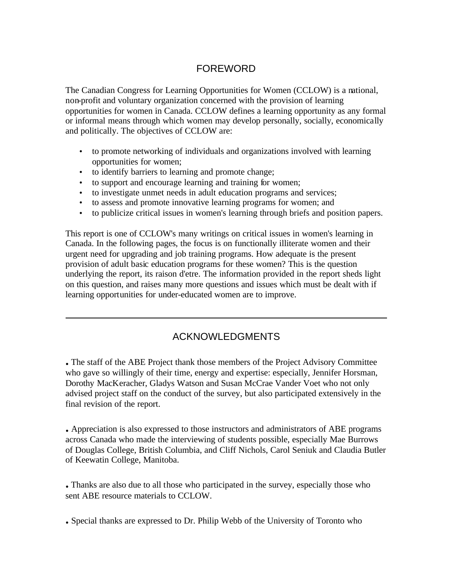## FOREWORD

The Canadian Congress for Learning Opportunities for Women (CCLOW) is a national, non-profit and voluntary organization concerned with the provision of learning opportunities for women in Canada. CCLOW defines a learning opportunity as any formal or informal means through which women may develop personally, socially, economically and politically. The objectives of CCLOW are:

- to promote networking of individuals and organizations involved with learning opportunities for women;
- to identify barriers to learning and promote change;
- to support and encourage learning and training for women;
- to investigate unmet needs in adult education programs and services;
- to assess and promote innovative learning programs for women; and
- to publicize critical issues in women's learning through briefs and position papers.

This report is one of CCLOW's many writings on critical issues in women's learning in Canada. In the following pages, the focus is on functionally illiterate women and their urgent need for upgrading and job training programs. How adequate is the present provision of adult basic education programs for these women? This is the question underlying the report, its raison d'etre. The information provided in the report sheds light on this question, and raises many more questions and issues which must be dealt with if learning opportunities for under-educated women are to improve.

## ACKNOWLEDGMENTS

**.** The staff of the ABE Project thank those members of the Project Advisory Committee who gave so willingly of their time, energy and expertise: especially, Jennifer Horsman, Dorothy MacKeracher, Gladys Watson and Susan McCrae Vander Voet who not only advised project staff on the conduct of the survey, but also participated extensively in the final revision of the report.

**.** Appreciation is also expressed to those instructors and administrators of ABE programs across Canada who made the interviewing of students possible, especially Mae Burrows of Douglas College, British Columbia, and Cliff Nichols, Carol Seniuk and Claudia Butler of Keewatin College, Manitoba.

**.** Thanks are also due to all those who participated in the survey, especially those who sent ABE resource materials to CCLOW.

**.** Special thanks are expressed to Dr. Philip Webb of the University of Toronto who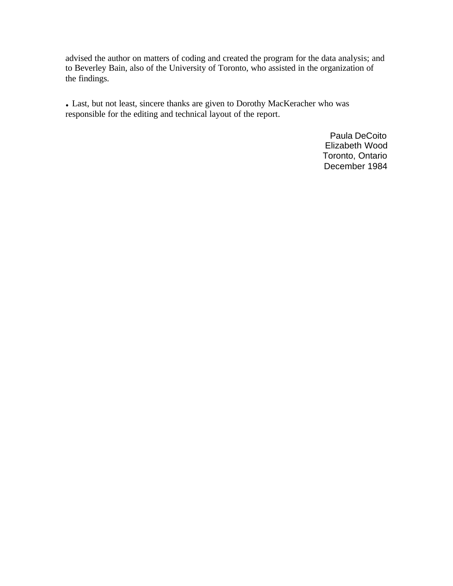advised the author on matters of coding and created the program for the data analysis; and to Beverley Bain, also of the University of Toronto, who assisted in the organization of the findings.

**.** Last, but not least, sincere thanks are given to Dorothy MacKeracher who was responsible for the editing and technical layout of the report.

> Paula DeCoito Elizabeth Wood Toronto, Ontario December 1984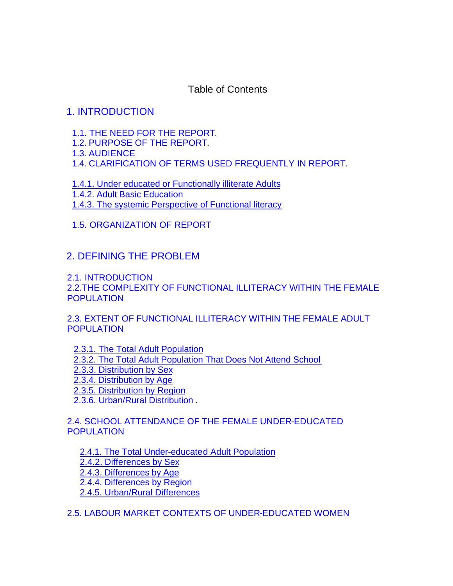Table of Contents

## [1. INTRODUCTION](#page-17-0)

- [1.1. THE NEED FOR THE REPORT.](#page-17-0)
- 1.2. [PURPOSE OF THE REPORT.](#page-18-0)
- 1.3[. AUDIENCE](#page-18-0)
- 1.4[. CLARIFICATION OF TERMS USED FREQUENTLY IN REPORT](#page-19-0).

[1.4.1. Under educated or Functionally illiterate Adults](#page-19-0) [1.4.2. Adult Basic Education](#page-20-0) [1.4.3. The systemic Perspective of Functional literacy](#page-20-0) 

## [1.5. ORGANIZATION OF REPORT](#page-21-0)

## [2. DEFINING THE PROBLEM](#page-21-0)

[2.1. INTRODUCTION](#page-21-0) [2.2.THE COMPLEXITY OF FUNCTIONAL ILLITERACY WITHIN THE FEMALE](#page-22-0)  [POPULATION](#page-22-0)

[2.3. EXTENT OF FUNCTIONAL ILLITERACY WITHIN THE FEMALE ADULT](#page-23-0)  POPULATION

[2.3.1. The Total Adult Population](#page-23-0)  [2.3.2. The Total Adult Population That Does Not Attend School](#page-23-0) [2.3.3. Distribution by Sex](#page-24-0) [2.3.4. Distribution by Age](#page-24-0) [2.3.5. Distribution by Region](#page-24-0)  [2.3.6. Urban/Rural Distribution .](#page-24-0)

[2.4. SCHOOL ATTENDANCE OF THE FEMALE UNDER-EDUCATED](#page-25-0)  **POPULATION** 

[2.4.1. The Total Under-educated Adult Population](#page-25-0)  [2.4.2. Differences by Sex](#page-25-0) [2.4.3. Differences by Age](#page-25-0) [2.4.4. Differences by Region](#page-26-0) [2.4.5. Urban/Rural Differences](#page-26-0) 

[2.5. LABOUR MARKET CONTEXTS OF UNDER-EDUCATED WOMEN](#page-26-0)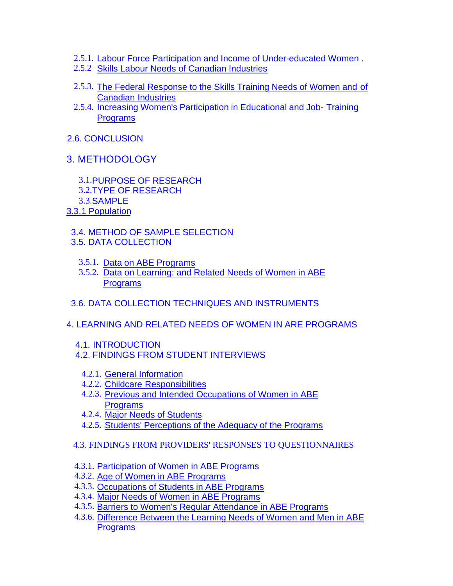- 2.5.1. [Labour Force Participation and Income of Under-educated Women](#page-26-0) .
- 2.5.2 [Skills Labour Needs of Canadian Industries](#page-29-0)
- 2.5.3. [The Federal Response to the Skills Training Needs of Women and](#page-30-0) of Canadian Industries
- 2.5.4. [Increasing Women's Participation in Educational and Job- Training](#page-33-0)  Programs
- [2.6. CONCLUSION](#page-34-0)
- [3. METHODOLOGY](#page-50-0)

3.1.[PURPOSE OF RESEARCH](#page-50-0)  3.2.[TYPE OF RESEARCH](#page-50-0) 3.3.[SAMPLE](#page-51-0) [3.3.1 Population](#page-51-0)

 [3.4. METHOD OF SAMPLE SELECTION](#page-51-0) [3.5. DATA COLLECTION](#page-52-0) 

- 3.5.1. [Data on ABE Programs](#page-52-0)
- 3.5.2. [Data on Learning: and Related Needs of Women in ABE](#page-53-0)  Programs
- [3.6. DATA COLLECTION TECHNIQUES AND INSTRUMENTS](#page-53-0)
- 4[. LEARNING AND RELATED NEEDS OF WOMEN IN ARE PROGRAMS](#page-54-0)
	- [4.1. INTRODUCTION](#page-54-0)
	- [4.2. FINDINGS FROM STUDENT INTERVIEWS](#page-55-0)
		- 4.2.1. [General Information](#page-55-0)
		- 4.2.2. [Childcare Responsibilities](#page-57-0)
		- 4.2.3. [Previous and Intended Occupations of Women in ABE](#page-58-0)  **Programs**
		- 4.2.4. [Major Needs of Students](#page-58-0)
		- 4.2.5. Students' Perceptions of the Adequacy of the Programs
	- [4.3. FINDINGS FROM PROVIDERS' RESPONSES TO QUESTIONNAIRES](#page-63-0)
	- 4.3.1. [Participation of Women in ABE Programs](#page-63-0)
	- 4.3.2. [Age of Women in ABE Programs](#page-64-0)
	- 4.3.3. [Occupations of Students in ABE Programs](#page-64-0)
	- 4.3.4. [Major Needs of Women in ABE Programs](#page-65-0)
	- 4.3.5. [Barriers to Women's Regular Attendance in ABE Programs](#page-66-0)
	- 4.3.6. [Difference Between the Learning Needs of Women and Men in ABE](#page-68-0)  Programs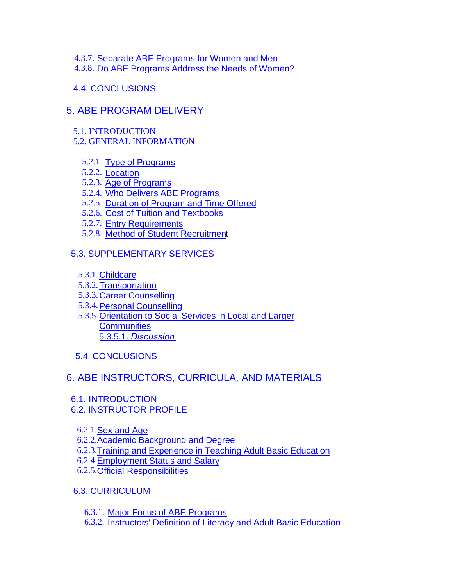- 4.3.7. [Separate ABE Programs for Women and Men](#page-68-0)
- 4.3.8. [Do ABE Programs Address the Needs of Women?](#page-68-0)
- [4.4. CONCLUSIONS](#page-69-0)

## [5. ABE PROGRAM DELIVERY](#page-70-0)

- [5.1. INTRODUCTION](#page-70-0)
- [5.2. GENERAL INFORMATION](#page-70-0)
	- 5.2.1. [Type of Programs](#page-70-0)
	- 5.2.2. [Location](#page-70-0)
	- 5.2.3. [Age of Programs](#page-70-0)
	- 5.2.4. [Who Delivers ABE Programs](#page-71-0)
	- 5.2.5. [Duration of Program and Time Offered](#page-72-0)
	- 5.2.6. [Cost of Tuition and Textbooks](#page-73-0)
	- 5.2.7. [Entry Requirements](#page-73-0)
	- 5.2.8. [Method of Student Recruitment](#page-74-0)

## [5.3. SUPPLEMENTARY SERVICES](#page-75-0)

- 5.3.1.[Childcare](#page-76-0)
- 5.3.2.[Transportation](#page-76-0)
- 5.3.3.[Career Counselling](#page-76-0)
- 5.3.4.[Personal Counselling](#page-77-0)
- 5.3.5.[Orientation to Social Services in Local and Larger](#page-77-0)  **Communities** [5.3.5.1.](#page-77-0) *Discussion*
- [5.4. CONCLUSIONS](#page-79-0)

## [6. ABE INSTRUCTORS, CURRICULA, AND MATERIALS](#page-79-0)

- [6.1. INTRODUCTION](#page-79-0)
- [6.2. INSTRUCTOR PROFILE](#page-80-0) 
	- 6.2.1.[Sex and Age](#page-79-0)
	- 6.2.2.[Academic Background and Degree](#page-80-0)
	- 6.2.3.[Training and Experience in Teaching Adult Basic Education](#page-81-0)
	- 6.2.4.[Employment Status and Salary](#page-82-0)
	- 6.2.5.[Official Responsibilities](#page-83-0)
- [6.3. CURRICULUM](#page-84-0)
	- 6.3.1. [Major Focus of ABE Programs](#page-84-0)
	- 6.3.2. [Instructors' Definition of Literacy and Adult Basic Education](#page-85-0)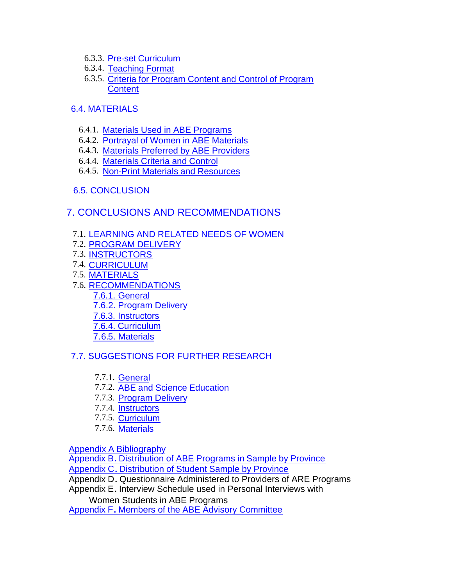- 6.3.3. [Pre-set Curriculum](#page-86-0)
- 6.3.4. [Teaching Format](#page-87-0)
- 6.3.5. [Criteria for Program Content and Control of Program](#page-88-0)  **Content**

### [6.4. MATERIALS](#page-90-0)

- 6.4.1. [Materials Used in ABE Programs](#page-89-0)
- 6.4.2. [Portrayal of Women in ABE Materials](#page-90-0)
- 6.4.3. [Materials Preferred by ABE Providers](#page-91-0)
- 6.4.4. [Materials Criteria and Control](#page-92-0)
- 6.4.5. [Non-Print Materials and Resources](#page-92-0)

### [6.5. CONCLUSION](#page-92-0)

## [7. CONCLUSIONS AND RECOMMENDATIONS](#page-93-0)

- 7.1. [LEARNING AND RELATED NEEDS OF WOMEN](#page-93-0)
- 7.2. [PROGRAM DELIVERY](#page-94-0)
- 7.3. [INSTRUCTORS](#page-94-0)
- 7.4. [CURRICULUM](#page-94-0)
- 7.5. [MATERIALS](#page-95-0)
- 7.6. [RECOMMENDATIONS](#page-95-0)
	- [7.6.1. General](#page-95-0)
	- [7.6.2. Program Delivery](#page-96-0)
	- [7.6.3. Instructors](#page-97-0)
	- [7.6.4. Curriculum](#page-97-0)
	- [7.6.5. Materials](#page-97-0)

### [7.7. SUGGESTIONS FOR FURTHER RESEARCH](#page-98-0)

- 7.7.1. [General](#page-97-0)
- 7.7.2. [ABE and Science Education](#page-98-0)
- 7.7.3. [Program Delivery](#page-98-0)
- 7.7.4. [Instructors](#page-98-0)
- 7.7.5. [Curriculum](#page-98-0)
- 7.7.6. [Materials](#page-98-0)

[Appendix A Bibliography](#page-99-0)

Appendix B**.** [Distribution of ABE Programs in](#page-101-0) Sample by Province Appendix C**.** [Distribution of Student Sample by Province](#page-101-0)

Appendix D**.** Questionnaire Administered to Providers of ARE Programs Appendix E**.** Interview Schedule used in Personal Interviews with

Women Students in ABE Programs

Appendix F**.** [Members of the ABE Advisory Committee](#page-102-0)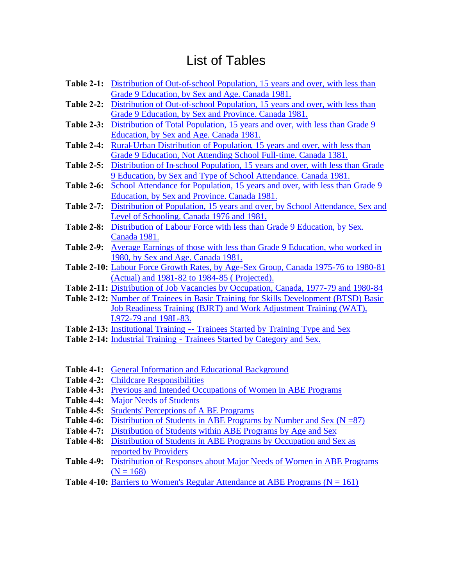# List of Tables

- **Table 2-1:** [Distribution of Out-of-school Population, 15 years and over, with less than](#page-35-0)  Grade 9 Education, by Sex and Age. Canada 1981.
- **Table 2-2:** [Distribution of Out-of-school Population, 15 years and over, with less than](#page-36-0)  Grade 9 Education, by Sex and Province. Canada 1981.
- **Table 2-3:** [Distribution of Total Population, 15 years and over, with less than Grade 9](#page-37-0)  Education, by Sex and Age. Canada 1981.
- **Table 2-4:** Rural-Urban Distribution of Population, 15 years and over, with less than [Grade 9 Education, Not Attending School Full-time. Canada 1381.](#page-38-0)
- **Table 2-5:** [Distribution of In-school Population, 15 years and over, with less than Grade](#page-39-0)  9 Education, by Sex and Type of School Attendance. Canada 1981.
- **Table 2-6:** [School Attendance for Population, 15 years and over, with less than Grade 9](#page-40-0)  Education, by Sex and Province. Canada 1981.
- **Table 2-7:** [Distribution of Population, 15 years and over, by School Attendance, Sex and](#page-42-0)  Level of Schooling. Canada 1976 and 1981.
- **Table 2-8:** [Distribution of Labour Force with less than Grade 9 Education, by Sex.](#page-45-0)  Canada 1981.
- **Table 2-9:** [Average Earnings of those with less than Grade 9 Education, who worked in](#page-45-0)  1980, by Sex and Age. Canada 1981.
- **Table 2-10:** [Labour Force Growth Rates, by Age-Sex Group, Canada 1975-76 to 1980-81](#page-46-0)  (Actual) and 1981-82 to 1984-85 ( Projected).
- **Table 2-11:** [Distribution of Job Vacancies by Occupation, Canada, 1977-79 and 1980-84](#page-47-0)
- **Table 2-12:** Number of Trainees in Basic Training for Skills Development (BTSD) Basic [Job Readiness Training \(BJRT\) and Work Adjustment Training \(WAT\),](#page-47-0)  L972-79 and 198L-83.
- **Table 2-13:** [Institutional Training -- Trainees Started by Training Type and Sex](#page-48-0)
- **Table 2-14:** [Industrial Training Trainees Started by Category and Sex.](#page-49-0)
- **Table 4-1:** [General Information and Educational Background](#page-55-0)
- **Table 4-2:** [Childcare Responsibilities](#page-58-0)
- **Table 4-3:** [Previous and Intended Occupations of Women in ABE Programs](#page-60-0)
- **Table 4-4:** [Major Needs of Students](#page-61-0)
- **Table 4-5:** [Students' Perceptions of A BE Programs](#page-62-0)
- **Table 4-6:** Distribution of Students in ABE Programs by Number and Sex (N = 87)
- **Table 4-7:** [Distribution of Students within ABE Programs by Age and Sex](#page-64-0)
- **Table 4-8:** [Distribution of Students in ABE Programs by Occupation and Sex as](#page-64-0)  reported by Providers
- **Table 4-9:** [Distribution of Responses about Major Needs of Women in ABE Programs](#page-65-0)   $(N = 168)$
- **Table 4-10:** Barriers to Women's Regular Attendance at ABE Programs  $(N = 161)$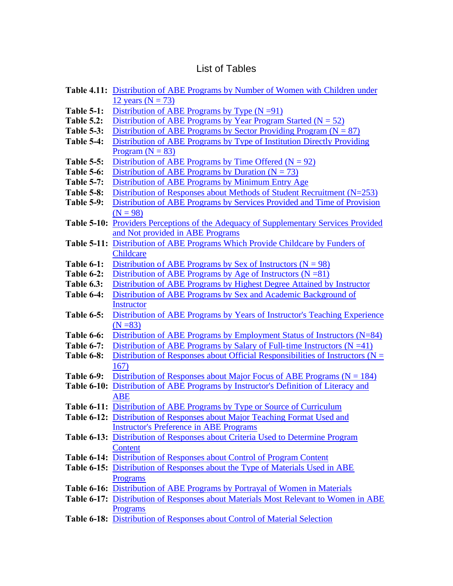## List of Tables

|                   | <b>Table 4.11:</b> Distribution of ABE Programs by Number of Women with Children under      |  |  |  |  |  |  |
|-------------------|---------------------------------------------------------------------------------------------|--|--|--|--|--|--|
|                   | 12 years ( $N = 73$ )                                                                       |  |  |  |  |  |  |
| <b>Table 5-1:</b> | Distribution of ABE Programs by Type $(N = 91)$                                             |  |  |  |  |  |  |
| <b>Table 5.2:</b> | Distribution of ABE Programs by Year Program Started ( $N = 52$ )                           |  |  |  |  |  |  |
| <b>Table 5-3:</b> | Distribution of ABE Programs by Sector Providing Program ( $N = 87$ )                       |  |  |  |  |  |  |
| Table 5-4:        | Distribution of ABE Programs by Type of Institution Directly Providing                      |  |  |  |  |  |  |
|                   | Program ( $N = 83$ )                                                                        |  |  |  |  |  |  |
| <b>Table 5-5:</b> | Distribution of ABE Programs by Time Offered ( $N = 92$ )                                   |  |  |  |  |  |  |
| Table 5-6:        | Distribution of ABE Programs by Duration ( $N = 73$ )                                       |  |  |  |  |  |  |
| <b>Table 5-7:</b> | Distribution of ABE Programs by Minimum Entry Age                                           |  |  |  |  |  |  |
| Table 5-8:        | Distribution of Responses about Methods of Student Recruitment (N=253)                      |  |  |  |  |  |  |
| <b>Table 5-9:</b> | Distribution of ABE Programs by Services Provided and Time of Provision                     |  |  |  |  |  |  |
|                   | $(N = 98)$                                                                                  |  |  |  |  |  |  |
|                   | <b>Table 5-10:</b> Providers Perceptions of the Adequacy of Supplementary Services Provided |  |  |  |  |  |  |
|                   | and Not provided in ABE Programs                                                            |  |  |  |  |  |  |
|                   | Table 5-11: Distribution of ABE Programs Which Provide Childcare by Funders of              |  |  |  |  |  |  |
|                   | Childcare                                                                                   |  |  |  |  |  |  |
| Table 6-1:        | Distribution of ABE Programs by Sex of Instructors ( $N = 98$ )                             |  |  |  |  |  |  |
| Table 6-2:        | Distribution of ABE Programs by Age of Instructors $(N = 81)$                               |  |  |  |  |  |  |
| <b>Table 6.3:</b> | Distribution of ABE Programs by Highest Degree Attained by Instructor                       |  |  |  |  |  |  |
| Table 6-4:        | Distribution of ABE Programs by Sex and Academic Background of                              |  |  |  |  |  |  |
|                   | <b>Instructor</b>                                                                           |  |  |  |  |  |  |
| Table 6-5:        | Distribution of ABE Programs by Years of Instructor's Teaching Experience                   |  |  |  |  |  |  |
|                   | $(N = 83)$                                                                                  |  |  |  |  |  |  |
| Table 6-6:        | Distribution of ABE Programs by Employment Status of Instructors (N=84)                     |  |  |  |  |  |  |
| <b>Table 6-7:</b> | Distribution of ABE Programs by Salary of Full-time Instructors $(N = 41)$                  |  |  |  |  |  |  |
| Table 6-8:        | Distribution of Responses about Official Responsibilities of Instructors ( $N =$            |  |  |  |  |  |  |
|                   | 167)                                                                                        |  |  |  |  |  |  |
| Table 6-9:        | Distribution of Responses about Major Focus of ABE Programs ( $N = 184$ )                   |  |  |  |  |  |  |
|                   | Table 6-10: Distribution of ABE Programs by Instructor's Definition of Literacy and         |  |  |  |  |  |  |
|                   | <b>ABE</b>                                                                                  |  |  |  |  |  |  |
|                   | Table 6-11: Distribution of ABE Programs by Type or Source of Curriculum                    |  |  |  |  |  |  |
|                   | Table 6-12: Distribution of Responses about Major Teaching Format Used and                  |  |  |  |  |  |  |
|                   | <b>Instructor's Preference in ABE Programs</b>                                              |  |  |  |  |  |  |
|                   | Table 6-13: Distribution of Responses about Criteria Used to Determine Program              |  |  |  |  |  |  |
|                   | Content                                                                                     |  |  |  |  |  |  |
|                   | Table 6-14: Distribution of Responses about Control of Program Content                      |  |  |  |  |  |  |
|                   | Table 6-15: Distribution of Responses about the Type of Materials Used in ABE               |  |  |  |  |  |  |
|                   | <b>Programs</b>                                                                             |  |  |  |  |  |  |
|                   | Table 6-16: Distribution of ABE Programs by Portrayal of Women in Materials                 |  |  |  |  |  |  |
|                   | Table 6-17: Distribution of Responses about Materials Most Relevant to Women in ABE         |  |  |  |  |  |  |
|                   | <b>Programs</b>                                                                             |  |  |  |  |  |  |
|                   | Table 6-18: Distribution of Responses about Control of Material Selection                   |  |  |  |  |  |  |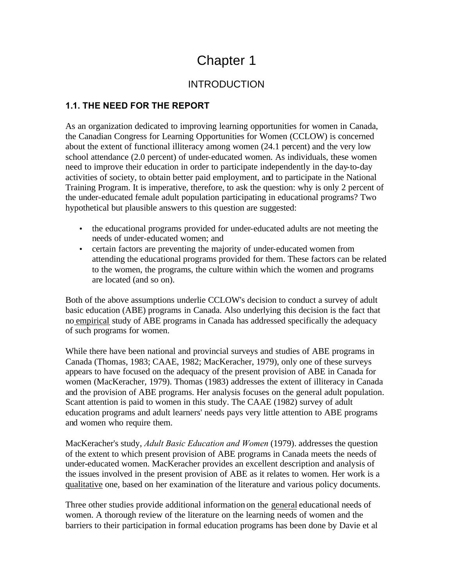# Chapter 1

## INTRODUCTION

## <span id="page-17-0"></span>**1.1. THE NEED FOR THE REPORT**

As an organization dedicated to improving learning opportunities for women in Canada, the Canadian Congress for Learning Opportunities for Women (CCLOW) is concerned about the extent of functional illiteracy among women (24.1 percent) and the very low school attendance (2.0 percent) of under-educated women. As individuals, these women need to improve their education in order to participate independently in the day-to-day activities of society, to obtain better paid employment, and to participate in the National Training Program. It is imperative, therefore, to ask the question: why is only 2 percent of the under-educated female adult population participating in educational programs? Two hypothetical but plausible answers to this question are suggested:

- the educational programs provided for under-educated adults are not meeting the needs of under-educated women; and
- certain factors are preventing the majority of under-educated women from attending the educational programs provided for them. These factors can be related to the women, the programs, the culture within which the women and programs are located (and so on).

Both of the above assumptions underlie CCLOW's decision to conduct a survey of adult basic education (ABE) programs in Canada. Also underlying this decision is the fact that no empirical study of ABE programs in Canada has addressed specifically the adequacy of such programs for women.

While there have been national and provincial surveys and studies of ABE programs in Canada (Thomas, 1983; CAAE, 1982; MacKeracher, 1979), only one of these surveys appears to have focused on the adequacy of the present provision of ABE in Canada for women (MacKeracher, 1979). Thomas (1983) addresses the extent of illiteracy in Canada and the provision of ABE programs. Her analysis focuses on the general adult population. Scant attention is paid to women in this study. The CAAE (1982) survey of adult education programs and adult learners' needs pays very little attention to ABE programs and women who require them.

MacKeracher's study, *Adult Basic Education and Women* (1979). addresses the question of the extent to which present provision of ABE programs in Canada meets the needs of under-educated women. MacKeracher provides an excellent description and analysis of the issues involved in the present provision of ABE as it relates to women. Her work is a qualitative one, based on her examination of the literature and various policy documents.

Three other studies provide additional information on the general educational needs of women. A thorough review of the literature on the learning needs of women and the barriers to their participation in formal education programs has been done by Davie et al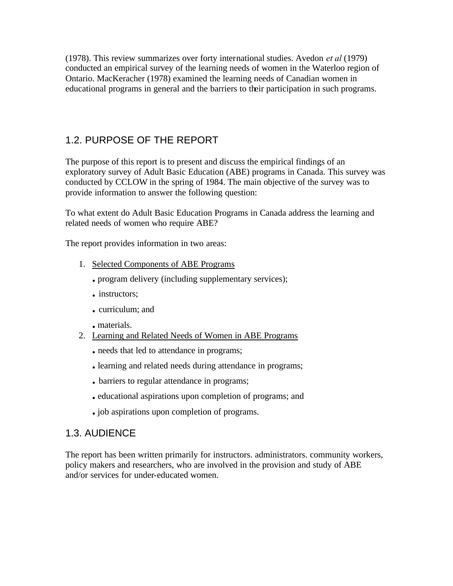<span id="page-18-0"></span>(1978). This review summarizes over forty international studies. Avedon *et al* (1979) conducted an empirical survey of the learning needs of women in the Waterloo region of Ontario. MacKeracher (1978) examined the learning needs of Canadian women in educational programs in general and the barriers to their participation in such programs.

## 1.2. PURPOSE OF THE REPORT

The purpose of this report is to present and discuss the empirical findings of an exploratory survey of Adult Basic Education (ABE) programs in Canada. This survey was conducted by CCLOW in the spring of 1984. The main objective of the survey was to provide information to answer the following question:

To what extent do Adult Basic Education Programs in Canada address the learning and related needs of women who require ABE?

The report provides information in two areas:

- 1. Selected Components of ABE Programs
	- **.** program delivery (including supplementary services);
	- **.** instructors;
	- **.** curriculum; and
	- **.** materials.
- 2. Learning and Related Needs of Women in ABE Programs
	- **.** needs that led to attendance in programs;
	- **.** learning and related needs during attendance in programs;
	- **.** barriers to regular attendance in programs;
	- **.** educational aspirations upon completion of programs; and
	- **.** job aspirations upon completion of programs.

### 1.3. AUDIENCE

The report has been written primarily for instructors. administrators. community workers, policy makers and researchers, who are involved in the provision and study of ABE and/or services for under-educated women.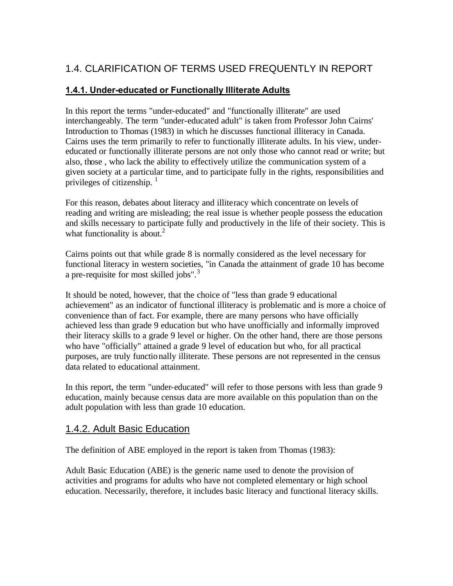# <span id="page-19-0"></span>1.4. CLARIFICATION OF TERMS USED FREQUENTLY IN REPORT

### **1.4.1. Under-educated or Functionally Illiterate Adults**

In this report the terms "under-educated" and "functionally illiterate" are used interchangeably. The term "under-educated adult" is taken from Professor John Cairns' Introduction to Thomas (1983) in which he discusses functional illiteracy in Canada. Cairns uses the term primarily to refer to functionally illiterate adults. In his view, undereducated or functionally illiterate persons are not only those who cannot read or write; but also, those , who lack the ability to effectively utilize the communication system of a given society at a particular time, and to participate fully in the rights, responsibilities and privileges of citizenship.  $\frac{1}{1}$ 

For this reason, debates about literacy and illiteracy which concentrate on levels of reading and writing are misleading; the real issue is whether people possess the education and skills necessary to participate fully and productively in the life of their society. This is what functionality is about.<sup>2</sup>

Cairns points out that while grade 8 is normally considered as the level necessary for functional literacy in western societies, "in Canada the attainment of grade 10 has become a pre-requisite for most skilled jobs".<sup>3</sup>

It should be noted, however, that the choice of "less than grade 9 educational achievement" as an indicator of functional illiteracy is problematic and is more a choice of convenience than of fact. For example, there are many persons who have officially achieved less than grade 9 education but who have unofficially and informally improved their literacy skills to a grade 9 level or higher. On the other hand, there are those persons who have "officially" attained a grade 9 level of education but who, for all practical purposes, are truly functionally illiterate. These persons are not represented in the census data related to educational attainment.

In this report, the term "under-educated" will refer to those persons with less than grade 9 education, mainly because census data are more available on this population than on the adult population with less than grade 10 education.

## 1.4.2. Adult Basic Education

The definition of ABE employed in the report is taken from Thomas (1983):

Adult Basic Education (ABE) is the generic name used to denote the provision of activities and programs for adults who have not completed elementary or high school education. Necessarily, therefore, it includes basic literacy and functional literacy skills.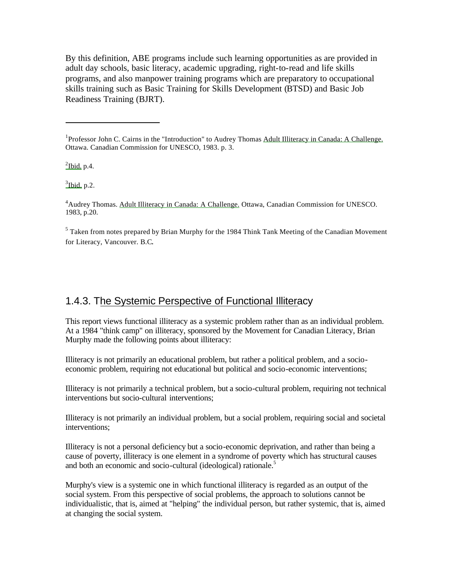<span id="page-20-0"></span>By this definition, ABE programs include such learning opportunities as are provided in adult day schools, basic literacy, academic upgrading, right-to-read and life skills programs, and also manpower training programs which are preparatory to occupational skills training such as Basic Training for Skills Development (BTSD) and Basic Job Readiness Training (BJRT).

 $\frac{2}{1}$ lbid. p.4.

 $\frac{3}{3}$ Ibid. p.2.

<sup>4</sup>Audrey Thomas. Adult Illiteracy in Canada: A Challenge. Ottawa, Canadian Commission for UNESCO. 1983, p.20.

<sup>5</sup> Taken from notes prepared by Brian Murphy for the 1984 Think Tank Meeting of the Canadian Movement for Literacy, Vancouver. B.C.

## 1.4.3. The Systemic Perspective of Functional Illiteracy

This report views functional illiteracy as a systemic problem rather than as an individual problem. At a 1984 "think camp" on illiteracy, sponsored by the Movement for Canadian Literacy, Brian Murphy made the following points about illiteracy:

Illiteracy is not primarily an educational problem, but rather a political problem, and a socioeconomic problem, requiring not educational but political and socio-economic interventions;

Illiteracy is not primarily a technical problem, but a socio-cultural problem, requiring not technical interventions but socio-cultural interventions;

Illiteracy is not primarily an individual problem, but a social problem, requiring social and societal interventions;

Illiteracy is not a personal deficiency but a socio-economic deprivation, and rather than being a cause of poverty, illiteracy is one element in a syndrome of poverty which has structural causes and both an economic and socio-cultural (ideological) rationale.<sup>5</sup>

Murphy's view is a systemic one in which functional illiteracy is regarded as an output of the social system. From this perspective of social problems, the approach to solutions cannot be individualistic, that is, aimed at "helping" the individual person, but rather systemic, that is, aimed at changing the social system.

<sup>&</sup>lt;sup>1</sup>Professor John C. Cairns in the "Introduction" to Audrey Thomas Adult Illiteracy in Canada: A Challenge. Ottawa. Canadian Commission for UNESCO, 1983. p. 3.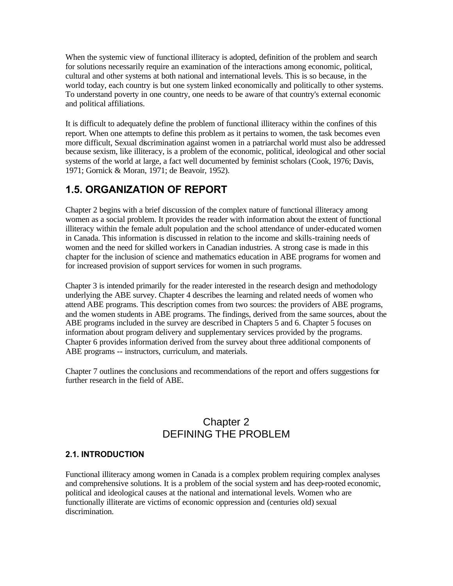<span id="page-21-0"></span>When the systemic view of functional illiteracy is adopted, definition of the problem and search for solutions necessarily require an examination of the interactions among economic, political, cultural and other systems at both national and international levels. This is so because, in the world today, each country is but one system linked economically and politically to other systems. To understand poverty in one country, one needs to be aware of that country's external economic and political affiliations.

It is difficult to adequately define the problem of functional illiteracy within the confines of this report. When one attempts to define this problem as it pertains to women, the task becomes even more difficult, Sexual discrimination against women in a patriarchal world must also be addressed because sexism, like illiteracy, is a problem of the economic, political, ideological and other social systems of the world at large, a fact well documented by feminist scholars (Cook, 1976; Davis, 1971; Gornick & Moran, 1971; de Beavoir, 1952).

## **1.5. ORGANIZATION OF REPORT**

Chapter 2 begins with a brief discussion of the complex nature of functional illiteracy among women as a social problem. It provides the reader with information about the extent of functional illiteracy within the female adult population and the school attendance of under-educated women in Canada. This information is discussed in relation to the income and skills-training needs of women and the need for skilled workers in Canadian industries. A strong case is made in this chapter for the inclusion of science and mathematics education in ABE programs for women and for increased provision of support services for women in such programs.

Chapter 3 is intended primarily for the reader interested in the research design and methodology underlying the ABE survey. Chapter 4 describes the learning and related needs of women who attend ABE programs. This description comes from two sources: the providers of ABE programs, and the women students in ABE programs. The findings, derived from the same sources, about the ABE programs included in the survey are described in Chapters 5 and 6. Chapter 5 focuses on information about program delivery and supplementary services provided by the programs. Chapter 6 provides information derived from the survey about three additional components of ABE programs -- instructors, curriculum, and materials.

Chapter 7 outlines the conclusions and recommendations of the report and offers suggestions for further research in the field of ABE.

## Chapter 2 DEFINING THE PROBLEM

#### **2.1. INTRODUCTION**

Functional illiteracy among women in Canada is a complex problem requiring complex analyses and comprehensive solutions. It is a problem of the social system and has deep-rooted economic, political and ideological causes at the national and international levels. Women who are functionally illiterate are victims of economic oppression and (centuries old) sexual discrimination.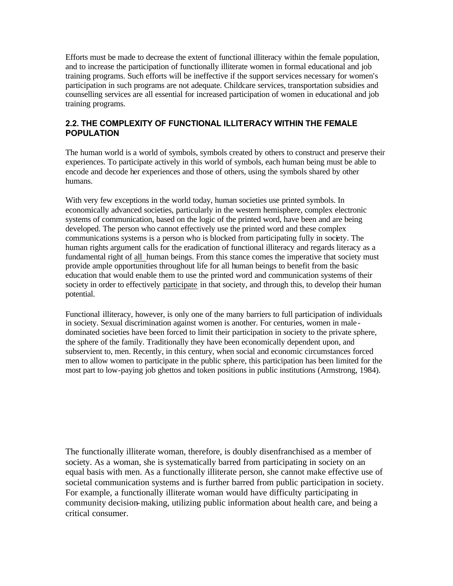<span id="page-22-0"></span>Efforts must be made to decrease the extent of functional illiteracy within the female population, and to increase the participation of functionally illiterate women in formal educational and job training programs. Such efforts will be ineffective if the support services necessary for women's participation in such programs are not adequate. Childcare services, transportation subsidies and counselling services are all essential for increased participation of women in educational and job training programs.

### **2.2. THE COMPLEXITY OF FUNCTIONAL ILLITERACY WITHIN THE FEMALE POPULATION**

The human world is a world of symbols, symbols created by others to construct and preserve their experiences. To participate actively in this world of symbols, each human being must be able to encode and decode her experiences and those of others, using the symbols shared by other humans.

With very few exceptions in the world today, human societies use printed symbols. In economically advanced societies, particularly in the western hemisphere, complex electronic systems of communication, based on the logic of the printed word, have been and are being developed. The person who cannot effectively use the printed word and these complex communications systems is a person who is blocked from participating fully in society. The human rights argument calls for the eradication of functional illiteracy and regards literacy as a fundamental right of all human beings. From this stance comes the imperative that society must provide ample opportunities throughout life for all human beings to benefit from the basic education that would enable them to use the printed word and communication systems of their society in order to effectively participate in that society, and through this, to develop their human potential.

Functional illiteracy, however, is only one of the many barriers to full participation of individuals in society. Sexual discrimination against women is another. For centuries, women in male dominated societies have been forced to limit their participation in society to the private sphere, the sphere of the family. Traditionally they have been economically dependent upon, and subservient to, men. Recently, in this century, when social and economic circumstances forced men to allow women to participate in the public sphere, this participation has been limited for the most part to low-paying job ghettos and token positions in public institutions (Armstrong, 1984).

The functionally illiterate woman, therefore, is doubly disenfranchised as a member of society. As a woman, she is systematically barred from participating in society on an equal basis with men. As a functionally illiterate person, she cannot make effective use of societal communication systems and is further barred from public participation in society. For example, a functionally illiterate woman would have difficulty participating in community decision-making, utilizing public information about health care, and being a critical consumer.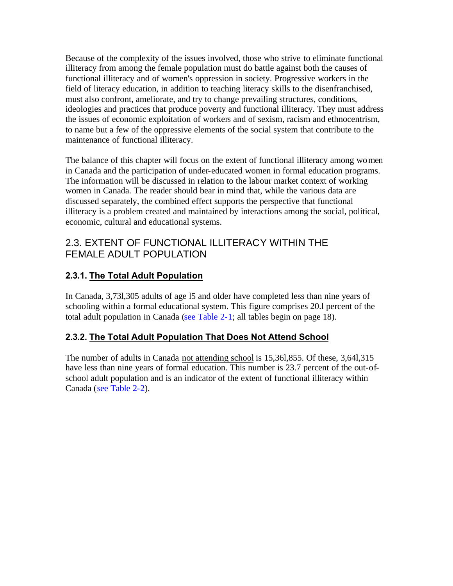<span id="page-23-0"></span>Because of the complexity of the issues involved, those who strive to eliminate functional illiteracy from among the female population must do battle against both the causes of functional illiteracy and of women's oppression in society. Progressive workers in the field of literacy education, in addition to teaching literacy skills to the disenfranchised, must also confront, ameliorate, and try to change prevailing structures, conditions, ideologies and practices that produce poverty and functional illiteracy. They must address the issues of economic exploitation of workers and of sexism, racism and ethnocentrism, to name but a few of the oppressive elements of the social system that contribute to the maintenance of functional illiteracy.

The balance of this chapter will focus on the extent of functional illiteracy among women in Canada and the participation of under-educated women in formal education programs. The information will be discussed in relation to the labour market context of working women in Canada. The reader should bear in mind that, while the various data are discussed separately, the combined effect supports the perspective that functional illiteracy is a problem created and maintained by interactions among the social, political, economic, cultural and educational systems.

## 2.3. EXTENT OF FUNCTIONAL ILLITERACY WITHIN THE FEMALE ADULT POPULATION

## **2.3.1. The Total Adult Population**

In Canada, 3,73l,305 adults of age l5 and older have completed less than nine years of schooling within a formal educational system. This figure comprises 20.l percent of the total adult population in Canada [\(see Table 2-1;](#page-35-0) all tables begin on page 18).

## **2.3.2. The Total Adult Population That Does Not Attend School**

The number of adults in Canada not attending school is 15,36l,855. Of these, 3,64l,315 have less than nine years of formal education. This number is 23.7 percent of the out-ofschool adult population and is an indicator of the extent of functional illiteracy within Canada [\(see Table 2-2\)](#page-36-0).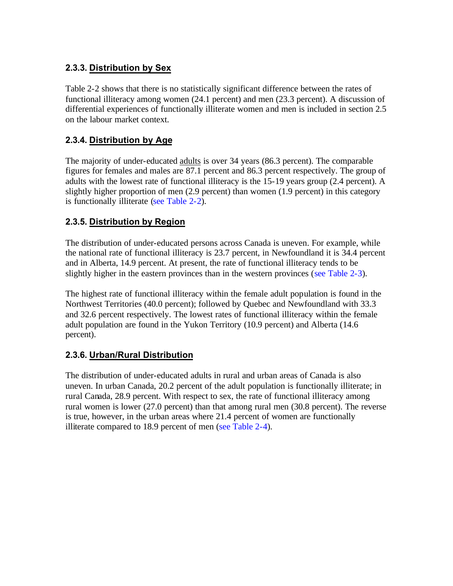### <span id="page-24-0"></span>**2.3.3. Distribution by Sex**

Table 2-2 shows that there is no statistically significant difference between the rates of functional illiteracy among women (24.1 percent) and men (23.3 percent). A discussion of differential experiences of functionally illiterate women and men is included in section 2.5 on the labour market context.

## **2.3.4. Distribution by Age**

The majority of under-educated adults is over 34 years (86.3 percent). The comparable figures for females and males are 87.1 percent and 86.3 percent respectively. The group of adults with the lowest rate of functional illiteracy is the 15-19 years group (2.4 percent). A slightly higher proportion of men (2.9 percent) than women (1.9 percent) in this category is functionally illiterate [\(see Table 2-2\)](#page-36-0).

## **2.3.5. Distribution by Region**

The distribution of under-educated persons across Canada is uneven. For example, while the national rate of functional illiteracy is 23.7 percent, in Newfoundland it is 34.4 percent and in Alberta, 14.9 percent. At present, the rate of functional illiteracy tends to be slightly higher in the eastern provinces than in the western provinces [\(see Table 2-3\)](#page-37-0).

The highest rate of functional illiteracy within the female adult population is found in the Northwest Territories (40.0 percent); followed by Quebec and Newfoundland with 33.3 and 32.6 percent respectively. The lowest rates of functional illiteracy within the female adult population are found in the Yukon Territory (10.9 percent) and Alberta (14.6 percent).

### **2.3.6. Urban/Rural Distribution**

The distribution of under-educated adults in rural and urban areas of Canada is also uneven. In urban Canada, 20.2 percent of the adult population is functionally illiterate; in rural Canada, 28.9 percent. With respect to sex, the rate of functional illiteracy among rural women is lower (27.0 percent) than that among rural men (30.8 percent). The reverse is true, however, in the urban areas where 21.4 percent of women are functionally illiterate compared to 18.9 percent of men [\(see Table 2-4\)](#page-38-0).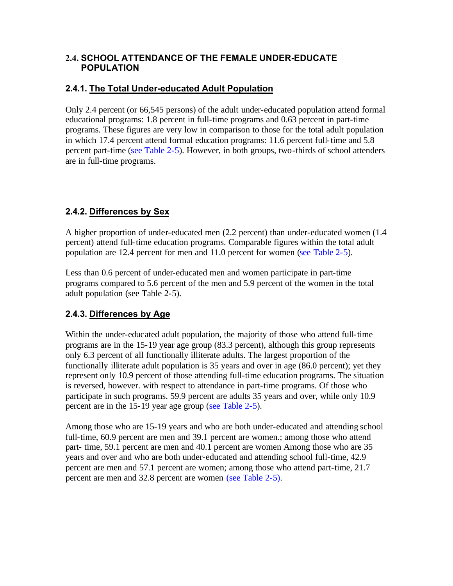### <span id="page-25-0"></span>**2.4. SCHOOL ATTENDANCE OF THE FEMALE UNDER-EDUCATE POPULATION**

### **2.4.1. The Total Under-educated Adult Population**

Only 2.4 percent (or 66,545 persons) of the adult under-educated population attend formal educational programs: 1.8 percent in full-time programs and 0.63 percent in part-time programs. These figures are very low in comparison to those for the total adult population in which 17.4 percent attend formal education programs: 11.6 percent full-time and 5.8 percent part-tim[e \(see Table 2-5\).](#page-39-0) However, in both groups, two-thirds of school attenders are in full-time programs.

## **2.4.2. Differences by Sex**

A higher proportion of under-educated men (2.2 percent) than under-educated women (1.4 percent) attend full-time education programs. Comparable figures within the total adult population are 12.4 percent for men and 11.0 percent for women [\(see Table 2-5\)](#page-39-0).

Less than 0.6 percent of under-educated men and women participate in part-time programs compared to 5.6 percent of the men and 5.9 percent of the women in the total adult population (see Table 2-5).

## **2.4.3. Differences by Age**

Within the under-educated adult population, the majority of those who attend full-time programs are in the 15-19 year age group (83.3 percent), although this group represents only 6.3 percent of all functionally illiterate adults. The largest proportion of the functionally illiterate adult population is 35 years and over in age (86.0 percent); yet they represent only 10.9 percent of those attending full-time education programs. The situation is reversed, however. with respect to attendance in part-time programs. Of those who participate in such programs. 59.9 percent are adults 35 years and over, while only 10.9 percent are in the 15-19 year age group ([see Table 2-5\).](#page-39-0)

Among those who are 15-19 years and who are both under-educated and attending school full-time, 60.9 percent are men and 39.1 percent are women.; among those who attend part- time, 59.1 percent are men and 40.1 percent are women Among those who are 35 years and over and who are both under-educated and attending school full-time, 42.9 percent are men and 57.1 percent are women; among those who attend part-time, 21.7 percent are men and 32.8 percent are women [\(see Table 2-5\)](#page-39-0).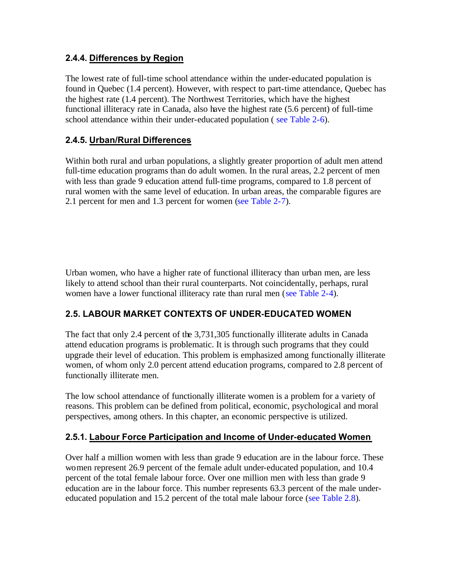### <span id="page-26-0"></span>**2.4.4. Differences by Region**

The lowest rate of full-time school attendance within the under-educated population is found in Quebec (1.4 percent). However, with respect to part-time attendance, Quebec has the highest rate (1.4 percent). The Northwest Territories, which have the highest functional illiteracy rate in Canada, also have the highest rate (5.6 percent) of full-time school attendance within their under-educated population ( [see Table 2-6\)](#page-40-0).

### **2.4.5. Urban/Rural Differences**

Within both rural and urban populations, a slightly greater proportion of adult men attend full-time education programs than do adult women. In the rural areas, 2.2 percent of men with less than grade 9 education attend full-time programs, compared to 1.8 percent of rural women with the same level of education. In urban areas, the comparable figures are 2.1 percent for men and 1.3 percent for women [\(see Table 2-7\)](#page-42-0).

Urban women, who have a higher rate of functional illiteracy than urban men, are less likely to attend school than their rural counterparts. Not coincidentally, perhaps, rural women have a lower functional illiteracy rate than rural men [\(see Table 2-4\)](#page-38-0).

## **2.5. LABOUR MARKET CONTEXTS OF UNDER-EDUCATED WOMEN**

The fact that only 2.4 percent of the 3,731,305 functionally illiterate adults in Canada attend education programs is problematic. It is through such programs that they could upgrade their level of education. This problem is emphasized among functionally illiterate women, of whom only 2.0 percent attend education programs, compared to 2.8 percent of functionally illiterate men.

The low school attendance of functionally illiterate women is a problem for a variety of reasons. This problem can be defined from political, economic, psychological and moral perspectives, among others. In this chapter, an economic perspective is utilized.

### **2.5.1. Labour Force Participation and Income of Under-educated Women**

Over half a million women with less than grade 9 education are in the labour force. These women represent 26.9 percent of the female adult under-educated population, and 10.4 percent of the total female labour force. Over one million men with less than grade 9 education are in the labour force. This number represents 63.3 percent of the male undereducated population and 15.2 percent of the total male labour force [\(see Table 2.8\)](#page-45-0).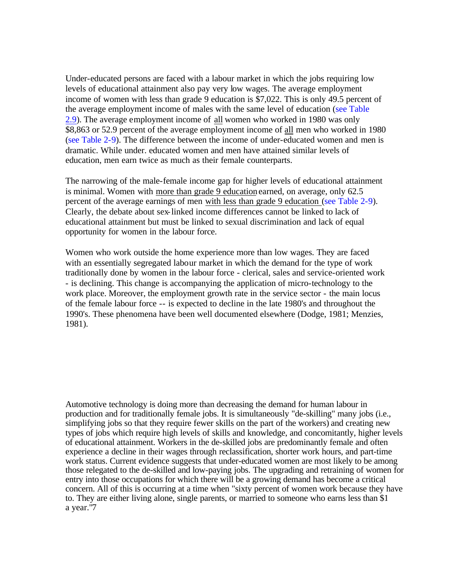Under-educated persons are faced with a labour market in which the jobs requiring low levels of educational attainment also pay very low wages. The average employment income of women with less than grade 9 education is \$7,022. This is only 49.5 percent of the average employment income of males with the same level of education [\(see Table](#page-45-0)  2.9). The average employment income of all women who worked in 1980 was only \$8,863 or 52.9 percent of the average employment income of all men who worked in 1980 [\(see Table 2-9\)](#page-45-0). The difference between the income of under-educated women and men is dramatic. While under. educated women and men have attained similar levels of education, men earn twice as much as their female counterparts.

The narrowing of the male-female income gap for higher levels of educational attainment is minimal. Women with more than grade 9 education earned, on average, only 62.5 percent of the average earnings of men with less than grade 9 education [\(see Table 2-9\)](#page-45-0). Clearly, the debate about sex-linked income differences cannot be linked to lack of educational attainment but must be linked to sexual discrimination and lack of equal opportunity for women in the labour force.

Women who work outside the home experience more than low wages. They are faced with an essentially segregated labour market in which the demand for the type of work traditionally done by women in the labour force - clerical, sales and service-oriented work - is declining. This change is accompanying the application of micro-technology to the work place. Moreover, the employment growth rate in the service sector - the main locus of the female labour force -- is expected to decline in the late 1980's and throughout the 1990's. These phenomena have been well documented elsewhere (Dodge, 1981; Menzies, 1981).

Automotive technology is doing more than decreasing the demand for human labour in production and for traditionally female jobs. It is simultaneously "de-skilling" many jobs (i.e., simplifying jobs so that they require fewer skills on the part of the workers) and creating new types of jobs which require high levels of skills and knowledge, and concomitantly, higher levels of educational attainment. Workers in the de-skilled jobs are predominantly female and often experience a decline in their wages through reclassification, shorter work hours, and part-time work status. Current evidence suggests that under-educated women are most likely to be among those relegated to the de-skilled and low-paying jobs. The upgrading and retraining of women for entry into those occupations for which there will be a growing demand has become a critical concern. All of this is occurring at a time when "sixty percent of women work because they have to. They are either living alone, single parents, or married to someone who earns less than  $$1$ a year."7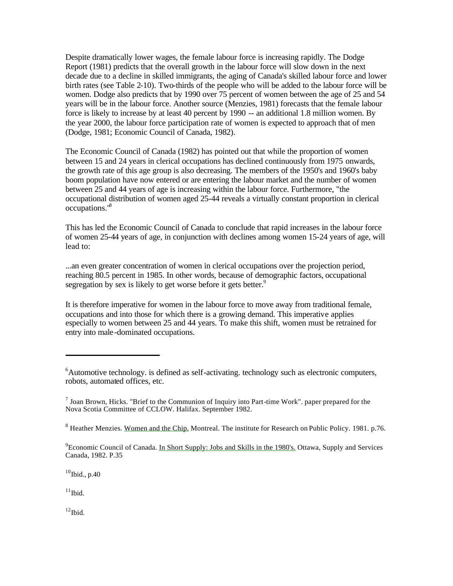Despite dramatically lower wages, the female labour force is increasing rapidly. The Dodge Report (1981) predicts that the overall growth in the labour force will slow down in the next decade due to a decline in skilled immigrants, the aging of Canada's skilled labour force and lower birth rates (see Table 2-10). Two-thirds of the people who will be added to the labour force will be women. Dodge also predicts that by 1990 over 75 percent of women between the age of 25 and 54 years will be in the labour force. Another source (Menzies, 1981) forecasts that the female labour force is likely to increase by at least 40 percent by 1990 -- an additional 1.8 million women. By the year 2000, the labour force participation rate of women is expected to approach that of men (Dodge, 1981; Economic Council of Canada, 1982).

The Economic Council of Canada (1982) has pointed out that while the proportion of women between 15 and 24 years in clerical occupations has declined continuously from 1975 onwards, the growth rate of this age group is also decreasing. The members of the 1950's and 1960's baby boom population have now entered or are entering the labour market and the number of women between 25 and 44 years of age is increasing within the labour force. Furthermore, "the occupational distribution of women aged 25-44 reveals a virtually constant proportion in clerical occupations."<sup>8</sup>

This has led the Economic Council of Canada to conclude that rapid increases in the labour force of women 25-44 years of age, in conjunction with declines among women 15-24 years of age, will lead to:

...an even greater concentration of women in clerical occupations over the projection period, reaching 80.5 percent in 1985. In other words, because of demographic factors, occupational segregation by sex is likely to get worse before it gets better.<sup>9</sup>

It is therefore imperative for women in the labour force to move away from traditional female, occupations and into those for which there is a growing demand. This imperative applies especially to women between 25 and 44 years. To make this shift, women must be retrained for entry into male-dominated occupations.

 $10$ Ibid., p.40

 $11$ Ibid.

 $12$ Ibid.

 $6$ Automotive technology. is defined as self-activating. technology such as electronic computers, robots, automated offices, etc.

 $<sup>7</sup>$  Joan Brown, Hicks. "Brief to the Communion of Inquiry into Part-time Work". paper prepared for the</sup> Nova Scotia Committee of CCLOW. Halifax. September 1982.

<sup>&</sup>lt;sup>8</sup> Heather Menzies. Women and the Chip. Montreal. The institute for Research on Public Policy. 1981. p.76.

<sup>&</sup>lt;sup>9</sup> Economic Council of Canada. In Short Supply: Jobs and Skills in the 1980's. Ottawa, Supply and Services Canada, 1982. P.35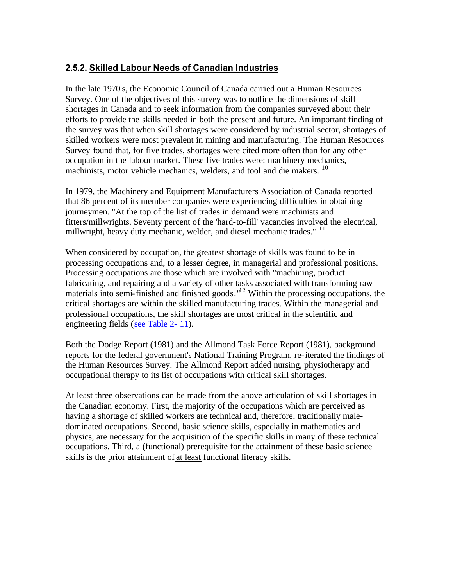### <span id="page-29-0"></span>**2.5.2. Skilled Labour Needs of Canadian Industries**

In the late 1970's, the Economic Council of Canada carried out a Human Resources Survey. One of the objectives of this survey was to outline the dimensions of skill shortages in Canada and to seek information from the companies surveyed about their efforts to provide the skills needed in both the present and future. An important finding of the survey was that when skill shortages were considered by industrial sector, shortages of skilled workers were most prevalent in mining and manufacturing. The Human Resources Survey found that, for five trades, shortages were cited more often than for any other occupation in the labour market. These five trades were: machinery mechanics, machinists, motor vehicle mechanics, welders, and tool and die makers. <sup>10</sup>

In 1979, the Machinery and Equipment Manufacturers Association of Canada reported that 86 percent of its member companies were experiencing difficulties in obtaining journeymen. "At the top of the list of trades in demand were machinists and fitters/millwrights. Seventy percent of the 'hard-to-fill' vacancies involved the electrical, millwright, heavy duty mechanic, welder, and diesel mechanic trades." <sup>11</sup>

When considered by occupation, the greatest shortage of skills was found to be in processing occupations and, to a lesser degree, in managerial and professional positions. Processing occupations are those which are involved with "machining, product fabricating, and repairing and a variety of other tasks associated with transforming raw materials into semi-finished and finished goods."<sup>12</sup> Within the processing occupations, the critical shortages are within the skilled manufacturing trades. Within the managerial and professional occupations, the skill shortages are most critical in the scientific and engineering fields [\(see Table 2- 11\)](#page-47-0).

Both the Dodge Report (1981) and the Allmond Task Force Report (1981), background reports for the federal government's National Training Program, re-iterated the findings of the Human Resources Survey. The Allmond Report added nursing, physiotherapy and occupational therapy to its list of occupations with critical skill shortages.

At least three observations can be made from the above articulation of skill shortages in the Canadian economy. First, the majority of the occupations which are perceived as having a shortage of skilled workers are technical and, therefore, traditionally maledominated occupations. Second, basic science skills, especially in mathematics and physics, are necessary for the acquisition of the specific skills in many of these technical occupations. Third, a (functional) prerequisite for the attainment of these basic science skills is the prior attainment of at least functional literacy skills.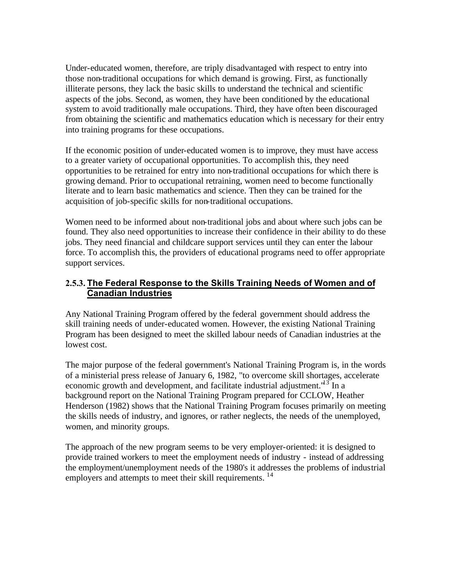<span id="page-30-0"></span>Under-educated women, therefore, are triply disadvantaged with respect to entry into those non-traditional occupations for which demand is growing. First, as functionally illiterate persons, they lack the basic skills to understand the technical and scientific aspects of the jobs. Second, as women, they have been conditioned by the educational system to avoid traditionally male occupations. Third, they have often been discouraged from obtaining the scientific and mathematics education which is necessary for their entry into training programs for these occupations.

If the economic position of under-educated women is to improve, they must have access to a greater variety of occupational opportunities. To accomplish this, they need opportunities to be retrained for entry into non-traditional occupations for which there is growing demand. Prior to occupational retraining, women need to become functionally literate and to learn basic mathematics and science. Then they can be trained for the acquisition of job-specific skills for non-traditional occupations.

Women need to be informed about non-traditional jobs and about where such jobs can be found. They also need opportunities to increase their confidence in their ability to do these jobs. They need financial and childcare support services until they can enter the labour force. To accomplish this, the providers of educational programs need to offer appropriate support services.

### **2.5.3. The Federal Response to the Skills Training Needs of Women and of Canadian Industries**

Any National Training Program offered by the federal government should address the skill training needs of under-educated women. However, the existing National Training Program has been designed to meet the skilled labour needs of Canadian industries at the lowest cost.

The major purpose of the federal government's National Training Program is, in the words of a ministerial press release of January 6, 1982, "to overcome skill shortages, accelerate economic growth and development, and facilitate industrial adjustment.<sup>"13</sup> In a background report on the National Training Program prepared for CCLOW, Heather Henderson (1982) shows that the National Training Program focuses primarily on meeting the skills needs of industry, and ignores, or rather neglects, the needs of the unemployed, women, and minority groups.

The approach of the new program seems to be very employer-oriented: it is designed to provide trained workers to meet the employment needs of industry - instead of addressing the employment/unemployment needs of the 1980's it addresses the problems of industrial employers and attempts to meet their skill requirements. <sup>14</sup>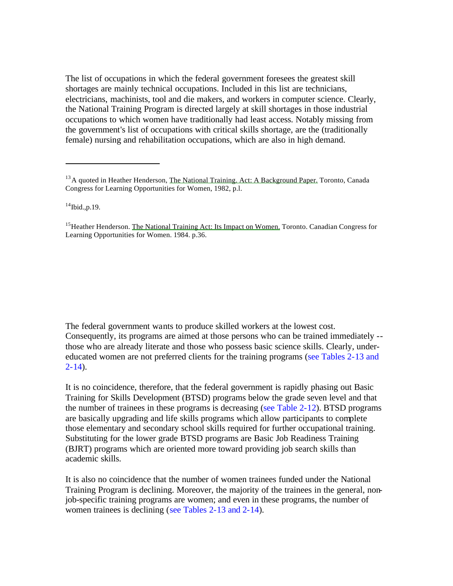The list of occupations in which the federal government foresees the greatest skill shortages are mainly technical occupations. Included in this list are technicians, electricians, machinists, tool and die makers, and workers in computer science. Clearly, the National Training Program is directed largely at skill shortages in those industrial occupations to which women have traditionally had least access. Notably missing from the government's list of occupations with critical skills shortage, are the (traditionally female) nursing and rehabilitation occupations, which are also in high demand.

 $14$ Ibid., p. 19.

<sup>15</sup> Heather Henderson. The National Training Act: Its Impact on Women. Toronto. Canadian Congress for Learning Opportunities for Women. 1984. p.36.

The federal government wants to produce skilled workers at the lowest cost. Consequently, its programs are aimed at those persons who can be trained immediately - those who are already literate and those who possess basic science skills. Clearly, undereducated women are not preferred clients for the training programs [\(see Tables 2-13 and](#page-48-0)   $2-14$ ).

It is no coincidence, therefore, that the federal government is rapidly phasing out Basic Training for Skills Development (BTSD) programs below the grade seven level and that the number of trainees in these programs is decreasing [\(see Table 2-12\).](#page-47-0) BTSD programs are basically upgrading and life skills programs which allow participants to complete those elementary and secondary school skills required for further occupational training. Substituting for the lower grade BTSD programs are Basic Job Readiness Training (BJRT) programs which are oriented more toward providing job search skills than academic skills.

It is also no coincidence that the number of women trainees funded under the National Training Program is declining. Moreover, the majority of the trainees in the general, nonjob-specific training programs are women; and even in these programs, the number of women trainees is declining [\(see Tables 2-13](#page-48-0) [and 2-14\)](#page-49-0).

<sup>&</sup>lt;sup>13</sup> A quoted in Heather Henderson, The National Training. Act: A Background Paper. Toronto, Canada Congress for Learning Opportunities for Women, 1982, p.l.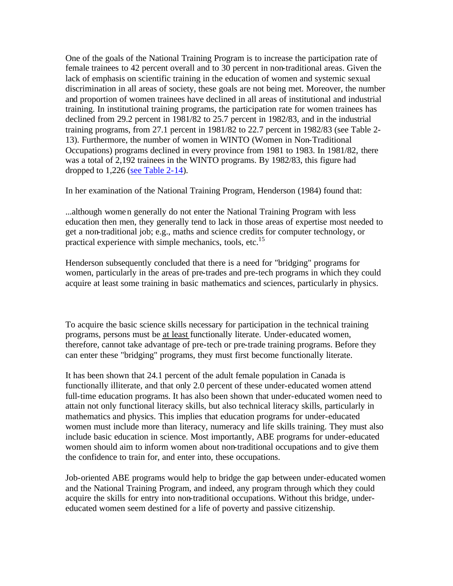One of the goals of the National Training Program is to increase the participation rate of female trainees to 42 percent overall and to 30 percent in non-traditional areas. Given the lack of emphasis on scientific training in the education of women and systemic sexual discrimination in all areas of society, these goals are not being met. Moreover, the number and proportion of women trainees have declined in all areas of institutional and industrial training. In institutional training programs, the participation rate for women trainees has declined from 29.2 percent in 1981/82 to 25.7 percent in 1982/83, and in the industrial training programs, from 27.1 percent in 1981/82 to 22.7 percent in 1982/83 (see Table 2- 13). Furthermore, the number of women in WINTO (Women in Non-Traditional Occupations) programs declined in every province from 1981 to 1983. In 1981/82, there was a total of 2,192 trainees in the WINTO programs. By 1982/83, this figure had dropped to 1,226 [\(see Table 2-14\)](#page-49-0).

In her examination of the National Training Program, Henderson (1984) found that:

...although women generally do not enter the National Training Program with less education then men, they generally tend to lack in those areas of expertise most needed to get a non-traditional job; e.g., maths and science credits for computer technology, or practical experience with simple mechanics, tools, etc.<sup>15</sup>

Henderson subsequently concluded that there is a need for "bridging" programs for women, particularly in the areas of pre-trades and pre-tech programs in which they could acquire at least some training in basic mathematics and sciences, particularly in physics.

To acquire the basic science skills necessary for participation in the technical training programs, persons must be at least functionally literate. Under-educated women, therefore, cannot take advantage of pre-tech or pre-trade training programs. Before they can enter these "bridging" programs, they must first become functionally literate.

It has been shown that 24.1 percent of the adult female population in Canada is functionally illiterate, and that only 2.0 percent of these under-educated women attend full-time education programs. It has also been shown that under-educated women need to attain not only functional literacy skills, but also technical literacy skills, particularly in mathematics and physics. This implies that education programs for under-educated women must include more than literacy, numeracy and life skills training. They must also include basic education in science. Most importantly, ABE programs for under-educated women should aim to inform women about non-traditional occupations and to give them the confidence to train for, and enter into, these occupations.

Job-oriented ABE programs would help to bridge the gap between under-educated women and the National Training Program, and indeed, any program through which they could acquire the skills for entry into non-traditional occupations. Without this bridge, undereducated women seem destined for a life of poverty and passive citizenship.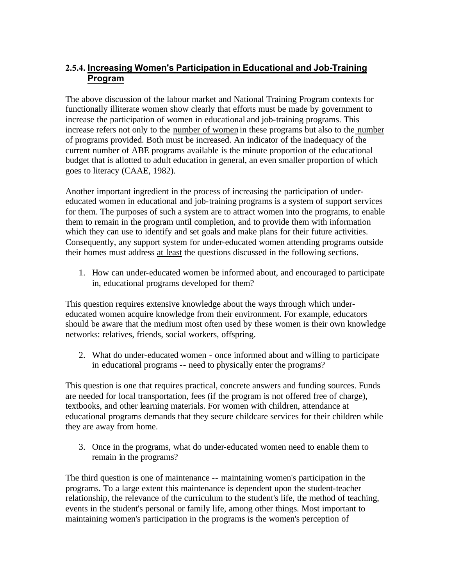## <span id="page-33-0"></span>**2.5.4. Increasing Women's Participation in Educational and Job-Training Program**

The above discussion of the labour market and National Training Program contexts for functionally illiterate women show clearly that efforts must be made by government to increase the participation of women in educational and job-training programs. This increase refers not only to the number of women in these programs but also to the number of programs provided. Both must be increased. An indicator of the inadequacy of the current number of ABE programs available is the minute proportion of the educational budget that is allotted to adult education in general, an even smaller proportion of which goes to literacy (CAAE, 1982).

Another important ingredient in the process of increasing the participation of undereducated women in educational and job-training programs is a system of support services for them. The purposes of such a system are to attract women into the programs, to enable them to remain in the program until completion, and to provide them with information which they can use to identify and set goals and make plans for their future activities. Consequently, any support system for under-educated women attending programs outside their homes must address at least the questions discussed in the following sections.

1. How can under-educated women be informed about, and encouraged to participate in, educational programs developed for them?

This question requires extensive knowledge about the ways through which undereducated women acquire knowledge from their environment. For example, educators should be aware that the medium most often used by these women is their own knowledge networks: relatives, friends, social workers, offspring.

2. What do under-educated women - once informed about and willing to participate in educational programs -- need to physically enter the programs?

This question is one that requires practical, concrete answers and funding sources. Funds are needed for local transportation, fees (if the program is not offered free of charge), textbooks, and other learning materials. For women with children, attendance at educational programs demands that they secure childcare services for their children while they are away from home.

3. Once in the programs, what do under-educated women need to enable them to remain in the programs?

The third question is one of maintenance -- maintaining women's participation in the programs. To a large extent this maintenance is dependent upon the student-teacher relationship, the relevance of the curriculum to the student's life, the method of teaching, events in the student's personal or family life, among other things. Most important to maintaining women's participation in the programs is the women's perception of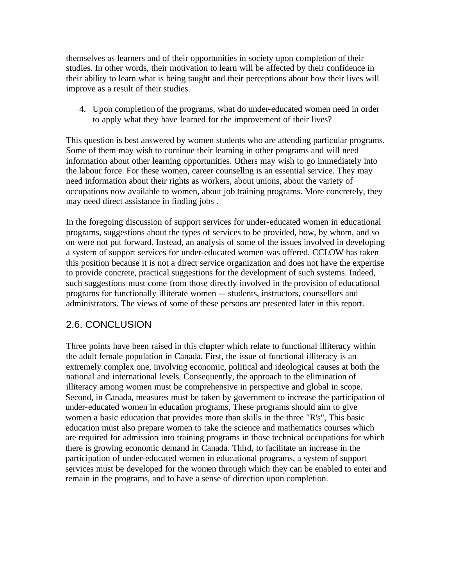<span id="page-34-0"></span>themselves as learners and of their opportunities in society upon completion of their studies. In other words, their motivation to learn will be affected by their confidence in their ability to learn what is being taught and their perceptions about how their lives will improve as a result of their studies.

4. Upon completion of the programs, what do under-educated women need in order to apply what they have learned for the improvement of their lives?

This question is best answered by women students who are attending particular programs. Some of them may wish to continue their learning in other programs and will need information about other learning opportunities. Others may wish to go immediately into the labour force. For these women, career counselling is an essential service. They may need information about their rights as workers, about unions, about the variety of occupations now available to women, about job training programs. More concretely, they may need direct assistance in finding jobs .

In the foregoing discussion of support services for under-educated women in educational programs, suggestions about the types of services to be provided, how, by whom, and so on were not put forward. Instead, an analysis of some of the issues involved in developing a system of support services for under-educated women was offered. CCLOW has taken this position because it is not a direct service organization and does not have the expertise to provide concrete, practical suggestions for the development of such systems. Indeed, such suggestions must come from those directly involved in the provision of educational programs for functionally illiterate women -- students, instructors, counsellors and administrators. The views of some of these persons are presented later in this report.

## 2.6. CONCLUSION

Three points have been raised in this chapter which relate to functional illiteracy within the adult female population in Canada. First, the issue of functional illiteracy is an extremely complex one, involving economic, political and ideological causes at both the national and international levels. Consequently, the approach to the elimination of illiteracy among women must be comprehensive in perspective and global in scope. Second, in Canada, measures must be taken by government to increase the participation of under-educated women in education programs, These programs should aim to give women a basic education that provides more than skills in the three "R's", This basic education must also prepare women to take the science and mathematics courses which are required for admission into training programs in those technical occupations for which there is growing economic demand in Canada. Third, to facilitate an increase in the participation of under-educated women in educational programs, a system of support services must be developed for the women through which they can be enabled to enter and remain in the programs, and to have a sense of direction upon completion.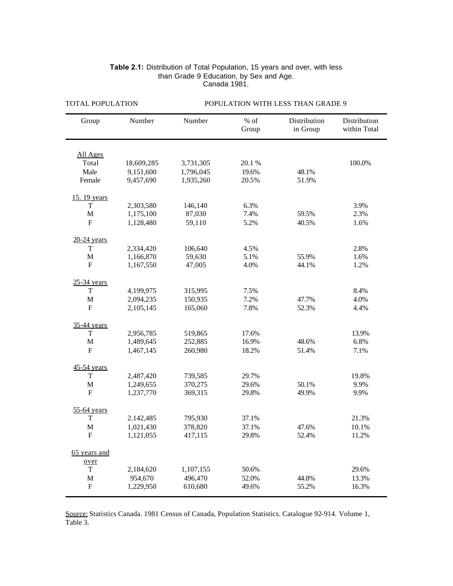| Group          | Number     | Number    | $%$ of<br>Group | Distribution<br>in Group | Distribution<br>within Total |
|----------------|------------|-----------|-----------------|--------------------------|------------------------------|
| All Ages       |            |           |                 |                          |                              |
| Total          | 18,609,285 | 3,731,305 | 20.1%           |                          | 100.0%                       |
| Male           | 9,151,600  | 1,796,045 | 19.6%           | 48.1%                    |                              |
| Female         | 9,457,690  | 1,935,260 | 20.5%           | 51.9%                    |                              |
| 15. 19 years   |            |           |                 |                          |                              |
| T              | 2,303,580  | 146,140   | 6.3%            |                          | 3.9%                         |
| $\mathbf M$    | 1,175,100  | 87,030    | 7.4%            | 59.5%                    | 2.3%                         |
| ${\bf F}$      | 1,128,480  | 59,110    | 5.2%            | 40.5%                    | 1.6%                         |
| $20-24$ years  |            |           |                 |                          |                              |
| $\mathbf T$    | 2,334,420  | 106,640   | 4.5%            |                          | 2.8%                         |
| $\mathbf M$    | 1,166,870  | 59,630    | 5.1%            | 55.9%                    | 1.6%                         |
| ${\bf F}$      | 1,167,550  | 47,005    | 4.0%            | 44.1%                    | 1.2%                         |
| $25-34$ years  |            |           |                 |                          |                              |
| T              | 4,199,975  | 315,995   | 7.5%            |                          | 8.4%                         |
| $\mathbf{M}$   | 2,094,235  | 150,935   | 7.2%            | 47.7%                    | 4.0%                         |
| F              | 2,105,145  | 165,060   | 7.8%            | 52.3%                    | 4.4%                         |
| 35-44 years    |            |           |                 |                          |                              |
| T              | 2,956,785  | 519,865   | 17.6%           |                          | 13.9%                        |
| $\mathbf{M}$   | 1,489,645  | 252,885   | 16.9%           | 48.6%                    | 6.8%                         |
| $\overline{F}$ | 1,467,145  | 260,980   | 18.2%           | 51.4%                    | 7.1%                         |
| 45-54 years    |            |           |                 |                          |                              |
| T              | 2,487,420  | 739,585   | 29.7%           |                          | 19.8%                        |
| $\mathbf{M}$   | 1,249,655  | 370,275   | 29.6%           | 50.1%                    | 9.9%                         |
| $\overline{F}$ | 1,237,770  | 369,315   | 29.8%           | 49.9%                    | 9.9%                         |
| 55-64 years    |            |           |                 |                          |                              |
| T              | 2.142,485  | 795,930   | 37.1%           |                          | 21.3%                        |
| $\mathbf M$    | 1,021,430  | 378,820   | 37.1%           | 47.6%                    | 10.1%                        |
| $\mathbf{F}$   | 1,121,055  | 417,115   | 29.8%           | 52.4%                    | 11.2%                        |
| 65 years and   |            |           |                 |                          |                              |
| over           |            |           |                 |                          |                              |
| T              | 2,184,620  | 1,107,155 | 50.6%           |                          | 29.6%                        |
| $\mathbf{M}$   | 954,670    | 496,470   | 52.0%           | 44.8%                    | 13.3%                        |
| $\mathbf F$    | 1,229,950  | 610,680   | 49.6%           | 55.2%                    | 16.3%                        |

#### **Table 2.1:** Distribution of Total Population, 15 years and over, with less than Grade 9 Education, by Sex and Age. Canada 1981.

<span id="page-35-0"></span>TOTAL POPULATION POPULATION WITH LESS THAN GRADE 9

Source: Statistics Canada. 1981 Census of Canada, Population Statistics. Catalogue 92-914. Volume 1, Table 3.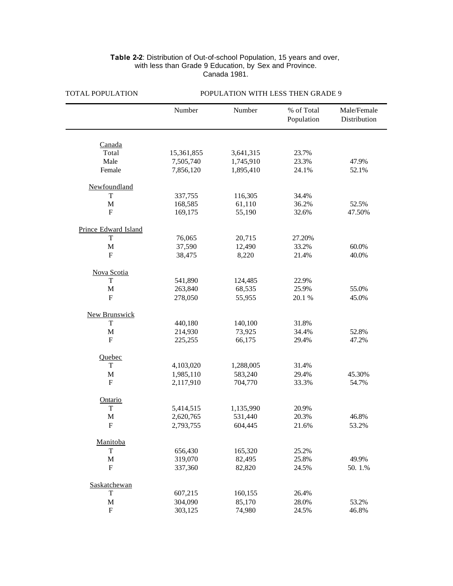#### **Table 2-2**: Distribution of Out-of-school Population, 15 years and over, with less than Grade 9 Education, by Sex and Province. Canada 1981.

| TO TULL OF OLD HOTEL | I OI ULATION WITH LESS THEN UNADE 2 |           |                          |                             |  |  |  |  |  |
|----------------------|-------------------------------------|-----------|--------------------------|-----------------------------|--|--|--|--|--|
|                      | Number                              | Number    | % of Total<br>Population | Male/Female<br>Distribution |  |  |  |  |  |
|                      |                                     |           |                          |                             |  |  |  |  |  |
| Canada               |                                     |           |                          |                             |  |  |  |  |  |
| Total<br>Male        | 15,361,855                          | 3,641,315 | 23.7%                    |                             |  |  |  |  |  |
|                      | 7,505,740                           | 1,745,910 | 23.3%<br>24.1%           | 47.9%                       |  |  |  |  |  |
| Female               | 7,856,120                           | 1,895,410 |                          | 52.1%                       |  |  |  |  |  |
| Newfoundland         |                                     |           |                          |                             |  |  |  |  |  |
| T                    | 337,755                             | 116,305   | 34.4%                    |                             |  |  |  |  |  |
| $\mathbf M$          | 168,585                             | 61,110    | 36.2%                    | 52.5%                       |  |  |  |  |  |
| F                    | 169,175                             | 55,190    | 32.6%                    | 47.50%                      |  |  |  |  |  |
| Prince Edward Island |                                     |           |                          |                             |  |  |  |  |  |
| T                    | 76,065                              | 20,715    | 27.20%                   |                             |  |  |  |  |  |
| $\mathbf M$          | 37,590                              | 12,490    | 33.2%                    | 60.0%                       |  |  |  |  |  |
| $\mathbf{F}$         | 38,475                              | 8,220     | 21.4%                    | 40.0%                       |  |  |  |  |  |
| Nova Scotia          |                                     |           |                          |                             |  |  |  |  |  |
| T                    | 541,890                             | 124,485   | 22.9%                    |                             |  |  |  |  |  |
| $\mathbf M$          | 263,840                             | 68,535    | 25.9%                    | 55.0%                       |  |  |  |  |  |
| $\mathbf{F}$         | 278,050                             | 55,955    | 20.1%                    | 45.0%                       |  |  |  |  |  |
| <b>New Brunswick</b> |                                     |           |                          |                             |  |  |  |  |  |
| T                    | 440,180                             | 140,100   | 31.8%                    |                             |  |  |  |  |  |
| $\mathbf M$          | 214,930                             | 73,925    | 34.4%                    | 52.8%                       |  |  |  |  |  |
| F                    | 225,255                             | 66,175    | 29.4%                    | 47.2%                       |  |  |  |  |  |
|                      |                                     |           |                          |                             |  |  |  |  |  |
| Quebec               |                                     |           |                          |                             |  |  |  |  |  |
| T                    | 4,103,020                           | 1,288,005 | 31.4%                    |                             |  |  |  |  |  |
| $\mathbf M$          | 1,985,110                           | 583,240   | 29.4%                    | 45.30%                      |  |  |  |  |  |
| $\mathbf F$          | 2,117,910                           | 704,770   | 33.3%                    | 54.7%                       |  |  |  |  |  |
| Ontario              |                                     |           |                          |                             |  |  |  |  |  |
| T                    | 5,414,515                           | 1,135,990 | 20.9%                    |                             |  |  |  |  |  |
| $\mathbf{M}$         | 2,620,765                           | 531,440   | 20.3%                    | 46.8%                       |  |  |  |  |  |
| F                    | 2,793,755                           | 604,445   | 21.6%                    | 53.2%                       |  |  |  |  |  |
| Manitoba             |                                     |           |                          |                             |  |  |  |  |  |
| T                    | 656,430                             | 165,320   | 25.2%                    |                             |  |  |  |  |  |
| $\mathbf M$          | 319,070                             | 82,495    | 25.8%                    | 49.9%                       |  |  |  |  |  |
| $\mathbf{F}$         | 337,360                             | 82,820    | 24.5%                    | 50.1.%                      |  |  |  |  |  |
| Saskatchewan         |                                     |           |                          |                             |  |  |  |  |  |
| T                    | 607,215                             | 160,155   | 26.4%                    |                             |  |  |  |  |  |
| $\mathbf M$          | 304,090                             | 85,170    | 28.0%                    | 53.2%                       |  |  |  |  |  |
| ${\bf F}$            | 303,125                             | 74,980    | 24.5%                    | 46.8%                       |  |  |  |  |  |
|                      |                                     |           |                          |                             |  |  |  |  |  |

#### TOTAL POPULATION POPULATION WITH LESS THEN GRADE 9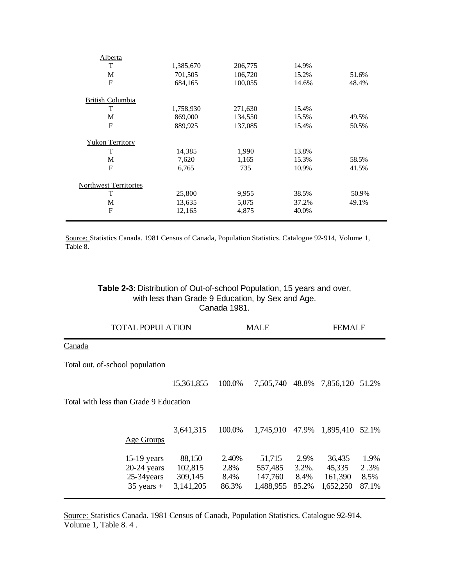| Alberta                      |           |         |       |       |
|------------------------------|-----------|---------|-------|-------|
| T                            | 1,385,670 | 206,775 | 14.9% |       |
| М                            | 701,505   | 106,720 | 15.2% | 51.6% |
| F                            | 684,165   | 100,055 | 14.6% | 48.4% |
| <b>British Columbia</b>      |           |         |       |       |
| T                            | 1,758,930 | 271,630 | 15.4% |       |
| М                            | 869,000   | 134,550 | 15.5% | 49.5% |
| $\mathbf{F}$                 | 889,925   | 137,085 | 15.4% | 50.5% |
| <b>Yukon Territory</b>       |           |         |       |       |
| T                            | 14,385    | 1,990   | 13.8% |       |
| М                            | 7,620     | 1,165   | 15.3% | 58.5% |
| F                            | 6,765     | 735     | 10.9% | 41.5% |
| <b>Northwest Territories</b> |           |         |       |       |
| T                            | 25,800    | 9,955   | 38.5% | 50.9% |
| М                            | 13,635    | 5,075   | 37.2% | 49.1% |
| $\mathbf{F}$                 | 12,165    | 4,875   | 40.0% |       |
|                              |           |         |       |       |

Source: Statistics Canada. 1981 Census of Canada, Population Statistics. Catalogue 92-914, Volume 1, Table 8.

#### **Table 2-3:** Distribution of Out-of-school Population, 15 years and over, with less than Grade 9 Education, by Sex and Age. Canada 1981.

|                                 | <b>TOTAL POPULATION</b>                                       |                                           |                                | <b>MALE</b>                               |                                    |                                          | <b>FEMALE</b>                 |  |  |
|---------------------------------|---------------------------------------------------------------|-------------------------------------------|--------------------------------|-------------------------------------------|------------------------------------|------------------------------------------|-------------------------------|--|--|
| Canada                          |                                                               |                                           |                                |                                           |                                    |                                          |                               |  |  |
| Total out. of-school population |                                                               |                                           |                                |                                           |                                    |                                          |                               |  |  |
|                                 |                                                               | 15,361,855                                | 100.0%                         | 7,505,740                                 | 48.8%                              | 7,856,120                                | 51.2%                         |  |  |
|                                 | Total with less than Grade 9 Education                        |                                           |                                |                                           |                                    |                                          |                               |  |  |
|                                 | Age Groups                                                    | 3,641,315                                 | 100.0%                         | 1,745,910                                 | 47.9%                              | 1,895,410 52.1%                          |                               |  |  |
|                                 | $15-19$ years<br>$20-24$ years<br>25-34 years<br>$35$ years + | 88,150<br>102,815<br>309,145<br>3,141,205 | 2.40%<br>2.8%<br>8.4%<br>86.3% | 51,715<br>557,485<br>147,760<br>1,488,955 | 2.9%<br>$3.2\%$ .<br>8.4%<br>85.2% | 36,435<br>45,335<br>161,390<br>1,652,250 | 1.9%<br>2.3%<br>8.5%<br>87.1% |  |  |

Source: Statistics Canada. 1981 Census of Canada, Population Statistics. Catalogue 92-914, Volume 1, Table 8. 4 .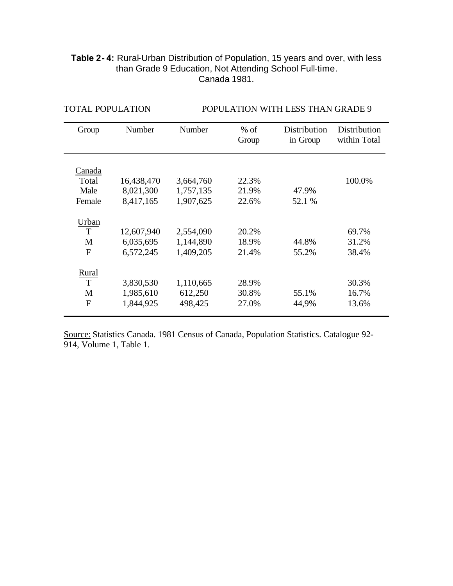## **Table 2- 4:** Rural-Urban Distribution of Population, 15 years and over, with less than Grade 9 Education, Not Attending School Full-time. Canada 1981.

| Group        | Number     | Number    | $%$ of | <b>Distribution</b> | Distribution |
|--------------|------------|-----------|--------|---------------------|--------------|
|              |            |           | Group  | in Group            | within Total |
|              |            |           |        |                     |              |
|              |            |           |        |                     |              |
| Canada       |            |           |        |                     |              |
| Total        | 16,438,470 | 3,664,760 | 22.3%  |                     | 100.0%       |
| Male         | 8,021,300  | 1,757,135 | 21.9%  | 47.9%               |              |
| Female       | 8,417,165  | 1,907,625 | 22.6%  | 52.1 %              |              |
|              |            |           |        |                     |              |
| Urban        |            |           |        |                     |              |
| T            | 12,607,940 | 2,554,090 | 20.2%  |                     | 69.7%        |
| M            | 6,035,695  | 1,144,890 | 18.9%  | 44.8%               | 31.2%        |
| $\mathbf{F}$ | 6,572,245  | 1,409,205 | 21.4%  | 55.2%               | 38.4%        |
|              |            |           |        |                     |              |
| Rural        |            |           |        |                     |              |
| T            | 3,830,530  | 1,110,665 | 28.9%  |                     | 30.3%        |
| M            | 1,985,610  | 612,250   | 30.8%  | 55.1%               | 16.7%        |
| $\mathbf{F}$ | 1,844,925  | 498,425   | 27.0%  | 44,9%               | 13.6%        |
|              |            |           |        |                     |              |

TOTAL POPULATION POPULATION WITH LESS THAN GRADE 9

Source: Statistics Canada. 1981 Census of Canada, Population Statistics. Catalogue 92- 914, Volume 1, Table 1.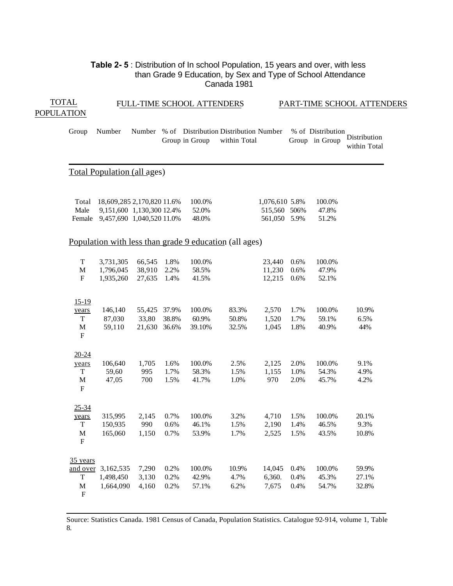#### **Table 2- 5** : Distribution of In school Population, 15 years and over, with less than Grade 9 Education, by Sex and Type of School Attendance Canada 1981

| <b>TOTAL</b>      |                                                                               |                                                                                             |                                 |                      | FULL-TIME SCHOOL ATTENDERS |                                                              |                                                |                      |                                     | PART-TIME SCHOOL ATTENDERS   |  |
|-------------------|-------------------------------------------------------------------------------|---------------------------------------------------------------------------------------------|---------------------------------|----------------------|----------------------------|--------------------------------------------------------------|------------------------------------------------|----------------------|-------------------------------------|------------------------------|--|
| <b>POPULATION</b> |                                                                               |                                                                                             |                                 |                      |                            |                                                              |                                                |                      |                                     |                              |  |
|                   | Group                                                                         | Number                                                                                      |                                 |                      | Group in Group             | Number % of Distribution Distribution Number<br>within Total |                                                |                      | % of Distribution<br>Group in Group | Distribution<br>within Total |  |
|                   |                                                                               | <b>Total Population (all ages)</b>                                                          |                                 |                      |                            |                                                              |                                                |                      |                                     |                              |  |
|                   | Total<br>Male                                                                 | 18,609,285 2,170,820 11.6%<br>9,151,600 1,130,300 12.4%<br>Female 9,457,690 1,040,520 11.0% |                                 |                      | 100.0%<br>52.0%<br>48.0%   |                                                              | 1,076,610 5.8%<br>515,560 506%<br>561,050 5.9% |                      | 100.0%<br>47.8%<br>51.2%            |                              |  |
|                   |                                                                               |                                                                                             |                                 |                      |                            | Population with less than grade 9 education (all ages)       |                                                |                      |                                     |                              |  |
|                   | $\mathbf T$<br>$\mathbf M$<br>F                                               | 3,731,305<br>1,796,045<br>1,935,260                                                         | 66,545<br>38,910<br>27,635      | 1.8%<br>2.2%<br>1.4% | 100.0%<br>58.5%<br>41.5%   |                                                              | 23,440<br>11,230<br>12,215                     | 0.6%<br>0.6%<br>0.6% | 100.0%<br>47.9%<br>52.1%            |                              |  |
|                   | $15 - 19$<br>years<br>$\mathbf T$<br>$\mathbf M$<br>$\boldsymbol{\mathrm{F}}$ | 146,140<br>87,030<br>59,110                                                                 | 55,425 37.9%<br>33,80<br>21,630 | 38.8%<br>36.6%       | 100.0%<br>60.9%<br>39.10%  | 83.3%<br>50.8%<br>32.5%                                      | 2,570<br>1,520<br>1,045                        | 1.7%<br>1.7%<br>1.8% | 100.0%<br>59.1%<br>40.9%            | 10.9%<br>6.5%<br>44%         |  |
|                   | $20 - 24$<br>years<br>T<br>$\mathbf M$<br>$\mathbf F$                         | 106,640<br>59,60<br>47,05                                                                   | 1,705<br>995<br>700             | 1.6%<br>1.7%<br>1.5% | 100.0%<br>58.3%<br>41.7%   | 2.5%<br>1.5%<br>1.0%                                         | 2,125<br>1,155<br>970                          | 2.0%<br>1.0%<br>2.0% | 100.0%<br>54.3%<br>45.7%            | 9.1%<br>4.9%<br>4.2%         |  |
|                   | $25 - 34$<br>years<br>$\mathbf T$<br>$\mathbf M$<br>$\mathbf F$               | 315,995<br>150,935<br>165,060                                                               | 2,145<br>990<br>1,150           | 0.7%<br>0.6%<br>0.7% | 100.0%<br>46.1%<br>53.9%   | 3.2%<br>1.5%<br>1.7%                                         | 4,710<br>2,190<br>2,525                        | 1.5%<br>1.4%<br>1.5% | 100.0%<br>46.5%<br>43.5%            | 20.1%<br>9.3%<br>10.8%       |  |
|                   | 35 years<br>T<br>$\mathbf M$<br>${\bf F}$                                     | and over 3,162,535<br>1,498,450<br>1,664,090                                                | 7,290<br>3,130<br>4,160         | 0.2%<br>0.2%<br>0.2% | 100.0%<br>42.9%<br>57.1%   | 10.9%<br>4.7%<br>6.2%                                        | 14,045<br>6,360.<br>7,675                      | 0.4%<br>0.4%<br>0.4% | 100.0%<br>45.3%<br>54.7%            | 59.9%<br>27.1%<br>32.8%      |  |

Source: Statistics Canada. 1981 Census of Canada, Population Statistics. Catalogue 92-914, volume 1, Table 8.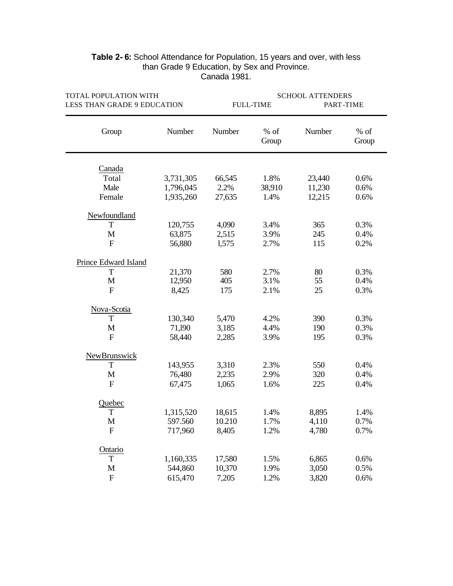| TOTAL POPULATION WITH       |           | <b>SCHOOL ATTENDERS</b> |                  |           |               |  |  |  |
|-----------------------------|-----------|-------------------------|------------------|-----------|---------------|--|--|--|
| LESS THAN GRADE 9 EDUCATION |           |                         | <b>FULL-TIME</b> | PART-TIME |               |  |  |  |
| Group                       | Number    | Number                  | $%$ of<br>Group  | Number    | % of<br>Group |  |  |  |
| Canada                      |           |                         |                  |           |               |  |  |  |
| Total                       | 3,731,305 | 66,545                  | 1.8%             | 23,440    | 0.6%          |  |  |  |
| Male                        | 1,796,045 | 2.2%                    | 38,910           | 11,230    | 0.6%          |  |  |  |
| Female                      | 1,935,260 | 27,635                  | 1.4%             | 12,215    | 0.6%          |  |  |  |
| Newfoundland                |           |                         |                  |           |               |  |  |  |
| T                           | 120,755   | 4,090                   | 3.4%             | 365       | 0.3%          |  |  |  |
| M                           | 63,875    | 2,515                   | 3.9%             | 245       | 0.4%          |  |  |  |
| $\mathbf{F}$                | 56,880    | 1,575                   | 2.7%             | 115       | 0.2%          |  |  |  |
| Prince Edward Island        |           |                         |                  |           |               |  |  |  |
| T                           | 21,370    | 580                     | 2.7%             | 80        | 0.3%          |  |  |  |
| $\mathbf M$                 | 12,950    | 405                     | 3.1%             | 55        | 0.4%          |  |  |  |
| $\mathbf{F}$                | 8,425     | 175                     | 2.1%             | 25        | 0.3%          |  |  |  |
| Nova-Scotia                 |           |                         |                  |           |               |  |  |  |
| T                           | 130,340   | 5,470                   | 4.2%             | 390       | 0.3%          |  |  |  |
| M                           | 71,190    | 3,185                   | 4.4%             | 190       | 0.3%          |  |  |  |
| $\mathbf{F}$                | 58,440    | 2,285                   | 3.9%             | 195       | 0.3%          |  |  |  |
| NewBrunswick                |           |                         |                  |           |               |  |  |  |
| T                           | 143,955   | 3,310                   | 2.3%             | 550       | 0.4%          |  |  |  |
| $\mathbf M$                 | 76,480    | 2,235                   | 2.9%             | 320       | 0.4%          |  |  |  |
| $\overline{F}$              | 67,475    | 1,065                   | 1.6%             | 225       | 0.4%          |  |  |  |
| Quebec                      |           |                         |                  |           |               |  |  |  |
| T                           | 1,315,520 | 18,615                  | 1.4%             | 8,895     | 1.4%          |  |  |  |
| M                           | 597.560   | 10.210                  | 1.7%             | 4,110     | 0.7%          |  |  |  |
| $\mathbf F$                 | 717,960   | 8,405                   | 1.2%             | 4,780     | 0.7%          |  |  |  |
| Ontario                     |           |                         |                  |           |               |  |  |  |
| Т                           | 1,160,335 | 17,580                  | 1.5%             | 6,865     | 0.6%          |  |  |  |
| $\mathbf M$                 | 544,860   | 10,370                  | 1.9%             | 3,050     | 0.5%          |  |  |  |
| $\boldsymbol{\mathrm{F}}$   | 615,470   | 7,205                   | 1.2%             | 3,820     | 0.6%          |  |  |  |

#### **Table 2- 6:** School Attendance for Population, 15 years and over, with less than Grade 9 Education, by Sex and Province. Canada 1981.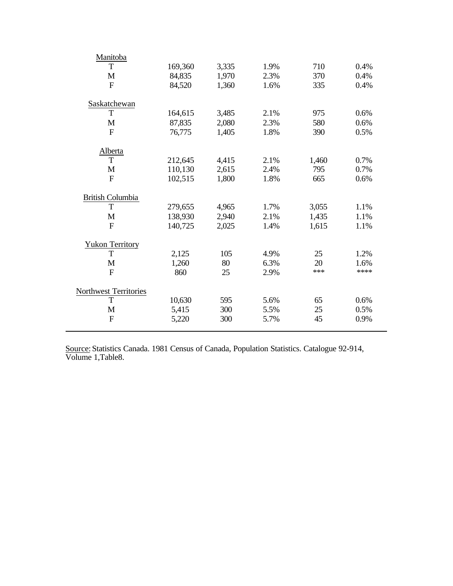| Manitoba               |         |       |      |       |      |
|------------------------|---------|-------|------|-------|------|
| T                      | 169,360 | 3,335 | 1.9% | 710   | 0.4% |
| M                      | 84,835  | 1,970 | 2.3% | 370   | 0.4% |
| $\mathbf{F}$           | 84,520  | 1,360 | 1.6% | 335   | 0.4% |
|                        |         |       |      |       |      |
| Saskatchewan<br>T      |         |       | 2.1% |       |      |
|                        | 164,615 | 3,485 |      | 975   | 0.6% |
| M                      | 87,835  | 2,080 | 2.3% | 580   | 0.6% |
| $\mathbf{F}$           | 76,775  | 1,405 | 1.8% | 390   | 0.5% |
| Alberta                |         |       |      |       |      |
| T                      | 212,645 | 4,415 | 2.1% | 1,460 | 0.7% |
| M                      | 110,130 | 2,615 | 2.4% | 795   | 0.7% |
| $\overline{F}$         | 102,515 | 1,800 | 1.8% | 665   | 0.6% |
| British Columbia       |         |       |      |       |      |
| T                      | 279,655 | 4,965 | 1.7% | 3,055 | 1.1% |
| M                      | 138,930 | 2,940 | 2.1% | 1,435 | 1.1% |
| $\overline{F}$         | 140,725 | 2,025 | 1.4% | 1,615 | 1.1% |
| <b>Yukon Territory</b> |         |       |      |       |      |
| Т                      | 2,125   | 105   | 4.9% | 25    | 1.2% |
| M                      | 1,260   | 80    | 6.3% | 20    | 1.6% |
| $\mathbf{F}$           | 860     | 25    | 2.9% | ***   | **** |
|                        |         |       |      |       |      |
| Northwest Territories  |         |       |      |       |      |
| T                      | 10,630  | 595   | 5.6% | 65    | 0.6% |
| M                      | 5,415   | 300   | 5.5% | 25    | 0.5% |
| $\overline{F}$         | 5,220   | 300   | 5.7% | 45    | 0.9% |
|                        |         |       |      |       |      |

Source: Statistics Canada. 1981 Census of Canada, Population Statistics. Catalogue 92-914, Volume 1,Table8.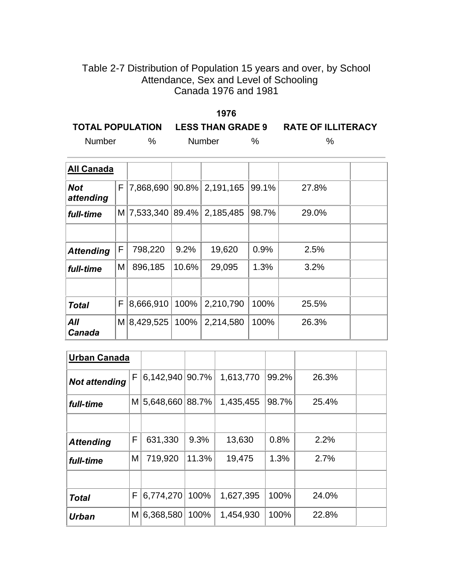# Table 2-7 Distribution of Population 15 years and over, by School Attendance, Sex and Level of Schooling Canada 1976 and 1981

|        |      | 1976                               |               |                           |
|--------|------|------------------------------------|---------------|---------------------------|
|        |      | TOTAL POPULATION LESS THAN GRADE 9 |               | <b>RATE OF ILLITERACY</b> |
| Number | $\%$ | <b>Number</b>                      | $\frac{0}{6}$ | $\%$                      |

| <b>All Canada</b>       |   |                   |         |                    |       |       |  |
|-------------------------|---|-------------------|---------|--------------------|-------|-------|--|
| <b>Not</b><br>attending | F | 7,868,690         |         | $90.8\%$ 2,191,165 | 99.1% | 27.8% |  |
| full-time               | M | $7,533,340$ 89.4% |         | 2,185,485          | 98.7% | 29.0% |  |
|                         |   |                   |         |                    |       |       |  |
| <b>Attending</b>        | F | 798,220           | 9.2%    | 19,620             | 0.9%  | 2.5%  |  |
| full-time               | M | 896,185           | 10.6%   | 29,095             | 1.3%  | 3.2%  |  |
|                         |   |                   |         |                    |       |       |  |
| <b>Total</b>            | F | 8,666,910         | $100\%$ | 2,210,790          | 100%  | 25.5% |  |
| All<br>Canada           |   | M 8,429,525       | 100%    | 2,214,580          | 100%  | 26.3% |  |

| <b>Urban Canada</b>  |   |                 |            |           |       |       |  |
|----------------------|---|-----------------|------------|-----------|-------|-------|--|
| <b>Not attending</b> | F | 6,142,940 90.7% |            | 1,613,770 | 99.2% | 26.3% |  |
| full-time            | M | 5,648,660       | $ 88.7\% $ | 1,435,455 | 98.7% | 25.4% |  |
|                      |   |                 |            |           |       |       |  |
| <b>Attending</b>     | F | 631,330         | 9.3%       | 13,630    | 0.8%  | 2.2%  |  |
| full-time            | M | 719,920         | 11.3%      | 19,475    | 1.3%  | 2.7%  |  |
|                      |   |                 |            |           |       |       |  |
| <b>Total</b>         | F | 6,774,270       | 100%       | 1,627,395 | 100%  | 24.0% |  |
| Urban                | M | 6,368,580       | 100%       | 1,454,930 | 100%  | 22.8% |  |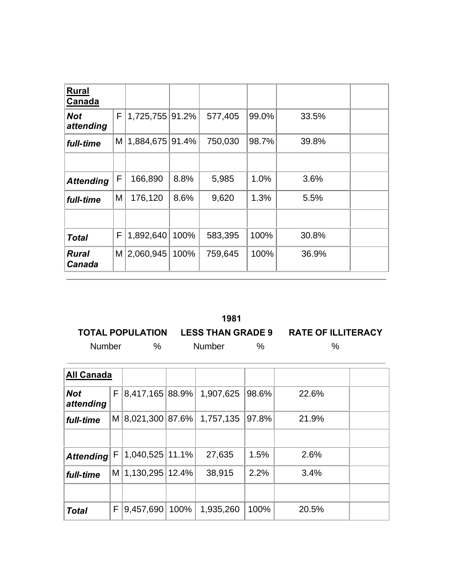| <b>Rural</b><br>Canada        |          |                 |       |         |       |       |  |
|-------------------------------|----------|-----------------|-------|---------|-------|-------|--|
| <b>Not</b><br>attending       | F        | 1,725,755       | 91.2% | 577,405 | 99.0% | 33.5% |  |
| full-time                     | $M \mid$ | 1,884,675 91.4% |       | 750,030 | 98.7% | 39.8% |  |
|                               |          |                 |       |         |       |       |  |
| <b>Attending</b>              | F        | 166,890         | 8.8%  | 5,985   | 1.0%  | 3.6%  |  |
| full-time                     | Μ        | 176,120         | 8.6%  | 9,620   | 1.3%  | 5.5%  |  |
|                               |          |                 |       |         |       |       |  |
| <b>Total</b>                  | F        | 1,892,640       | 100%  | 583,395 | 100%  | 30.8% |  |
| <b>Rural</b><br><b>Canada</b> | $M \mid$ | 2,060,945       | 100%  | 759,645 | 100%  | 36.9% |  |

|               |               | 1981          |                                                       |
|---------------|---------------|---------------|-------------------------------------------------------|
|               |               |               | TOTAL POPULATION LESS THAN GRADE 9 RATE OF ILLITERACY |
| <b>Number</b> | $\frac{0}{6}$ | <b>Number</b> | $\%$                                                  |

the control of the control of the control of the control of the control of the control of the control of the control of the control of the control of the control of the control of the control of the control of the control

| <b>All Canada</b>       |          |                      |      |           |       |       |  |
|-------------------------|----------|----------------------|------|-----------|-------|-------|--|
| <b>Not</b><br>attending | F١       | 8,417,165 88.9%      |      | 1,907,625 | 98.6% | 22.6% |  |
| full-time               | $M \mid$ | $ 8,021,300 87.6\% $ |      | 1,757,135 | 97.8% | 21.9% |  |
|                         |          |                      |      |           |       |       |  |
| <b>Attending</b>        | F.       | 1,040,525 11.1%      |      | 27,635    | 1.5%  | 2.6%  |  |
| full-time               | $M \mid$ | 1,130,295 12.4%      |      | 38,915    | 2.2%  | 3.4%  |  |
|                         |          |                      |      |           |       |       |  |
| <b>Total</b>            | F        | 9,457,690            | 100% | 1,935,260 | 100%  | 20.5% |  |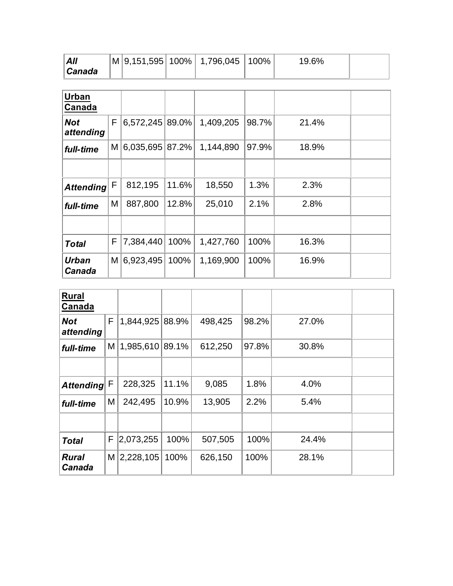| All    |  | M 9,151,595 100% 1,796,045 100% | 19.6% |  |
|--------|--|---------------------------------|-------|--|
| Canada |  |                                 |       |  |

| Urban<br>Canada         |          |                 |       |           |       |       |  |
|-------------------------|----------|-----------------|-------|-----------|-------|-------|--|
| <b>Not</b><br>attending | F        | 6,572,245 89.0% |       | 1,409,205 | 98.7% | 21.4% |  |
| full-time               | M        | 6,035,695 87.2% |       | 1,144,890 | 97.9% | 18.9% |  |
|                         |          |                 |       |           |       |       |  |
| <b>Attending</b>        | F        | 812,195         | 11.6% | 18,550    | 1.3%  | 2.3%  |  |
| full-time               | M        | 887,800         | 12.8% | 25,010    | 2.1%  | 2.8%  |  |
|                         |          |                 |       |           |       |       |  |
| <b>Total</b>            | F        | 7,384,440       | 100%  | 1,427,760 | 100%  | 16.3% |  |
| Urban<br>Canada         | $M \mid$ | 6,923,495       | 100%  | 1,169,900 | 100%  | 16.9% |  |

| <b>Rural</b><br>Canada  |          |                   |       |         |       |       |  |
|-------------------------|----------|-------------------|-------|---------|-------|-------|--|
| <b>Not</b><br>attending | F.       | 1,844,925 88.9%   |       | 498,425 | 98.2% | 27.0% |  |
| full-time               | $M \mid$ | $1,985,610$ 89.1% |       | 612,250 | 97.8% | 30.8% |  |
|                         |          |                   |       |         |       |       |  |
| <b>Attending</b>        | F        | 228,325           | 11.1% | 9,085   | 1.8%  | 4.0%  |  |
| full-time               | Μ        | 242,495           | 10.9% | 13,905  | 2.2%  | 5.4%  |  |
|                         |          |                   |       |         |       |       |  |
| <b>Total</b>            | F        | 2,073,255         | 100%  | 507,505 | 100%  | 24.4% |  |
| <b>Rural</b><br>Canada  |          | $M$   2,228,105   | 100%  | 626,150 | 100%  | 28.1% |  |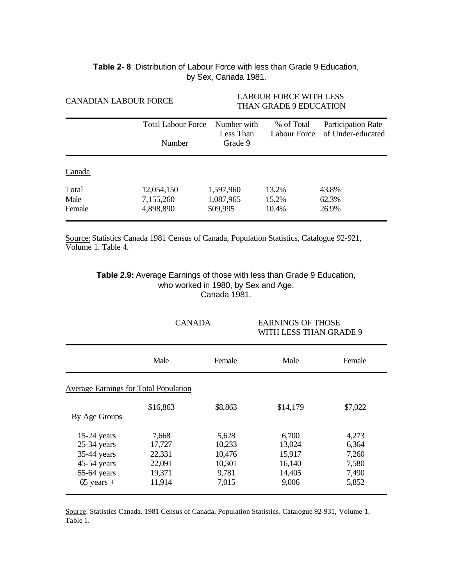#### **Table 2- 8**: Distribution of Labour Force with less than Grade 9 Education, by Sex, Canada 1981.

| <b>CANADIAN LABOUR FORCE</b> |                                     | LABOUR FORCE WITH LESS<br><b>THAN GRADE 9 EDUCATION</b> |                            |                                         |  |
|------------------------------|-------------------------------------|---------------------------------------------------------|----------------------------|-----------------------------------------|--|
|                              | <b>Total Labour Force</b><br>Number | Number with<br>Less Than<br>Grade 9                     | % of Total<br>Labour Force | Participation Rate<br>of Under-educated |  |
| Canada                       |                                     |                                                         |                            |                                         |  |
| Total                        | 12,054,150                          | 1,597,960                                               | 13.2%                      | 43.8%                                   |  |
| Male                         | 7,155,260                           | 1,087,965                                               | 15.2%                      | 62.3%                                   |  |
| Female                       | 4,898,890                           | 509,995                                                 | 10.4%                      | 26.9%                                   |  |

Source: Statistics Canada 1981 Census of Canada, Population Statistics, Catalogue 92-921, Volume 1. Table 4.

> **Table 2.9:** Average Earnings of those with less than Grade 9 Education, who worked in 1980, by Sex and Age. Canada 1981.

| Male<br>Female<br>Average Earnings for Total Population         | Male                                          | Female                                             |
|-----------------------------------------------------------------|-----------------------------------------------|----------------------------------------------------|
|                                                                 |                                               |                                                    |
|                                                                 |                                               |                                                    |
| \$16,863<br>\$8,863                                             | \$14,179                                      | \$7,022                                            |
| 7,668<br>5,628<br>17,727<br>22,331<br>22,091<br>19,371<br>9,781 | 6,700<br>13,024<br>15,917<br>16,140<br>14,405 | 4,273<br>6,364<br>7,260<br>7,580<br>7,490<br>5,852 |
|                                                                 | 11,914                                        | 10,233<br>10,476<br>10,301<br>7,015<br>9,006       |

Source: Statistics Canada. 1981 Census of Canada, Population Statistics. Catalogue 92-931, Volume 1, Table 1.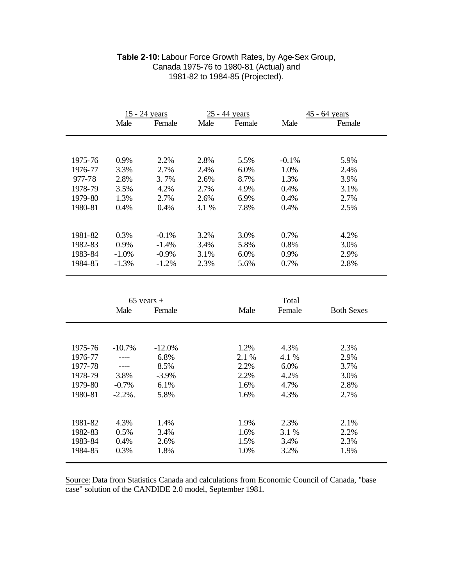|         |            | 15 - 24 years |       | 25 - 44 years |         | 45 - 64 years     |
|---------|------------|---------------|-------|---------------|---------|-------------------|
|         | Male       | Female        | Male  | Female        | Male    | Female            |
|         |            |               |       |               |         |                   |
|         |            |               |       |               |         |                   |
| 1975-76 | 0.9%       | 2.2%          | 2.8%  | 5.5%          | $-0.1%$ | 5.9%              |
| 1976-77 | 3.3%       | 2.7%          | 2.4%  | 6.0%          | 1.0%    | 2.4%              |
| 977-78  | 2.8%       | 3.7%          | 2.6%  | 8.7%          | 1.3%    | 3.9%              |
| 1978-79 | 3.5%       | 4.2%          | 2.7%  | 4.9%          | 0.4%    | 3.1%              |
| 1979-80 | 1.3%       | 2.7%          | 2.6%  | 6.9%          | 0.4%    | 2.7%              |
| 1980-81 | 0.4%       | 0.4%          | 3.1 % | 7.8%          | 0.4%    | 2.5%              |
|         |            |               |       |               |         |                   |
| 1981-82 | 0.3%       | $-0.1%$       | 3.2%  | 3.0%          | 0.7%    | 4.2%              |
| 1982-83 | 0.9%       | $-1.4%$       | 3.4%  | 5.8%          | 0.8%    | 3.0%              |
| 1983-84 | $-1.0%$    | $-0.9\%$      | 3.1%  | 6.0%          | 0.9%    | 2.9%              |
| 1984-85 | $-1.3%$    | $-1.2%$       | 2.3%  | 5.6%          | 0.7%    | 2.8%              |
|         |            |               |       |               |         |                   |
|         |            |               |       |               |         |                   |
|         |            |               |       |               |         |                   |
|         |            | $65$ vears +  |       |               | Total   |                   |
|         | Male       | Female        |       | Male          | Female  | <b>Both Sexes</b> |
|         |            |               |       |               |         |                   |
|         |            |               |       |               |         |                   |
| 1975-76 | $-10.7%$   | $-12.0%$      |       | 1.2%          | 4.3%    | 2.3%              |
| 1976-77 | $---$      | 6.8%          |       | 2.1 %         | 4.1 %   | 2.9%              |
| 1977-78 | ----       | 8.5%          |       | 2.2%          | 6.0%    | 3.7%              |
| 1978-79 | 3.8%       | $-3.9%$       |       | 2.2%          | 4.2%    | 3.0%              |
| 1979-80 | $-0.7%$    | 6.1%          |       | 1.6%          | 4.7%    | 2.8%              |
| 1980-81 | $-2.2\%$ . | 5.8%          |       | 1.6%          | 4.3%    | 2.7%              |
|         |            |               |       |               |         |                   |
| 1981-82 | 4.3%       | 1.4%          |       | 1.9%          | 2.3%    | 2.1%              |
| 1982-83 | 0.5%       | 3.4%          |       | 1.6%          | 3.1 %   | 2.2%              |
|         |            |               |       |               |         |                   |
| 1983-84 | 0.4%       | 2.6%          |       | 1.5%          | 3.4%    | 2.3%              |

#### **Table 2-10:** Labour Force Growth Rates, by Age-Sex Group, Canada 1975-76 to 1980-81 (Actual) and 1981-82 to 1984-85 (Projected).

Source: Data from Statistics Canada and calculations from Economic Council of Canada, "base case" solution of the CANDIDE 2.0 model, September 1981.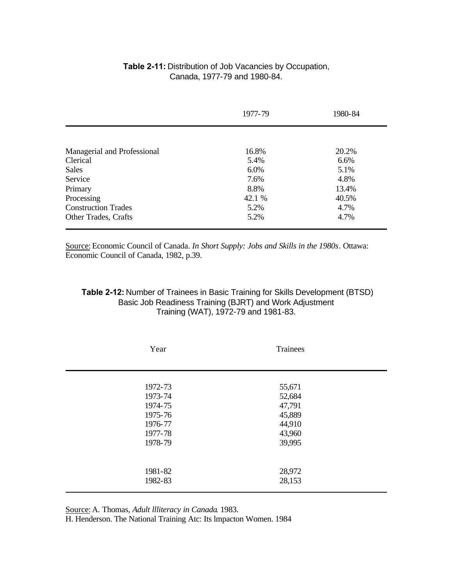#### **Table 2-11:** Distribution of Job Vacancies by Occupation, Canada, 1977-79 and 1980-84.

|                             | 1977-79 | 1980-84 |
|-----------------------------|---------|---------|
|                             |         |         |
| Managerial and Professional | 16.8%   | 20.2%   |
| Clerical                    | 5.4%    | 6.6%    |
| <b>Sales</b>                | 6.0%    | 5.1%    |
| Service                     | 7.6%    | 4.8%    |
| Primary                     | 8.8%    | 13.4%   |
| Processing                  | 42.1 %  | 40.5%   |
| <b>Construction Trades</b>  | 5.2%    | 4.7%    |
| <b>Other Trades, Crafts</b> | 5.2%    | 4.7%    |

Source: Economic Council of Canada. *In Short Supply: Jobs and Skills in the 1980s*. Ottawa: Economic Council of Canada, 1982, p.39.

#### **Table 2-12:** Number of Trainees in Basic Training for Skills Development (BTSD) Basic Job Readiness Training (BJRT) and Work Adjustment Training (WAT), 1972-79 and 1981-83.

| Year    | Trainees |  |  |
|---------|----------|--|--|
| 1972-73 | 55,671   |  |  |
| 1973-74 | 52,684   |  |  |
| 1974-75 | 47,791   |  |  |
| 1975-76 | 45,889   |  |  |
| 1976-77 | 44,910   |  |  |
| 1977-78 | 43,960   |  |  |
| 1978-79 | 39,995   |  |  |
|         |          |  |  |
| 1981-82 | 28,972   |  |  |
| 1982-83 | 28,153   |  |  |
|         |          |  |  |

Source: A. Thomas, *Adult llliteracy in Canada*. 1983.

H. Henderson. The National Training Atc: Its lmpacton Women. 1984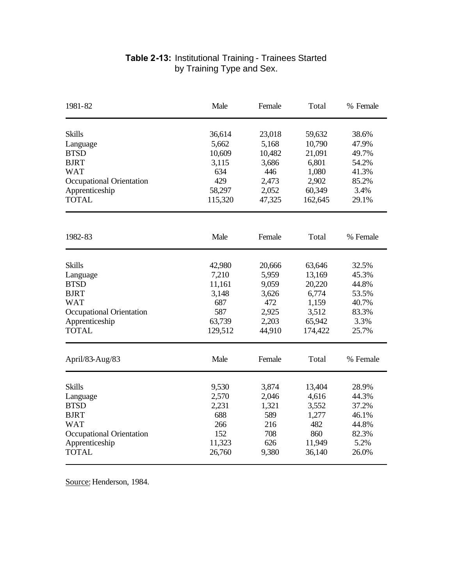| 1981-82                         | Male    | Female | Total   | % Female |
|---------------------------------|---------|--------|---------|----------|
| <b>Skills</b>                   | 36,614  | 23,018 | 59,632  | 38.6%    |
| Language                        | 5,662   | 5,168  | 10,790  | 47.9%    |
| <b>BTSD</b>                     | 10,609  | 10,482 | 21,091  | 49.7%    |
| <b>BJRT</b>                     | 3,115   | 3,686  | 6,801   | 54.2%    |
| <b>WAT</b>                      | 634     | 446    | 1,080   | 41.3%    |
| Occupational Orientation        | 429     | 2,473  | 2,902   | 85.2%    |
| Apprenticeship                  | 58,297  | 2,052  | 60,349  | 3.4%     |
| <b>TOTAL</b>                    | 115,320 | 47,325 | 162,645 | 29.1%    |
|                                 |         |        |         |          |
| 1982-83                         | Male    | Female | Total   | % Female |
| <b>Skills</b>                   | 42,980  | 20,666 | 63,646  | 32.5%    |
| Language                        | 7,210   | 5,959  | 13,169  | 45.3%    |
| <b>BTSD</b>                     | 11,161  | 9,059  | 20,220  | 44.8%    |
| <b>BJRT</b>                     | 3,148   | 3,626  | 6,774   | 53.5%    |
| <b>WAT</b>                      | 687     | 472    | 1,159   | 40.7%    |
| <b>Occupational Orientation</b> | 587     | 2,925  | 3,512   | 83.3%    |
| Apprenticeship                  | 63,739  | 2,203  | 65,942  | 3.3%     |
| <b>TOTAL</b>                    | 129,512 | 44,910 | 174,422 | 25.7%    |
| April/83-Aug/83                 | Male    | Female | Total   | % Female |
| <b>Skills</b>                   | 9,530   | 3,874  | 13,404  | 28.9%    |
| Language                        | 2,570   | 2,046  | 4,616   | 44.3%    |
| <b>BTSD</b>                     | 2,231   | 1,321  | 3,552   | 37.2%    |
| <b>BJRT</b>                     | 688     | 589    | 1,277   | 46.1%    |
| <b>WAT</b>                      | 266     | 216    | 482     | 44.8%    |
| <b>Occupational Orientation</b> | 152     | 708    | 860     | 82.3%    |
| Apprenticeship                  | 11,323  | 626    | 11,949  | 5.2%     |
| <b>TOTAL</b>                    | 26,760  | 9,380  | 36,140  | 26.0%    |

#### **Table 2-13:** Institutional Training - Trainees Started by Training Type and Sex.

Source: Henderson, 1984.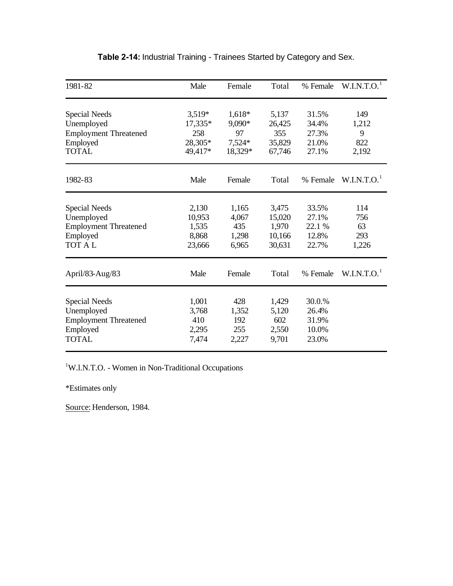| 1981-82                      | Male      | Female   | Total  | % Female | W.I.N.T.O. <sup>1</sup> |
|------------------------------|-----------|----------|--------|----------|-------------------------|
| Special Needs                | $3,519*$  | 1,618*   | 5,137  | 31.5%    | 149                     |
| Unemployed                   | $17,335*$ | 9,090*   | 26,425 | 34.4%    | 1,212                   |
| <b>Employment Threatened</b> | 258       | 97       | 355    | 27.3%    | 9                       |
| Employed                     | 28,305*   | $7,524*$ | 35,829 | 21.0%    | 822                     |
| <b>TOTAL</b>                 | 49,417*   | 18,329*  | 67,746 | 27.1%    | 2,192                   |
| 1982-83                      | Male      | Female   | Total  | % Female | W.I.N.T.O. <sup>1</sup> |
| <b>Special Needs</b>         | 2,130     | 1,165    | 3,475  | 33.5%    | 114                     |
| Unemployed                   | 10,953    | 4,067    | 15,020 | 27.1%    | 756                     |
| <b>Employment Threatened</b> | 1,535     | 435      | 1,970  | 22.1 %   | 63                      |
| Employed                     | 8,868     | 1,298    | 10,166 | 12.8%    | 293                     |
| <b>TOT AL</b>                | 23,666    | 6,965    | 30,631 | 22.7%    | 1,226                   |
| April/83-Aug/83              | Male      | Female   | Total  | % Female | W.I.N.T.O. <sup>1</sup> |
| <b>Special Needs</b>         | 1,001     | 428      | 1,429  | 30.0.%   |                         |
| Unemployed                   | 3,768     | 1,352    | 5,120  | 26.4%    |                         |
| <b>Employment Threatened</b> | 410       | 192      | 602    | 31.9%    |                         |
| Employed                     | 2,295     | 255      | 2,550  | 10.0%    |                         |
| <b>TOTAL</b>                 | 7,474     | 2,227    | 9,701  | 23.0%    |                         |

## **Table 2-14:** Industrial Training - Trainees Started by Category and Sex.

<sup>1</sup>W.l.N.T.O. - Women in Non-Traditional Occupations

\*Estimates only

Source: Henderson, 1984.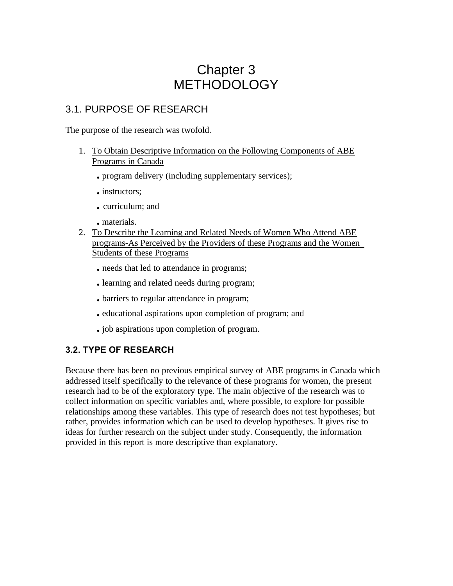# Chapter 3 METHODOLOGY

# 3.1. PURPOSE OF RESEARCH

The purpose of the research was twofold.

- 1. To Obtain Descriptive Information on the Following Components of ABE Programs in Canada
	- **.** program delivery (including supplementary services);
	- **.** instructors;
	- **.** curriculum; and
	- **.** materials.
- 2. To Describe the Learning and Related Needs of Women Who Attend ABE programs-As Perceived by the Providers of these Programs and the Women Students of these Programs
	- **.** needs that led to attendance in programs;
	- **.** learning and related needs during program;
	- **.** barriers to regular attendance in program;
	- **.** educational aspirations upon completion of program; and
	- **.** job aspirations upon completion of program.

## **3.2. TYPE OF RESEARCH**

Because there has been no previous empirical survey of ABE programs in Canada which addressed itself specifically to the relevance of these programs for women, the present research had to be of the exploratory type. The main objective of the research was to collect information on specific variables and, where possible, to explore for possible relationships among these variables. This type of research does not test hypotheses; but rather, provides information which can be used to develop hypotheses. It gives rise to ideas for further research on the subject under study. Consequently, the information provided in this report is more descriptive than explanatory.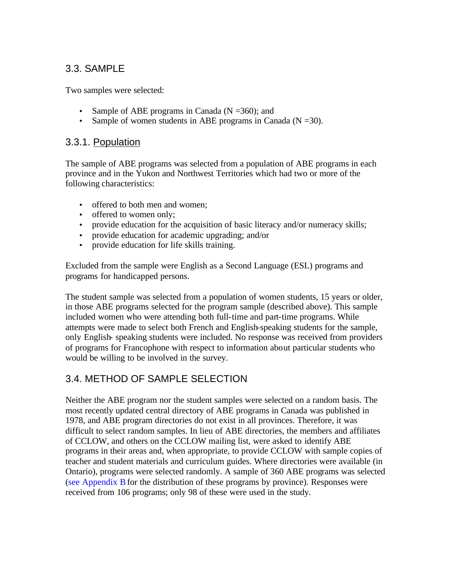# 3.3. SAMPLE

Two samples were selected:

- Sample of ABE programs in Canada ( $N = 360$ ); and
- Sample of women students in ABE programs in Canada  $(N = 30)$ .

## 3.3.1. Population

The sample of ABE programs was selected from a population of ABE programs in each province and in the Yukon and Northwest Territories which had two or more of the following characteristics:

- offered to both men and women:
- offered to women only;
- provide education for the acquisition of basic literacy and/or numeracy skills;
- provide education for academic upgrading; and/or
- provide education for life skills training.

Excluded from the sample were English as a Second Language (ESL) programs and programs for handicapped persons.

The student sample was selected from a population of women students, 15 years or older, in those ABE programs selected for the program sample (described above). This sample included women who were attending both full-time and part-time programs. While attempts were made to select both French and English-speaking students for the sample, only English- speaking students were included. No response was received from providers of programs for Francophone with respect to information about particular students who would be willing to be involved in the survey.

# 3.4. METHOD OF SAMPLE SELECTION

Neither the ABE program nor the student samples were selected on a random basis. The most recently updated central directory of ABE programs in Canada was published in 1978, and ABE program directories do not exist in all provinces. Therefore, it was difficult to select random samples. In lieu of ABE directories, the members and affiliates of CCLOW, and others on the CCLOW mailing list, were asked to identify ABE programs in their areas and, when appropriate, to provide CCLOW with sample copies of teacher and student materials and curriculum guides. Where directories were available (in Ontario), programs were selected randomly. A sample of 360 ABE programs was selected [\(see Appendix B](#page-101-0) for the distribution of these programs by province). Responses were received from 106 programs; only 98 of these were used in the study.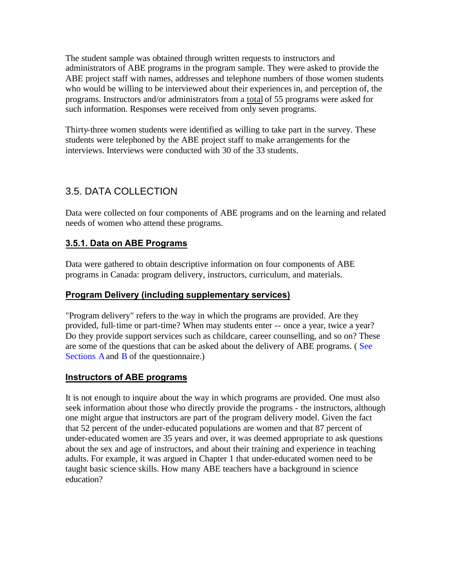The student sample was obtained through written requests to instructors and administrators of ABE programs in the program sample. They were asked to provide the ABE project staff with names, addresses and telephone numbers of those women students who would be willing to be interviewed about their experiences in, and perception of, the programs. Instructors and/or administrators from a total of 55 programs were asked for such information. Responses were received from only seven programs.

Thirty-three women students were identified as willing to take part in the survey. These students were telephoned by the ABE project staff to make arrangements for the interviews. Interviews were conducted with 30 of the 33 students.

# 3.5. DATA COLLECTION

Data were collected on four components of ABE programs and on the learning and related needs of women who attend these programs.

## **3.5.1. Data on ABE Programs**

Data were gathered to obtain descriptive information on four components of ABE programs in Canada: program delivery, instructors, curriculum, and materials.

#### **Program Delivery (including supplementary services)**

"Program delivery" refers to the way in which the programs are provided. Are they provided, full-time or part-time? When may students enter -- once a year, twice a year? Do they provide support services such as childcare, career counselling, and so on? These are some of the questions that can be asked about the delivery of ABE programs. ( See [Sections A](#page-99-0) and [B o](#page-101-0)f the questionnaire.)

#### **Instructors of ABE programs**

It is not enough to inquire about the way in which programs are provided. One must also seek information about those who directly provide the programs - the instructors, although one might argue that instructors are part of the program delivery model. Given the fact that 52 percent of the under-educated populations are women and that 87 percent of under-educated women are 35 years and over, it was deemed appropriate to ask questions about the sex and age of instructors, and about their training and experience in teaching adults. For example, it was argued in Chapter 1 that under-educated women need to be taught basic science skills. How many ABE teachers have a background in science education?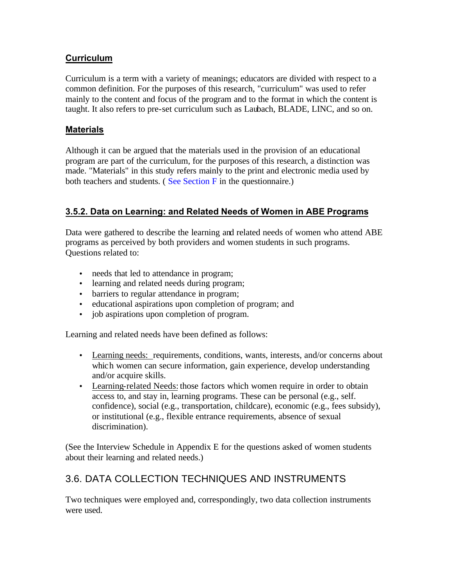## **Curriculum**

Curriculum is a term with a variety of meanings; educators are divided with respect to a common definition. For the purposes of this research, "curriculum" was used to refer mainly to the content and focus of the program and to the format in which the content is taught. It also refers to pre-set curriculum such as Laubach, BLADE, LINC, and so on.

## **Materials**

Although it can be argued that the materials used in the provision of an educational program are part of the curriculum, for the purposes of this research, a distinction was made. "Materials" in this study refers mainly to the print and electronic media used by both teachers and students. ( [See Section F](#page-102-0) in the questionnaire.)

## **3.5.2. Data on Learning: and Related Needs of Women in ABE Programs**

Data were gathered to describe the learning and related needs of women who attend ABE programs as perceived by both providers and women students in such programs. Questions related to:

- needs that led to attendance in program;
- learning and related needs during program;
- barriers to regular attendance in program:
- educational aspirations upon completion of program; and
- job aspirations upon completion of program.

Learning and related needs have been defined as follows:

- Learning needs: requirements, conditions, wants, interests, and/or concerns about which women can secure information, gain experience, develop understanding and/or acquire skills.
- Learning-related Needs: those factors which women require in order to obtain access to, and stay in, learning programs. These can be personal (e.g., self. confidence), social (e.g., transportation, childcare), economic (e.g., fees subsidy), or institutional (e.g., flexible entrance requirements, absence of sexual discrimination).

(See the Interview Schedule in Appendix E for the questions asked of women students about their learning and related needs.)

# 3.6. DATA COLLECTION TECHNIQUES AND INSTRUMENTS

Two techniques were employed and, correspondingly, two data collection instruments were used.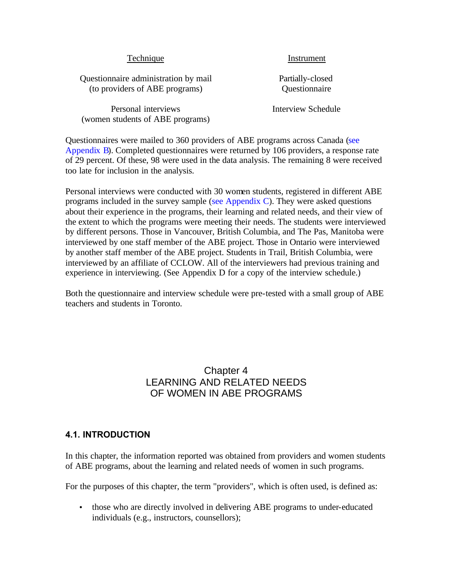| Technique |
|-----------|
|           |

Instrument

Questionnaire administration by mail Partially-closed (to providers of ABE programs) Questionnaire

Personal interviews **Interview Schedule** (women students of ABE programs)

Questionnaires were mailed to 360 providers of ABE programs across Canada (see [Appendix B\).](#page-101-0) Completed questionnaires were returned by 106 providers, a response rate of 29 percent. Of these, 98 were used in the data analysis. The remaining 8 were received too late for inclusion in the analysis.

Personal interviews were conducted with 30 women students, registered in different ABE programs included in the survey sample [\(see Appendix C\)](#page-101-0). They were asked questions about their experience in the programs, their learning and related needs, and their view of the extent to which the programs were meeting their needs. The students were interviewed by different persons. Those in Vancouver, British Columbia, and The Pas, Manitoba were interviewed by one staff member of the ABE project. Those in Ontario were interviewed by another staff member of the ABE project. Students in Trail, British Columbia, were interviewed by an affiliate of CCLOW. All of the interviewers had previous training and experience in interviewing. (See Appendix D for a copy of the interview schedule.)

Both the questionnaire and interview schedule were pre-tested with a small group of ABE teachers and students in Toronto.

## Chapter 4 LEARNING AND RELATED NEEDS OF WOMEN IN ABE PROGRAMS

## **4.1. INTRODUCTION**

In this chapter, the information reported was obtained from providers and women students of ABE programs, about the learning and related needs of women in such programs.

For the purposes of this chapter, the term "providers", which is often used, is defined as:

• those who are directly involved in delivering ABE programs to under-educated individuals (e.g., instructors, counsellors);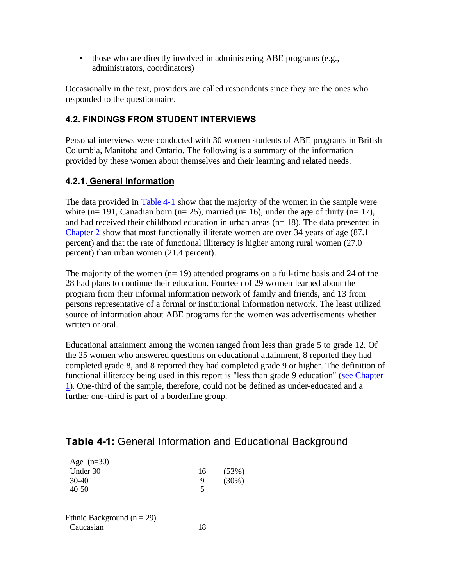<span id="page-55-0"></span>• those who are directly involved in administering ABE programs (e.g., administrators, coordinators)

Occasionally in the text, providers are called respondents since they are the ones who responded to the questionnaire.

## **4.2. FINDINGS FROM STUDENT INTERVIEWS**

Personal interviews were conducted with 30 women students of ABE programs in British Columbia, Manitoba and Ontario. The following is a summary of the information provided by these women about themselves and their learning and related needs.

## **4.2.1. General Information**

The data provided in Table 4-1 show that the majority of the women in the sample were white (n= 191, Canadian born (n= 25), married (n= 16), under the age of thirty (n= 17), and had received their childhood education in urban areas (n= 18). The data presented in [Chapter 2](#page-21-0) show that most functionally illiterate women are over 34 years of age (87.1 percent) and that the rate of functional illiteracy is higher among rural women (27.0 percent) than urban women (21.4 percent).

The majority of the women  $(n= 19)$  attended programs on a full-time basis and 24 of the 28 had plans to continue their education. Fourteen of 29 women learned about the program from their informal information network of family and friends, and 13 from persons representative of a formal or institutional information network. The least utilized source of information about ABE programs for the women was advertisements whether written or oral.

Educational attainment among the women ranged from less than grade 5 to grade 12. Of the 25 women who answered questions on educational attainment, 8 reported they had completed grade 8, and 8 reported they had completed grade 9 or higher. The definition of functional illiteracy being used in this report is "less than grade 9 education" [\(see Chapter](#page-17-0)  1). One-third of the sample, therefore, could not be defined as under-educated and a further one-third is part of a borderline group.

# **Table 4-1:** General Information and Educational Background

| $Age (n=30)$                   |    |          |
|--------------------------------|----|----------|
| Under 30                       | 16 | (53%)    |
| $30-40$                        | 9  | $(30\%)$ |
| $40 - 50$                      | 5  |          |
|                                |    |          |
|                                |    |          |
| $Fthnio$ Rockground $(n - 20)$ |    |          |

| Ethnic Background ( $n = 29$ ) |    |
|--------------------------------|----|
| Caucasian                      | 18 |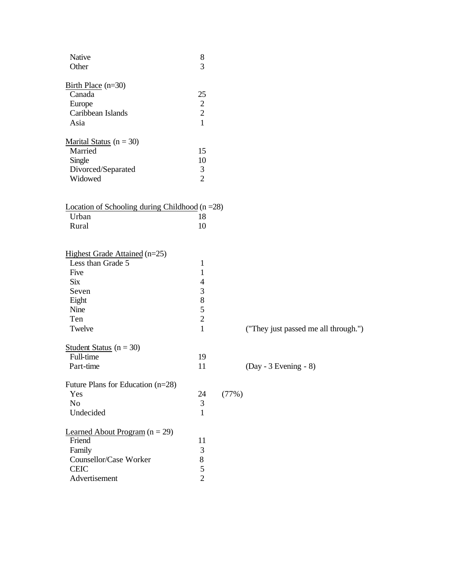| Native<br>Other                                                                                                     | $8\,$<br>3                                                                                        |       |                                      |
|---------------------------------------------------------------------------------------------------------------------|---------------------------------------------------------------------------------------------------|-------|--------------------------------------|
| Birth Place $(n=30)$<br>Canada<br>Europe<br>Caribbean Islands<br>Asia                                               | 25<br>$\sqrt{2}$<br>$\sqrt{2}$<br>$\mathbf{1}$                                                    |       |                                      |
| <u>Marital Status</u> ( $n = 30$ )<br>Married<br>Single<br>Divorced/Separated<br>Widowed                            | 15<br>10<br>3<br>$\overline{2}$                                                                   |       |                                      |
| Location of Schooling during Childhood $(n = 28)$<br>Urban<br>Rural                                                 | 18<br>10                                                                                          |       |                                      |
| Highest Grade Attained (n=25)<br>Less than Grade 5<br>Five<br><b>Six</b><br>Seven<br>Eight<br>Nine<br>Ten<br>Twelve | 1<br>$\mathbf{1}$<br>$\overline{4}$<br>$\mathfrak{Z}$<br>$8\,$<br>5<br>$\sqrt{2}$<br>$\mathbf{1}$ |       | ("They just passed me all through.") |
| Student Status $(n = 30)$<br>Full-time<br>Part-time                                                                 | 19<br>11                                                                                          |       | $(Day - 3 Evening - 8)$              |
| Future Plans for Education (n=28)<br>Yes<br>No<br>Undecided                                                         | 24<br>3<br>$\mathbf{1}$                                                                           | (77%) |                                      |
| Learned About Program $(n = 29)$<br>Friend<br>Family<br>Counsellor/Case Worker<br><b>CEIC</b><br>Advertisement      | 11<br>3<br>$8\,$<br>5<br>$\overline{2}$                                                           |       |                                      |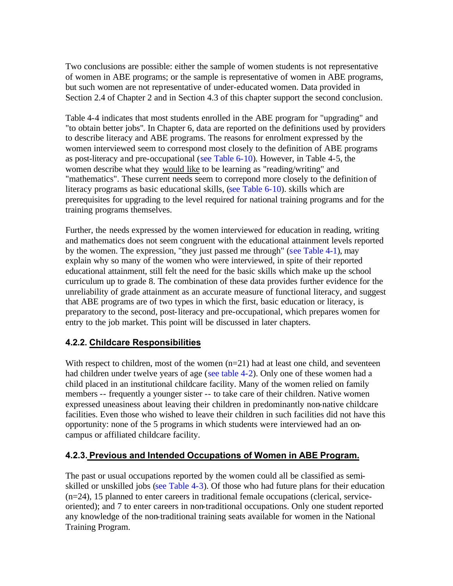Two conclusions are possible: either the sample of women students is not representative of women in ABE programs; or the sample is representative of women in ABE programs, but such women are not representative of under-educated women. Data provided in Section 2.4 of Chapter 2 and in Section 4.3 of this chapter support the second conclusion.

Table 4-4 indicates that most students enrolled in the ABE program for "upgrading" and "to obtain better jobs". In Chapter 6, data are reported on the definitions used by providers to describe literacy and ABE programs. The reasons for enrolment expressed by the women interviewed seem to correspond most closely to the definition of ABE programs as post-literacy and pre-occupational ([see Table 6-10\).](#page-85-0) However, in Table 4-5, the women describe what they would like to be learning as "reading/writing" and "mathematics". These current needs seem to correpond more closely to the definition of literacy programs as basic educational skills, [\(see Table 6-10\)](#page-85-0). skills which are prerequisites for upgrading to the level required for national training programs and for the training programs themselves.

Further, the needs expressed by the women interviewed for education in reading, writing and mathematics does not seem congruent with the educational attainment levels reported by the women. The expression, "they just passed me through" [\(see Table 4-1\),](#page-55-0) may explain why so many of the women who were interviewed, in spite of their reported educational attainment, still felt the need for the basic skills which make up the school curriculum up to grade 8. The combination of these data provides further evidence for the unreliability of grade attainment as an accurate measure of functional literacy, and suggest that ABE programs are of two types in which the first, basic education or literacy, is preparatory to the second, post-literacy and pre-occupational, which prepares women for entry to the job market. This point will be discussed in later chapters.

## **4.2.2. Childcare Responsibilities**

With respect to children, most of the women  $(n=21)$  had at least one child, and seventeen had children under twelve years of age [\(see table 4-2\).](#page-58-0) Only one of these women had a child placed in an institutional childcare facility. Many of the women relied on family members -- frequently a younger sister -- to take care of their children. Native women expressed uneasiness about leaving their children in predominantly non-native childcare facilities. Even those who wished to leave their children in such facilities did not have this opportunity: none of the 5 programs in which students were interviewed had an oncampus or affiliated childcare facility.

## **4.2.3. Previous and Intended Occupations of Women in ABE Program.**

The past or usual occupations reported by the women could all be classified as semiskilled or unskilled jobs [\(see Table 4-3\)](#page-60-0). Of those who had future plans for their education (n=24), 15 planned to enter careers in traditional female occupations (clerical, serviceoriented); and 7 to enter careers in non-traditional occupations. Only one student reported any knowledge of the non-traditional training seats available for women in the National Training Program.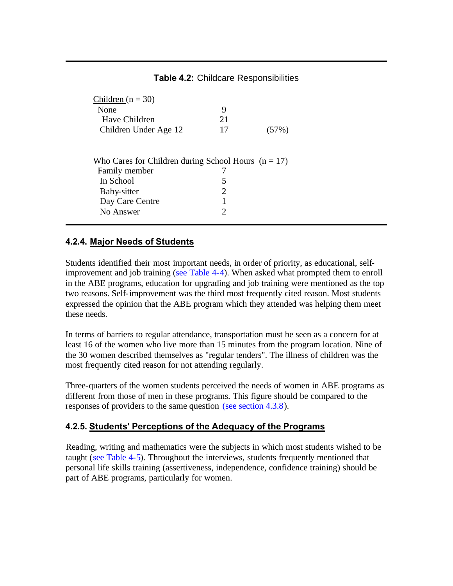#### **Table 4.2:** Childcare Responsibilities

<span id="page-58-0"></span>

| Children ( $n = 30$ )                                 |                       |       |
|-------------------------------------------------------|-----------------------|-------|
| None                                                  | 9                     |       |
| Have Children                                         | 21                    |       |
| Children Under Age 12                                 | 17                    | (57%) |
|                                                       |                       |       |
| Who Cares for Children during School Hours $(n = 17)$ |                       |       |
| Family member                                         |                       |       |
|                                                       |                       |       |
| In School                                             | 5                     |       |
| Baby-sitter                                           | $\mathcal{D}_{\cdot}$ |       |
| Day Care Centre                                       |                       |       |
| No Answer                                             |                       |       |

#### **4.2.4. Major Needs of Students**

Students identified their most important needs, in order of priority, as educational, selfimprovement and job training [\(see Table 4-4\)](#page-61-0). When asked what prompted them to enroll in the ABE programs, education for upgrading and job training were mentioned as the top two reasons. Self-improvement was the third most frequently cited reason. Most students expressed the opinion that the ABE program which they attended was helping them meet these needs.

In terms of barriers to regular attendance, transportation must be seen as a concern for at least 16 of the women who live more than 15 minutes from the program location. Nine of the 30 women described themselves as "regular tenders". The illness of children was the most frequently cited reason for not attending regularly.

Three-quarters of the women students perceived the needs of women in ABE programs as different from those of men in these programs. This figure should be compared to the responses of providers to the same question [\(see section 4.3.8\).](#page-68-0)

## **4.2.5. Students' Perceptions of the Adequacy of the Programs**

Reading, writing and mathematics were the subjects in which most students wished to be taught [\(see Table 4-5\)](#page-62-0). Throughout the interviews, students frequently mentioned that personal life skills training (assertiveness, independence, confidence training) should be part of ABE programs, particularly for women.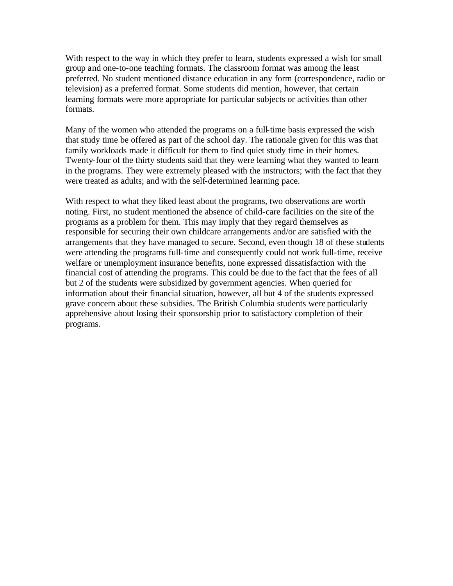With respect to the way in which they prefer to learn, students expressed a wish for small group and one-to-one teaching formats. The classroom format was among the least preferred. No student mentioned distance education in any form (correspondence, radio or television) as a preferred format. Some students did mention, however, that certain learning formats were more appropriate for particular subjects or activities than other formats.

Many of the women who attended the programs on a full-time basis expressed the wish that study time be offered as part of the school day. The rationale given for this was that family workloads made it difficult for them to find quiet study time in their homes. Twenty-four of the thirty students said that they were learning what they wanted to learn in the programs. They were extremely pleased with the instructors; with the fact that they were treated as adults; and with the self-determined learning pace.

With respect to what they liked least about the programs, two observations are worth noting. First, no student mentioned the absence of child-care facilities on the site of the programs as a problem for them. This may imply that they regard themselves as responsible for securing their own childcare arrangements and/or are satisfied with the arrangements that they have managed to secure. Second, even though 18 of these students were attending the programs full-time and consequently could not work full-time, receive welfare or unemployment insurance benefits, none expressed dissatisfaction with the financial cost of attending the programs. This could be due to the fact that the fees of all but 2 of the students were subsidized by government agencies. When queried for information about their financial situation, however, all but 4 of the students expressed grave concern about these subsidies. The British Columbia students were particularly apprehensive about losing their sponsorship prior to satisfactory completion of their programs.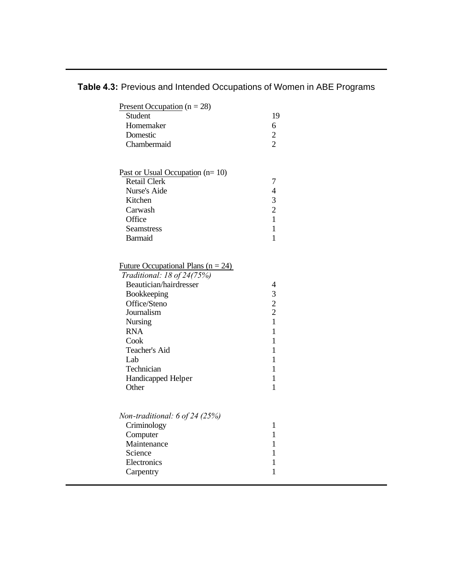| Present Occupation ( $n = 28$ )<br>Student<br>Homemaker<br>Domestic<br>Chambermaid                                                                                                                                                                       | 19<br>6<br>$\sqrt{2}$<br>$\overline{2}$                                                                                                                |  |
|----------------------------------------------------------------------------------------------------------------------------------------------------------------------------------------------------------------------------------------------------------|--------------------------------------------------------------------------------------------------------------------------------------------------------|--|
| Past or Usual Occupation (n= 10)<br><b>Retail Clerk</b><br>Nurse's Aide<br>Kitchen<br>Carwash<br>Office<br><b>Seamstress</b><br><b>Barmaid</b>                                                                                                           | $\tau$<br>$\overline{4}$<br>3<br>$\overline{2}$<br>1<br>$\mathbf{1}$<br>$\mathbf{1}$                                                                   |  |
| Future Occupational Plans ( $n = 24$ )<br>Traditional: 18 of 24(75%)<br>Beautician/hairdresser<br>Bookkeeping<br>Office/Steno<br>Journalism<br><b>Nursing</b><br><b>RNA</b><br>Cook<br>Teacher's Aid<br>Lab<br>Technician<br>Handicapped Helper<br>Other | $\overline{4}$<br>3<br>$\overline{2}$<br>$\overline{2}$<br>$\mathbf{1}$<br>$\mathbf{1}$<br>1<br>$\mathbf{1}$<br>1<br>1<br>$\mathbf{1}$<br>$\mathbf{1}$ |  |
| Non-traditional: 6 of 24 (25%)<br>Criminology<br>Computer<br>Maintenance<br>Science<br>Electronics<br>Carpentry                                                                                                                                          | $\mathbf{1}$<br>$\mathbf{1}$<br>$\mathbf{1}$<br>1<br>1<br>$\mathbf{1}$                                                                                 |  |

<span id="page-60-0"></span>**Table 4.3:** Previous and Intended Occupations of Women in ABE Programs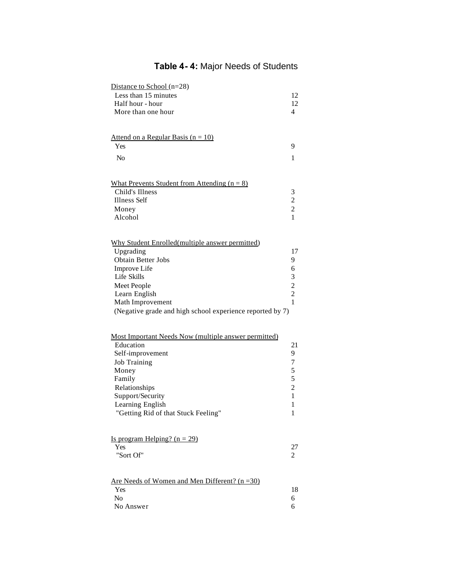# **Table 4- 4:** Major Needs of Students

<span id="page-61-0"></span>

| Distance to School $(n=28)$<br>Less than 15 minutes<br>Half hour - hour<br>More than one hour                                                                                                                                             | 12<br>12<br>4                                                                            |
|-------------------------------------------------------------------------------------------------------------------------------------------------------------------------------------------------------------------------------------------|------------------------------------------------------------------------------------------|
| <u>Attend on a Regular Basis (<math>n = 10</math>)</u><br>Yes<br>N <sub>o</sub>                                                                                                                                                           | 9<br>1                                                                                   |
| What Prevents Student from Attending $(n = 8)$<br>Child's Illness<br><b>Illness Self</b><br>Money<br>Alcohol                                                                                                                              | 3<br>$\overline{c}$<br>$\overline{c}$<br>1                                               |
| Why Student Enrolled(multiple answer permitted)<br>Upgrading<br><b>Obtain Better Jobs</b><br>Improve Life<br>Life Skills<br>Meet People<br>Learn English<br>Math Improvement<br>(Negative grade and high school experience reported by 7) | 17<br>9<br>6<br>3<br>$\frac{2}{2}$<br>$\mathbf{1}$                                       |
| Most Important Needs Now (multiple answer permitted)<br>Education<br>Self-improvement<br><b>Job Training</b><br>Money<br>Family<br>Relationships<br>Support/Security<br>Learning English<br>"Getting Rid of that Stuck Feeling"           | 21<br>9<br>7<br>5<br>5<br>$\overline{c}$<br>$\mathbf{1}$<br>$\mathbf{1}$<br>$\mathbf{1}$ |
| Is program Helping? $(n = 29)$<br>Yes<br>"Sort Of"                                                                                                                                                                                        | 27<br>$\overline{2}$                                                                     |
| Are Needs of Women and Men Different? $(n=30)$<br>Yes<br>No<br>No Answer                                                                                                                                                                  | 18<br>6<br>6                                                                             |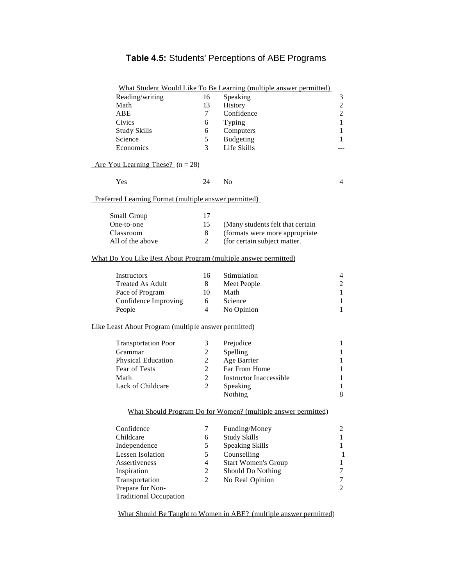# **Table 4.5:** Students' Perceptions of ABE Programs

<span id="page-62-0"></span>

|                                                                 |                | What Student Would Like To Be Learning (multiple answer permitted) |                |
|-----------------------------------------------------------------|----------------|--------------------------------------------------------------------|----------------|
| Reading/writing                                                 | 16             | Speaking                                                           | $\mathfrak{Z}$ |
| Math                                                            | 13             | History                                                            | $\overline{c}$ |
| ABE                                                             | 7              | Confidence                                                         | $\overline{c}$ |
| Civics                                                          | 6              | Typing                                                             | 1              |
| <b>Study Skills</b>                                             | 6              | Computers                                                          | 1              |
| Science                                                         | 5              | Budgeting                                                          | 1              |
| Economics                                                       | 3              | Life Skills                                                        |                |
| Are You Learning These? $(n = 28)$                              |                |                                                                    |                |
| Yes                                                             | 24             | N <sub>o</sub>                                                     | 4              |
| Preferred Learning Format (multiple answer permitted)           |                |                                                                    |                |
| Small Group                                                     | 17             |                                                                    |                |
| One-to-one                                                      | 15             | (Many students felt that certain                                   |                |
| Classroom                                                       | 8              | (formats were more appropriate                                     |                |
| All of the above                                                | $\overline{2}$ | (for certain subject matter.                                       |                |
|                                                                 |                |                                                                    |                |
| What Do You Like Best About Program (multiple answer permitted) |                |                                                                    |                |
| Instructors                                                     | 16             | Stimulation                                                        | 4              |
| <b>Treated As Adult</b>                                         | 8              | Meet People                                                        | $\mathfrak{2}$ |
| Pace of Program                                                 | 10             | Math                                                               | 1              |
| Confidence Improving                                            | 6              | Science                                                            | $\mathbf{1}$   |
| People                                                          | 4              | No Opinion                                                         | 1              |
| Like Least About Program (multiple answer permitted)            |                |                                                                    |                |
| <b>Transportation Poor</b>                                      | 3              | Prejudice                                                          | $\mathbf{1}$   |
| Grammar                                                         | $\overline{c}$ | Spelling                                                           | 1              |
| Physical Education                                              | $\overline{c}$ | Age Barrier                                                        | 1              |
| Fear of Tests                                                   | $\overline{c}$ | Far From Home                                                      | $\mathbf{1}$   |
| Math                                                            | $\overline{c}$ | <b>Instructor Inaccessible</b>                                     | 1              |
| Lack of Childcare                                               | $\overline{2}$ | Speaking                                                           | 1              |
|                                                                 |                | Nothing                                                            | 8              |
|                                                                 |                | What Should Program Do for Women? (multiple answer permitted)      |                |
| Confidence                                                      | 7              | Funding/Money                                                      | 2              |
| Childcare                                                       | 6              | <b>Study Skills</b>                                                | 1              |
| Independence                                                    | 5              | <b>Speaking Skills</b>                                             | 1              |
| Lessen Isolation                                                | 5              | Counselling                                                        | 1              |
| Assertiveness                                                   | $\overline{4}$ | <b>Start Women's Group</b>                                         | 1              |
| Inspiration                                                     | $\overline{c}$ | Should Do Nothing                                                  | $\tau$         |
| Transportation                                                  | $\mathfrak{2}$ | No Real Opinion                                                    | 7              |
| Prepare for Non-                                                |                |                                                                    | $\mathfrak{2}$ |
| <b>Traditional Occupation</b>                                   |                |                                                                    |                |
|                                                                 |                |                                                                    |                |

What Should Be Taught to Women in ABE? (multiple answer permitted)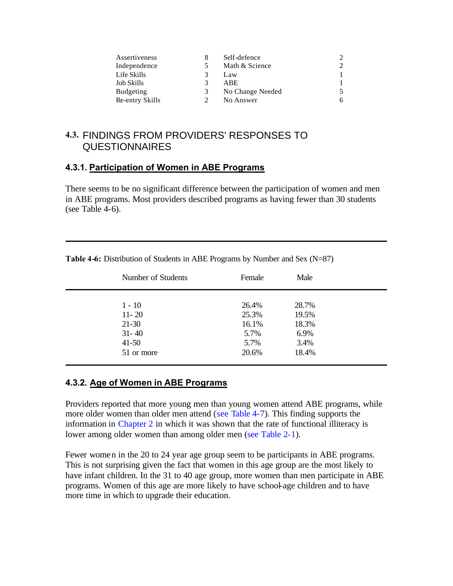| Assertiveness    |   | Self-defence     |   |
|------------------|---|------------------|---|
| Independence     |   | Math & Science   | ി |
| Life Skills      |   | Law              |   |
| Job Skills       | 3 | <b>ABE</b>       |   |
| <b>Budgeting</b> | 3 | No Change Needed |   |
| Re-entry Skills  |   | No Answer        | h |

# **4.3.** FINDINGS FROM PROVIDERS' RESPONSES TO QUESTIONNAIRES

#### **4.3.1. Participation of Women in ABE Programs**

There seems to be no significant difference between the participation of women and men in ABE programs. Most providers described programs as having fewer than 30 students (see Table  $4-6$ ).

| Number of Students | Female | Male  |  |
|--------------------|--------|-------|--|
| $1 - 10$           | 26.4%  | 28.7% |  |
| $11 - 20$          | 25.3%  | 19.5% |  |
| $21-30$            | 16.1%  | 18.3% |  |
| $31 - 40$          | 5.7%   | 6.9%  |  |
| $41 - 50$          | 5.7%   | 3.4%  |  |
| 51 or more         | 20.6%  | 18.4% |  |
|                    |        |       |  |

**Table 4-6:** Distribution of Students in ABE Programs by Number and Sex (N=87)

## **4.3.2. Age of Women in ABE Programs**

Providers reported that more young men than young women attend ABE programs, while more older women than older men attend ([see Table 4-7\)](#page-64-0). This finding supports the information in [Chapter 2](#page-21-0) in which it was shown that the rate of functional illiteracy is lower among older women than among older men [\(see Table 2-1\).](#page-35-0)

Fewer women in the 20 to 24 year age group seem to be participants in ABE programs. This is not surprising given the fact that women in this age group are the most likely to have infant children. In the 31 to 40 age group, more women than men participate in ABE programs. Women of this age are more likely to have school-age children and to have more time in which to upgrade their education.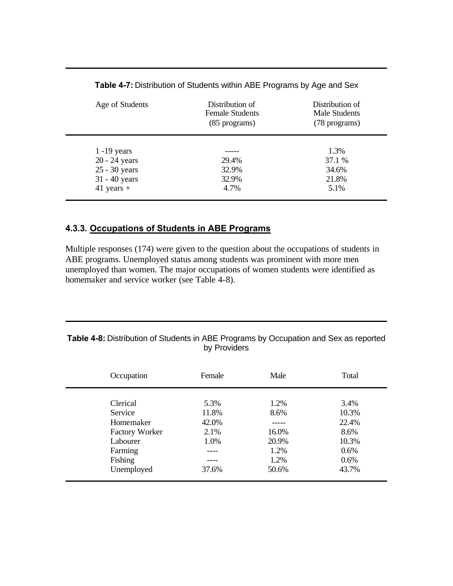<span id="page-64-0"></span>

| Age of Students | Distribution of<br><b>Female Students</b><br>(85 programs) | Distribution of<br>Male Students<br>(78 programs) |
|-----------------|------------------------------------------------------------|---------------------------------------------------|
|                 |                                                            |                                                   |
| $1 - 19$ years  |                                                            | 1.3%                                              |
| 20 - 24 years   | 29.4%                                                      | 37.1 %                                            |
| 25 - 30 years   | 32.9%                                                      | 34.6%                                             |
| $31 - 40$ years | 32.9%                                                      | 21.8%                                             |
| 41 years $+$    | 4.7%                                                       | 5.1%                                              |

**Table 4-7:** Distribution of Students within ABE Programs by Age and Sex

#### **4.3.3. Occupations of Students in ABE Programs**

Multiple responses (174) were given to the question about the occupations of students in ABE programs. Unemployed status among students was prominent with more men unemployed than women. The major occupations of women students were identified as homemaker and service worker (see Table 4-8).

#### **Table 4-8:** Distribution of Students in ABE Programs by Occupation and Sex as reported by Providers

| Occupation            | Female | Male  | Total |
|-----------------------|--------|-------|-------|
|                       |        |       |       |
| Clerical              | 5.3%   | 1.2%  | 3.4%  |
| Service               | 11.8%  | 8.6%  | 10.3% |
| Homemaker             | 42.0%  |       | 22.4% |
| <b>Factory Worker</b> | 2.1%   | 16.0% | 8.6%  |
| Labourer              | 1.0%   | 20.9% | 10.3% |
| Farming               |        | 1.2%  | 0.6%  |
| Fishing               |        | 1.2%  | 0.6%  |
| Unemployed            | 37.6%  | 50.6% | 43.7% |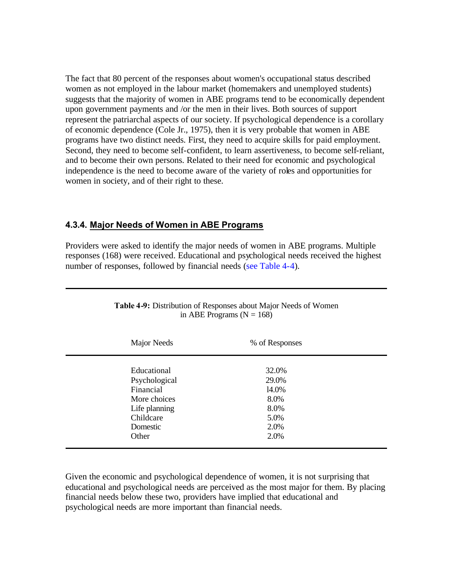The fact that 80 percent of the responses about women's occupational status described women as not employed in the labour market (homemakers and unemployed students) suggests that the majority of women in ABE programs tend to be economically dependent upon government payments and /or the men in their lives. Both sources of support represent the patriarchal aspects of our society. If psychological dependence is a corollary of economic dependence (Cole Jr., 1975), then it is very probable that women in ABE programs have two distinct needs. First, they need to acquire skills for paid employment. Second, they need to become self-confident, to learn assertiveness, to become self-reliant, and to become their own persons. Related to their need for economic and psychological independence is the need to become aware of the variety of roles and opportunities for women in society, and of their right to these.

#### **4.3.4. Major Needs of Women in ABE Programs**

Providers were asked to identify the major needs of women in ABE programs. Multiple responses (168) were received. Educational and psychological needs received the highest number of responses, followed by financial needs [\(see Table 4-4\)](#page-61-0).

| Major Needs   | % of Responses |  |
|---------------|----------------|--|
|               |                |  |
| Educational   | 32.0%          |  |
| Psychological | 29.0%          |  |
| Financial     | 14.0%          |  |
| More choices  | 8.0%           |  |
| Life planning | 8.0%           |  |
| Childcare     | 5.0%           |  |
| Domestic      | 2.0%           |  |
| Other         | 2.0%           |  |

| <b>Table 4-9:</b> Distribution of Responses about Major Needs of Women |
|------------------------------------------------------------------------|
| in ABE Programs ( $N = 168$ )                                          |

Given the economic and psychological dependence of women, it is not surprising that educational and psychological needs are perceived as the most major for them. By placing financial needs below these two, providers have implied that educational and psychological needs are more important than financial needs.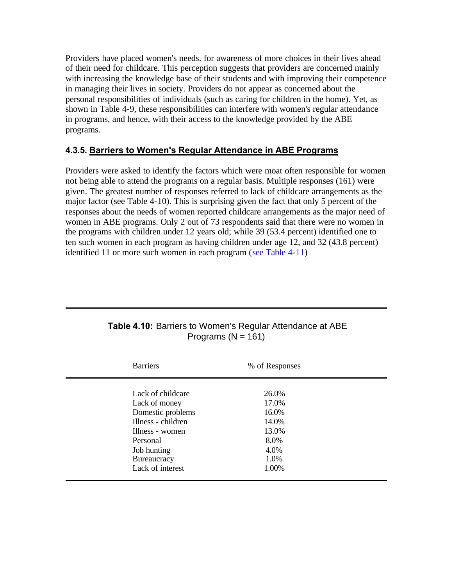Providers have placed women's needs. for awareness of more choices in their lives ahead of their need for childcare. This perception suggests that providers are concerned mainly with increasing the knowledge base of their students and with improving their competence in managing their lives in society. Providers do not appear as concerned about the personal responsibilities of individuals (such as caring for children in the home). Yet, as shown in Table 4-9, these responsibilities can interfere with women's regular attendance in programs, and hence, with their access to the knowledge provided by the ABE programs.

## **4.3.5. Barriers to Women's Regular Attendance in ABE Programs**

Providers were asked to identify the factors which were moat often responsible for women not being able to attend the programs on a regular basis. Multiple responses (161) were given. The greatest number of responses referred to lack of childcare arrangements as the major factor (see Table 4-10). This is surprising given the fact that only 5 percent of the responses about the needs of women reported childcare arrangements as the major need of women in ABE programs. Only 2 out of 73 respondents said that there were no women in the programs with children under 12 years old; while 39 (53.4 percent) identified one to ten such women in each program as having children under age 12, and 32 (43.8 percent) identified 11 or more such women in each program ([see Table 4-11\)](#page-67-0)

| <b>Barriers</b>    | % of Responses |
|--------------------|----------------|
|                    |                |
| Lack of childcare  | 26.0%          |
| Lack of money      | 17.0%          |
| Domestic problems  | 16.0%          |
| Illness - children | 14.0%          |
| Illness - women    | 13.0%          |
| Personal           | 8.0%           |
| Job hunting        | 4.0%           |
| Bureaucracy        | 1.0%           |
| Lack of interest   | 1.00%          |
|                    |                |

#### **Table 4.10:** Barriers to Women's Regular Attendance at ABE Programs  $(N = 161)$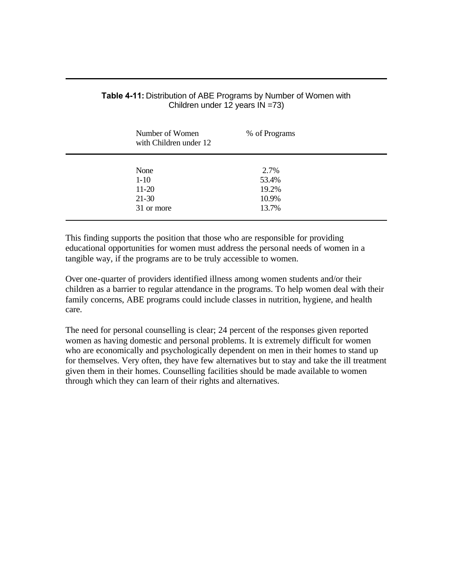| Number of Women<br>with Children under 12 | % of Programs  |  |
|-------------------------------------------|----------------|--|
| None                                      | 2.7%           |  |
| $1-10$<br>$11-20$                         | 53.4%<br>19.2% |  |
| $21-30$                                   | 10.9%          |  |
| 31 or more                                | 13.7%          |  |
|                                           |                |  |

#### <span id="page-67-0"></span>**Table 4-11:** Distribution of ABE Programs by Number of Women with Children under 12 years IN =73)

This finding supports the position that those who are responsible for providing educational opportunities for women must address the personal needs of women in a tangible way, if the programs are to be truly accessible to women.

Over one-quarter of providers identified illness among women students and/or their children as a barrier to regular attendance in the programs. To help women deal with their family concerns, ABE programs could include classes in nutrition, hygiene, and health care.

The need for personal counselling is clear; 24 percent of the responses given reported women as having domestic and personal problems. It is extremely difficult for women who are economically and psychologically dependent on men in their homes to stand up for themselves. Very often, they have few alternatives but to stay and take the ill treatment given them in their homes. Counselling facilities should be made available to women through which they can learn of their rights and alternatives.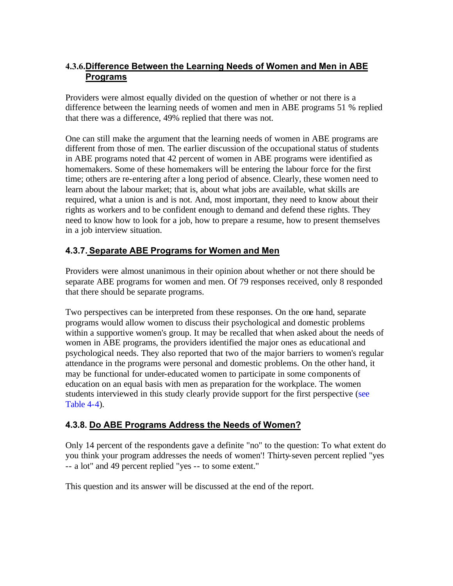## <span id="page-68-0"></span>**4.3.6.Difference Between the Learning Needs of Women and Men in ABE Programs**

Providers were almost equally divided on the question of whether or not there is a difference between the learning needs of women and men in ABE programs 51 % replied that there was a difference, 49% replied that there was not.

One can still make the argument that the learning needs of women in ABE programs are different from those of men. The earlier discussion of the occupational status of students in ABE programs noted that 42 percent of women in ABE programs were identified as homemakers. Some of these homemakers will be entering the labour force for the first time; others are re-entering after a long period of absence. Clearly, these women need to learn about the labour market; that is, about what jobs are available, what skills are required, what a union is and is not. And, most important, they need to know about their rights as workers and to be confident enough to demand and defend these rights. They need to know how to look for a job, how to prepare a resume, how to present themselves in a job interview situation.

# **4.3.7. Separate ABE Programs for Women and Men**

Providers were almost unanimous in their opinion about whether or not there should be separate ABE programs for women and men. Of 79 responses received, only 8 responded that there should be separate programs.

Two perspectives can be interpreted from these responses. On the one hand, separate programs would allow women to discuss their psychological and domestic problems within a supportive women's group. It may be recalled that when asked about the needs of women in ABE programs, the providers identified the major ones as educational and psychological needs. They also reported that two of the major barriers to women's regular attendance in the programs were personal and domestic problems. On the other hand, it may be functional for under-educated women to participate in some components of education on an equal basis with men as preparation for the workplace. The women students interviewed in this study clearly provide support for the first perspective (see [Table 4-4\)](#page-61-0).

## **4.3.8. Do ABE Programs Address the Needs of Women?**

Only 14 percent of the respondents gave a definite "no" to the question: To what extent do you think your program addresses the needs of women'! Thirty-seven percent replied "yes -- a lot" and 49 percent replied "yes -- to some extent."

This question and its answer will be discussed at the end of the report.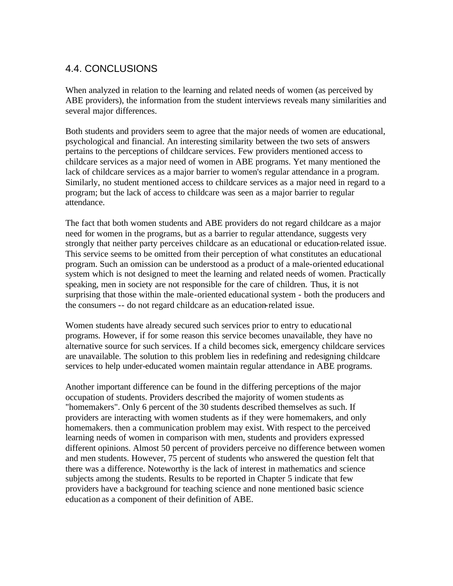# 4.4. CONCLUSIONS

When analyzed in relation to the learning and related needs of women (as perceived by ABE providers), the information from the student interviews reveals many similarities and several major differences.

Both students and providers seem to agree that the major needs of women are educational, psychological and financial. An interesting similarity between the two sets of answers pertains to the perceptions of childcare services. Few providers mentioned access to childcare services as a major need of women in ABE programs. Yet many mentioned the lack of childcare services as a major barrier to women's regular attendance in a program. Similarly, no student mentioned access to childcare services as a major need in regard to a program; but the lack of access to childcare was seen as a major barrier to regular attendance.

The fact that both women students and ABE providers do not regard childcare as a major need for women in the programs, but as a barrier to regular attendance, suggests very strongly that neither party perceives childcare as an educational or education-related issue. This service seems to be omitted from their perception of what constitutes an educational program. Such an omission can be understood as a product of a male-oriented educational system which is not designed to meet the learning and related needs of women. Practically speaking, men in society are not responsible for the care of children. Thus, it is not surprising that those within the male-oriented educational system - both the producers and the consumers -- do not regard childcare as an education-related issue.

Women students have already secured such services prior to entry to educational programs. However, if for some reason this service becomes unavailable, they have no alternative source for such services. If a child becomes sick, emergency childcare services are unavailable. The solution to this problem lies in redefining and redesigning childcare services to help under-educated women maintain regular attendance in ABE programs.

Another important difference can be found in the differing perceptions of the major occupation of students. Providers described the majority of women students as "homemakers". Only 6 percent of the 30 students described themselves as such. If providers are interacting with women students as if they were homemakers, and only homemakers. then a communication problem may exist. With respect to the perceived learning needs of women in comparison with men, students and providers expressed different opinions. Almost 50 percent of providers perceive no difference between women and men students. However, 75 percent of students who answered the question felt that there was a difference. Noteworthy is the lack of interest in mathematics and science subjects among the students. Results to be reported in Chapter 5 indicate that few providers have a background for teaching science and none mentioned basic science education as a component of their definition of ABE.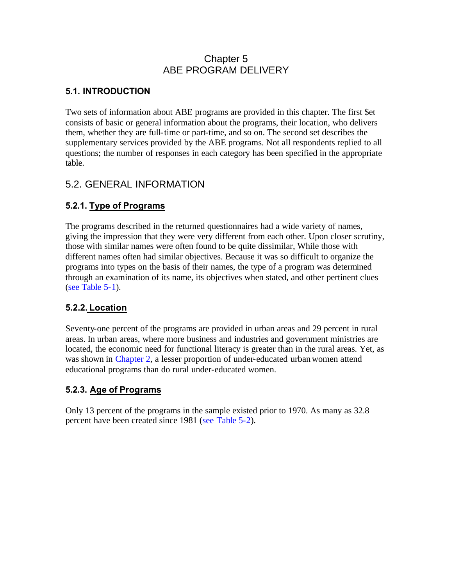# Chapter 5 ABE PROGRAM DELIVERY

## **5.1. INTRODUCTION**

Two sets of information about ABE programs are provided in this chapter. The first \$et consists of basic or general information about the programs, their location, who delivers them, whether they are full-time or part-time, and so on. The second set describes the supplementary services provided by the ABE programs. Not all respondents replied to all questions; the number of responses in each category has been specified in the appropriate table.

# 5.2. GENERAL INFORMATION

# **5.2.1. Type of Programs**

The programs described in the returned questionnaires had a wide variety of names, giving the impression that they were very different from each other. Upon closer scrutiny, those with similar names were often found to be quite dissimilar, While those with different names often had similar objectives. Because it was so difficult to organize the programs into types on the basis of their names, the type of a program was determined through an examination of its name, its objectives when stated, and other pertinent clues [\(see Table 5-1\)](#page-71-0).

# **5.2.2. Location**

Seventy-one percent of the programs are provided in urban areas and 29 percent in rural areas. In urban areas, where more business and industries and government ministries are located, the economic need for functional literacy is greater than in the rural areas. Yet, as was shown in [Chapter 2,](#page-21-0) a lesser proportion of under-educated urban women attend educational programs than do rural under-educated women.

## **5.2.3. Age of Programs**

Only 13 percent of the programs in the sample existed prior to 1970. As many as 32.8 percent have been created since 1981 [\(see Table 5-2\)](#page-71-0).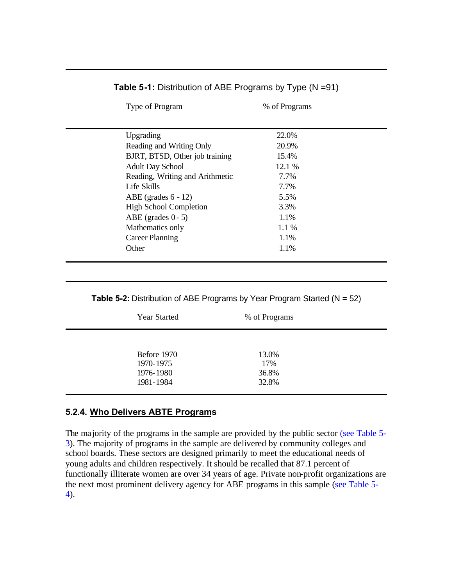<span id="page-71-0"></span>

| Type of Program                 | % of Programs |  |
|---------------------------------|---------------|--|
|                                 |               |  |
| Upgrading                       | 22.0%         |  |
| Reading and Writing Only        | 20.9%         |  |
| BJRT, BTSD, Other job training  | 15.4%         |  |
| <b>Adult Day School</b>         | 12.1 %        |  |
| Reading, Writing and Arithmetic | 7.7%          |  |
| Life Skills                     | 7.7%          |  |
| ABE (grades $6 - 12$ )          | 5.5%          |  |
| <b>High School Completion</b>   | 3.3%          |  |
| ABE (grades $0 - 5$ )           | 1.1%          |  |
| Mathematics only                | $1.1\%$       |  |
| <b>Career Planning</b>          | 1.1%          |  |
| Other                           | 1.1%          |  |
|                                 |               |  |

#### **Table 5-1:** Distribution of ABE Programs by Type (N =91)

**Table 5-2:** Distribution of ABE Programs by Year Program Started (N = 52)

|                                                    | <b>Year Started</b> | % of Programs                  |
|----------------------------------------------------|---------------------|--------------------------------|
| Before 1970<br>1970-1975<br>1976-1980<br>1981-1984 |                     | 13.0%<br>17%<br>36.8%<br>32.8% |

## **5.2.4. Who Delivers ABTE Programs**

The majority of the programs in the sample are provided by the public sector [\(see Table 5-](#page-72-0) 3). The majority of programs in the sample are delivered by community colleges and school boards. These sectors are designed primarily to meet the educational needs of young adults and children respectively. It should be recalled that 87.1 percent of functionally illiterate women are over 34 years of age. Private non-profit organizations are the next most prominent delivery agency for ABE programs in this sample [\(see Table 5-](#page-72-0) 4).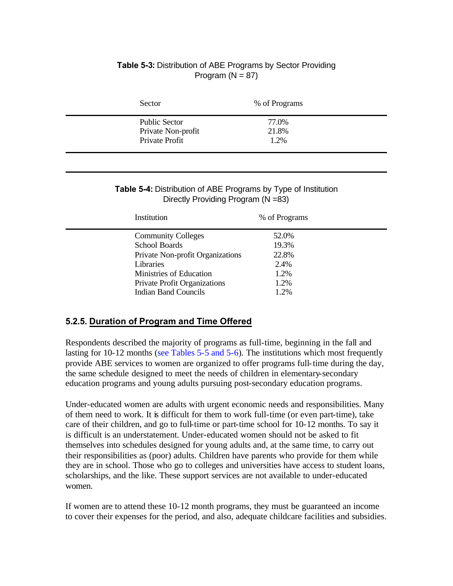### **Table 5-3:** Distribution of ABE Programs by Sector Providing Program  $(N = 87)$

| Sector                                     | % of Programs  |
|--------------------------------------------|----------------|
| <b>Public Sector</b><br>Private Non-profit | 77.0%<br>21.8% |
| Private Profit                             | 1.2%           |

#### **Table 5-4:** Distribution of ABE Programs by Type of Institution Directly Providing Program (N =83)

| Institution                      | % of Programs |
|----------------------------------|---------------|
| <b>Community Colleges</b>        | 52.0%         |
| <b>School Boards</b>             | 19.3%         |
| Private Non-profit Organizations | 22.8%         |
| Libraries                        | 2.4%          |
| Ministries of Education          | 1.2%          |
| Private Profit Organizations     | 1.2%          |
| <b>Indian Band Councils</b>      | 1.2%          |

## **5.2.5. Duration of Program and Time Offered**

Respondents described the majority of programs as full-time, beginning in the fall and lasting for 10-12 months [\(see Tables 5-5](#page-73-0) [and 5-6\)](#page-73-0). The institutions which most frequently provide ABE services to women are organized to offer programs full-time during the day, the same schedule designed to meet the needs of children in elementary-secondary education programs and young adults pursuing post-secondary education programs.

Under-educated women are adults with urgent economic needs and responsibilities. Many of them need to work. It is difficult for them to work full-time (or even part-time), take care of their children, and go to full-time or part-time school for 10-12 months. To say it is difficult is an understatement. Under-educated women should not be asked to fit themselves into schedules designed for young adults and, at the same time, to carry out their responsibilities as (poor) adults. Children have parents who provide for them while they are in school. Those who go to colleges and universities have access to student loans, scholarships, and the like. These support services are not available to under-educated women.

If women are to attend these 10-12 month programs, they must be guaranteed an income to cover their expenses for the period, and also, adequate childcare facilities and subsidies.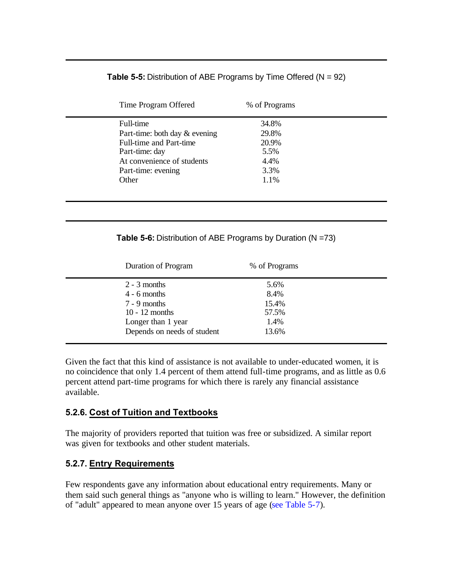### **Table 5-5:** Distribution of ABE Programs by Time Offered (N = 92)

<span id="page-73-0"></span>

| Time Program Offered          | % of Programs |  |
|-------------------------------|---------------|--|
| Full-time                     | 34.8%         |  |
| Part-time: both day & evening | 29.8%         |  |
| Full-time and Part-time       | 20.9%         |  |
| Part-time: day                | 5.5%          |  |
| At convenience of students    | 4.4%          |  |
| Part-time: evening            | 3.3%          |  |
| Other                         | 1.1%          |  |
|                               |               |  |
|                               |               |  |

#### **Table 5-6:** Distribution of ABE Programs by Duration (N =73)

| <b>Duration of Program</b>  | % of Programs |
|-----------------------------|---------------|
| $2 - 3$ months              | 5.6%          |
| $4 - 6$ months              | 8.4%          |
| $7 - 9$ months              | 15.4%         |
| $10 - 12$ months            | 57.5%         |
| Longer than 1 year          | 1.4%          |
| Depends on needs of student | 13.6%         |

Given the fact that this kind of assistance is not available to under-educated women, it is no coincidence that only 1.4 percent of them attend full -time programs, and as little as 0.6 percent attend part-time programs for which there is rarely any financial assistance available.

### **5.2.6. Cost of Tuition and Textbooks**

The majority of providers reported that tuition was free or subsidized. A similar report was given for textbooks and other student materials.

### **5.2.7. Entry Requirements**

Few respondents gave any information about educational entry requirements. Many or them said such general things as "anyone who is willing to learn." However, the definition of "adult" appeared to mean anyone over 15 years of age [\(see Table 5-7\)](#page-74-0).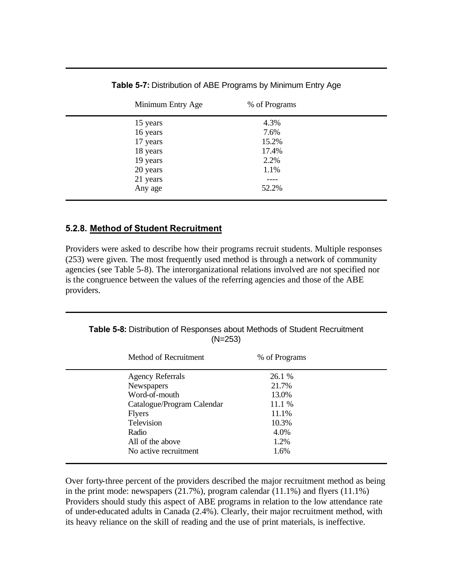<span id="page-74-0"></span>

| Minimum Entry Age | % of Programs |  |
|-------------------|---------------|--|
| 15 years          | 4.3%          |  |
| 16 years          | 7.6%          |  |
| 17 years          | 15.2%         |  |
| 18 years          | 17.4%         |  |
| 19 years          | 2.2%          |  |
| 20 years          | 1.1%          |  |
| 21 years          | ----          |  |
| Any age           | 52.2%         |  |
|                   |               |  |

**Table 5-7:** Distribution of ABE Programs by Minimum Entry Age

### **5.2.8. Method of Student Recruitment**

Providers were asked to describe how their programs recruit students. Multiple responses (253) were given. The most frequently used method is through a network of community agencies (see Table 5-8). The interorganizational relations involved are not specified nor is the congruence between the values of the referring agencies and those of the ABE providers.

**Table 5-8:** Distribution of Responses about Methods of Student Recruitment (N=253)

| Method of Recruitment      | % of Programs |  |
|----------------------------|---------------|--|
| <b>Agency Referrals</b>    | 26.1 %        |  |
| Newspapers                 | 21.7%         |  |
| Word-of-mouth              | 13.0%         |  |
| Catalogue/Program Calendar | 11.1 %        |  |
| <b>Flyers</b>              | 11.1%         |  |
| Television                 | 10.3%         |  |
| Radio                      | 4.0%          |  |
| All of the above           | 1.2%          |  |
| No active recruitment      | 1.6%          |  |

Over forty-three percent of the providers described the major recruitment method as being in the print mode: newspapers (21.7%), program calendar (11.1%) and flyers (11.1%) Providers should study this aspect of ABE programs in relation to the low attendance rate of under-educated adults in Canada (2.4%). Clearly, their major recruitment method, with its heavy reliance on the skill of reading and the use of print materials, is ineffective.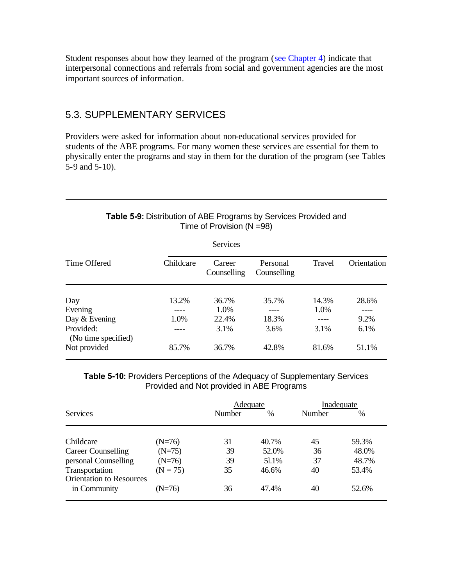<span id="page-75-0"></span>Student responses about how they learned of the program [\(see Chapter 4\)](#page-54-0) indicate that interpersonal connections and referrals from social and government agencies are the most important sources of information.

## 5.3. SUPPLEMENTARY SERVICES

Providers were asked for information about non-educational services provided for students of the ABE programs. For many women these services are essential for them to physically enter the programs and stay in them for the duration of the program (see Tables 5-9 and 5-10).

### **Table 5-9:** Distribution of ABE Programs by Services Provided and Time of Provision (N =98)

|                                  |           | Services              |                         |        |             |
|----------------------------------|-----------|-----------------------|-------------------------|--------|-------------|
| Time Offered                     | Childcare | Career<br>Counselling | Personal<br>Counselling | Travel | Orientation |
| Day                              | 13.2%     | 36.7%                 | 35.7%                   | 14.3%  | 28.6%       |
| Evening                          |           | 1.0%                  |                         | 1.0%   |             |
| Day & Evening                    | 1.0%      | 22.4%                 | 18.3%                   |        | 9.2%        |
| Provided:<br>(No time specified) |           | 3.1%                  | 3.6%                    | 3.1%   | 6.1%        |
| Not provided                     | 85.7%     | 36.7%                 | 42.8%                   | 81.6%  | 51.1%       |

**Table 5-10:** Providers Perceptions of the Adequacy of Supplementary Services Provided and Not provided in ABE Programs

|                                                   |            |        | Adequate |        | Inadequate |  |
|---------------------------------------------------|------------|--------|----------|--------|------------|--|
| <b>Services</b>                                   |            | Number | $\%$     | Number | $\%$       |  |
|                                                   |            |        |          |        |            |  |
| Childcare                                         | $(N=76)$   | 31     | 40.7%    | 45     | 59.3%      |  |
| <b>Career Counselling</b>                         | $(N=75)$   | 39     | 52.0%    | 36     | 48.0%      |  |
| personal Counselling                              | $(N=76)$   | 39     | 51.1%    | 37     | 48.7%      |  |
| Transportation<br><b>Orientation to Resources</b> | $(N = 75)$ | 35     | 46.6%    | 40     | 53.4%      |  |
| in Community                                      | $(N=76)$   | 36     | 47.4%    | 40     | 52.6%      |  |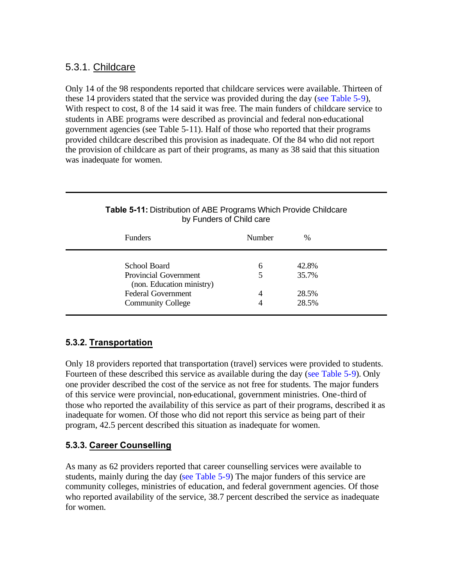## 5.3.1. Childcare

Only 14 of the 98 respondents reported that childcare services were available. Thirteen of these 14 providers stated that the service was provided during the day [\(see Table 5-9\)](#page-75-0), With respect to cost, 8 of the 14 said it was free. The main funders of childcare service to students in ABE programs were described as provincial and federal non-educational government agencies (see Table 5-11). Half of those who reported that their programs provided childcare described this provision as inadequate. Of the 84 who did not report the provision of childcare as part of their programs, as many as 38 said that this situation was inadequate for women.

| <b>Funders</b>                                     | Number | $\frac{0}{0}$ |
|----------------------------------------------------|--------|---------------|
| School Board                                       | 6      | 42.8%         |
| Provincial Government<br>(non. Education ministry) |        | 35.7%         |
| <b>Federal Government</b>                          | 4      | 28.5%         |
| <b>Community College</b>                           |        | 28.5%         |

### **Table 5-11:** Distribution of ABE Programs Which Provide Childcare by Funders of Child care

## **5.3.2. Transportation**

Only 18 providers reported that transportation (travel) services were provided to students. Fourteen of these described this service as available during the day [\(see Table 5-9\)](#page-75-0). Only one provider described the cost of the service as not free for students. The major funders of this service were provincial, non-educational, government ministries. One-third of those who reported the availability of this service as part of their programs, described it as inadequate for women. Of those who did not report this service as being part of their program, 42.5 percent described this situation as inadequate for women.

## **5.3.3. Career Counselling**

As many as 62 providers reported that career counselling services were available to students, mainly during the day [\(see Table 5-9\)](#page-75-0) The major funders of this service are community colleges, ministries of education, and federal government agencies. Of those who reported availability of the service, 38.7 percent described the service as inadequate for women.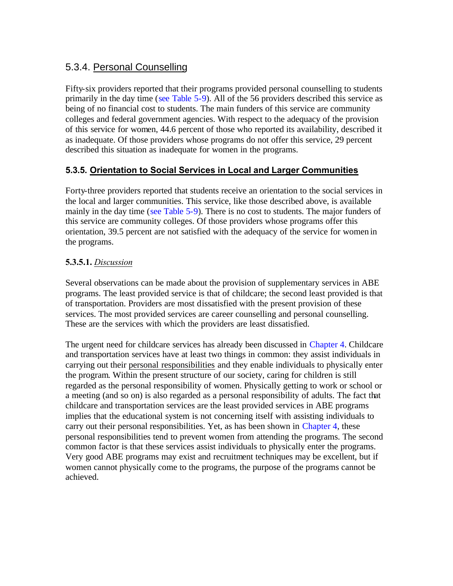## 5.3.4. Personal Counselling

Fifty-six providers reported that their programs provided personal counselling to students primarily in the day time [\(see Table 5-9\)](#page-75-0). All of the 56 providers described this service as being of no financial cost to students. The main funders of this service are community colleges and federal government agencies. With respect to the adequacy of the provision of this service for women, 44.6 percent of those who reported its availability, described it as inadequate. Of those providers whose programs do not offer this service, 29 percent described this situation as inadequate for women in the programs.

## **5.3.5. Orientation to Social Services in Local and Larger Communities**

Forty-three providers reported that students receive an orientation to the social services in the local and larger communities. This service, like those described above, is available mainly in the day time [\(see Table 5-9\)](#page-75-0). There is no cost to students. The major funders of this service are community colleges. Of those providers whose programs offer this orientation, 39.5 percent are not satisfied with the adequacy of the service for women in the programs.

## **5.3.5.1.** *Discussion*

Several observations can be made about the provision of supplementary services in ABE programs. The least provided service is that of childcare; the second least provided is that of transportation. Providers are most dissatisfied with the present provision of these services. The most provided services are career counselling and personal counselling. These are the services with which the providers are least dissatisfied.

The urgent need for childcare services has already been discussed in [Chapter 4.](#page-54-0) Childcare and transportation services have at least two things in common: they assist individuals in carrying out their personal responsibilities and they enable individuals to physically enter the program. Within the present structure of our society, caring for children is still regarded as the personal responsibility of women. Physically getting to work or school or a meeting (and so on) is also regarded as a personal responsibility of adults. The fact that childcare and transportation services are the least provided services in ABE programs implies that the educational system is not concerning itself with assisting individuals to carry out their personal responsibilities. Yet, as has been shown in [Chapter 4,](#page-54-0) these personal responsibilities tend to prevent women from attending the programs. The second common factor is that these services assist individuals to physically enter the programs. Very good ABE programs may exist and recruitment techniques may be excellent, but if women cannot physically come to the programs, the purpose of the programs cannot be achieved.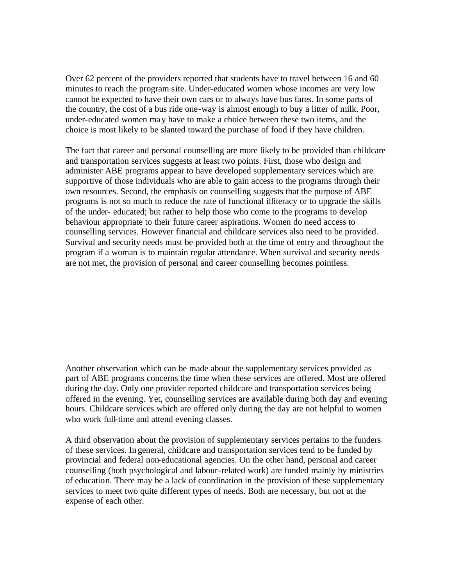Over 62 percent of the providers reported that students have to travel between 16 and 60 minutes to reach the program site. Under-educated women whose incomes are very low cannot be expected to have their own cars or to always have bus fares. In some parts of the country, the cost of a bus ride one-way is almost enough to buy a litter of milk. Poor, under-educated women may have to make a choice between these two items, and the choice is most likely to be slanted toward the purchase of food if they have children.

The fact that career and personal counselling are more likely to be provided than childcare and transportation services suggests at least two points. First, those who design and administer ABE programs appear to have developed supplementary services which are supportive of those individuals who are able to gain access to the programs through their own resources. Second, the emphasis on counselling suggests that the purpose of ABE programs is not so much to reduce the rate of functional illiteracy or to upgrade the skills of the under- educated; but rather to help those who come to the programs to develop behaviour appropriate to their future career aspirations. Women do need access to counselling services. However financial and childcare services also need to be provided. Survival and security needs must be provided both at the time of entry and throughout the program if a woman is to maintain regular attendance. When survival and security needs are not met, the provision of personal and career counselling becomes pointless.

Another observation which can be made about the supplementary services provided as part of ABE programs concerns the time when these services are offered. Most are offered during the day. Only one provider reported childcare and transportation services being offered in the evening. Yet, counselling services are available during both day and evening hours. Childcare services which are offered only during the day are not helpful to women who work full-time and attend evening classes.

A third observation about the provision of supplementary services pertains to the funders of these services. In general, childcare and transportation services tend to be funded by provincial and federal non-educational agencies. On the other hand, personal and career counselling (both psychological and labour-related work) are funded mainly by ministries of education. There may be a lack of coordination in the provision of these supplementary services to meet two quite different types of needs. Both are necessary, but not at the expense of each other.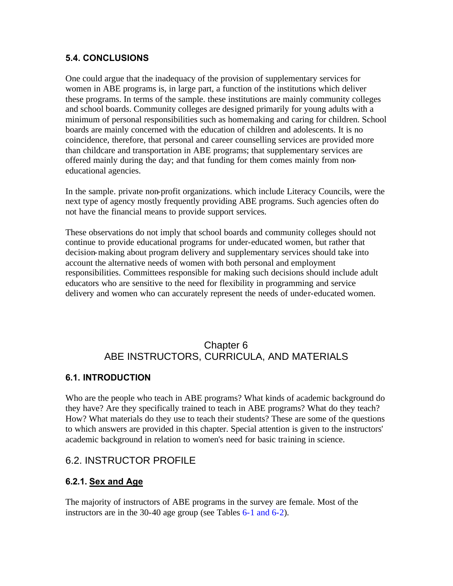## **5.4. CONCLUSIONS**

One could argue that the inadequacy of the provision of supplementary services for women in ABE programs is, in large part, a function of the institutions which deliver these programs. In terms of the sample. these institutions are mainly community colleges and school boards. Community colleges are designed primarily for young adults with a minimum of personal responsibilities such as homemaking and caring for children. School boards are mainly concerned with the education of children and adolescents. It is no coincidence, therefore, that personal and career counselling services are provided more than childcare and transportation in ABE programs; that supplementary services are offered mainly during the day; and that funding for them comes mainly from noneducational agencies.

In the sample. private non-profit organizations. which include Literacy Councils, were the next type of agency mostly frequently providing ABE programs. Such agencies often do not have the financial means to provide support services.

These observations do not imply that school boards and community colleges should not continue to provide educational programs for under-educated women, but rather that decision-making about program delivery and supplementary services should take into account the alternative needs of women with both personal and employment responsibilities. Committees responsible for making such decisions should include adult educators who are sensitive to the need for flexibility in programming and service delivery and women who can accurately represent the needs of under-educated women.

## Chapter 6 ABE INSTRUCTORS, CURRICULA, AND MATERIALS

### **6.1. INTRODUCTION**

Who are the people who teach in ABE programs? What kinds of academic background do they have? Are they specifically trained to teach in ABE programs? What do they teach? How? What materials do they use to teach their students? These are some of the questions to which answers are provided in this chapter. Special attention is given to the instructors' academic background in relation to women's need for basic training in science.

## 6.2. INSTRUCTOR PROFILE

### **6.2.1. Sex and Age**

The majority of instructors of ABE programs in the survey are female. Most of the instructors are in the 30-40 age group (see Tables [6-1](#page-80-0) and [6-2\)](#page-80-0).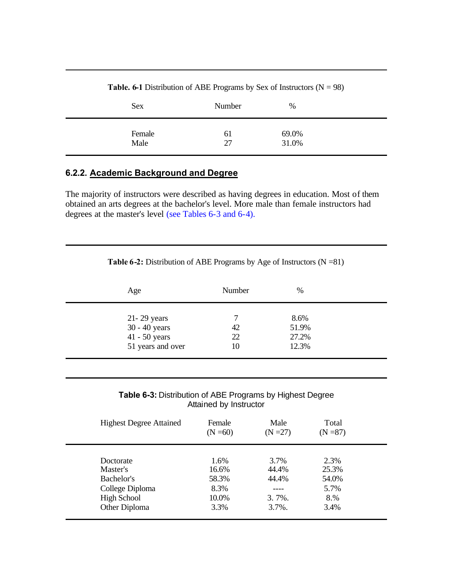<span id="page-80-0"></span>

| Sex    | Number | %     |
|--------|--------|-------|
| Female | 61     | 69.0% |
| Male   | 27     | 31.0% |

**Table. 6-1** Distribution of ABE Programs by Sex of Instructors ( $N = 98$ )

## **6.2.2. Academic Background and Degree**

The majority of instructors were described as having degrees in education. Most of them obtained an arts degrees at the bachelor's level. More male than female instructors had degrees at the master's level (see Tables 6-3 an[d 6-4\)](#page-81-0).

| Age               | Number | %     |  |
|-------------------|--------|-------|--|
| $21 - 29$ years   |        | 8.6%  |  |
| 30 - 40 years     | 42     | 51.9% |  |
| 41 - 50 years     | 22     | 27.2% |  |
| 51 years and over | 10     | 12.3% |  |

**Table 6-2:** Distribution of ABE Programs by Age of Instructors (N =81)

**Table 6-3:** Distribution of ABE Programs by Highest Degree Attained by Instructor

| <b>Highest Degree Attained</b>                                                                | Female<br>$(N = 60)$                            | Male<br>$(N = 27)$                               | Total<br>$(N = 87)$                           |  |
|-----------------------------------------------------------------------------------------------|-------------------------------------------------|--------------------------------------------------|-----------------------------------------------|--|
| Doctorate<br>Master's<br>Bachelor's<br>College Diploma<br><b>High School</b><br>Other Diploma | 1.6%<br>16.6%<br>58.3%<br>8.3%<br>10.0%<br>3.3% | 3.7%<br>44.4%<br>44.4%<br>$3.7\%$ .<br>$3.7\%$ . | 2.3%<br>25.3%<br>54.0%<br>5.7%<br>8.%<br>3.4% |  |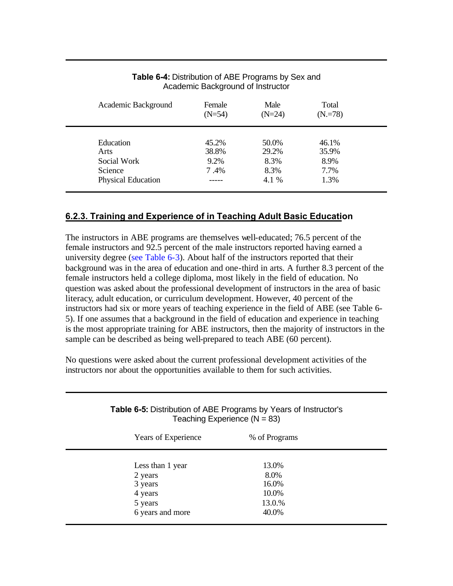<span id="page-81-0"></span>

| Academic Background                                               | Female<br>$(N=54)$             | Male<br>$(N=24)$                        | Total<br>$(N = 78)$                    |  |
|-------------------------------------------------------------------|--------------------------------|-----------------------------------------|----------------------------------------|--|
| Education<br>Arts<br>Social Work<br>Science<br>Physical Education | 45.2%<br>38.8%<br>9.2%<br>7.4% | 50.0%<br>29.2%<br>8.3%<br>8.3%<br>4.1 % | 46.1%<br>35.9%<br>8.9%<br>7.7%<br>1.3% |  |

### **Table 6-4:** Distribution of ABE Programs by Sex and Academic Background of Instructor

## **6.2.3. Training and Experience of in Teaching Adult Basic Education**

The instructors in ABE programs are themselves well-educated; 76.5 percent of the female instructors and 92.5 percent of the male instructors reported having earned a university degree (see Table 6-3). About half of the instructors reported that their background was in the area of education and one-third in arts. A further 8.3 percent of the female instructors held a college diploma, most likely in the field of education. No question was asked about the professional development of instructors in the area of basic literacy, adult education, or curriculum development. However, 40 percent of the instructors had six or more years of teaching experience in the field of ABE (see Table 6- 5). If one assumes that a background in the field of education and experience in teaching is the most appropriate training for ABE instructors, then the majority of instructors in the sample can be described as being well-prepared to teach ABE (60 percent).

No questions were asked about the current professional development activities of the instructors nor about the opportunities available to them for such activities.

| Years of Experience | % of Programs |  |
|---------------------|---------------|--|
| Less than 1 year    | 13.0%         |  |
| 2 years             | 8.0%          |  |
| 3 years             | 16.0%         |  |
| 4 years             | 10.0%         |  |
| 5 years             | 13.0.%        |  |
| 6 years and more    | 40.0%         |  |

### **Table 6-5:** Distribution of ABE Programs by Years of Instructor's Teaching Experience  $(N = 83)$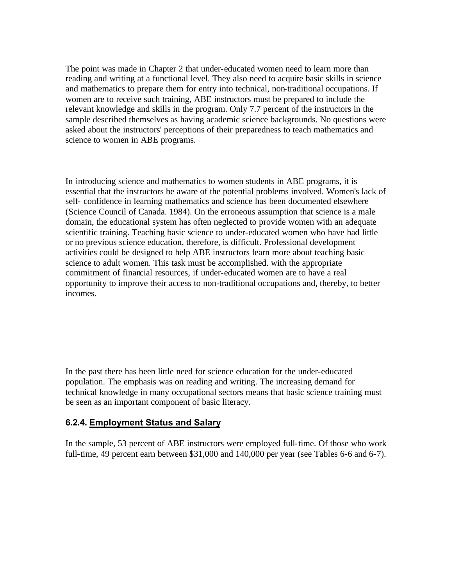The point was made in Chapter 2 that under-educated women need to learn more than reading and writing at a functional level. They also need to acquire basic skills in science and mathematics to prepare them for entry into technical, non-traditional occupations. If women are to receive such training, ABE instructors must be prepared to include the relevant knowledge and skills in the program. Only 7.7 percent of the instructors in the sample described themselves as having academic science backgrounds. No questions were asked about the instructors' perceptions of their preparedness to teach mathematics and science to women in ABE programs.

In introducing science and mathematics to women students in ABE programs, it is essential that the instructors be aware of the potential problems involved. Women's lack of self- confidence in learning mathematics and science has been documented elsewhere (Science Council of Canada. 1984). On the erroneous assumption that science is a male domain, the educational system has often neglected to provide women with an adequate scientific training. Teaching basic science to under-educated women who have had little or no previous science education, therefore, is difficult. Professional development activities could be designed to help ABE instructors learn more about teaching basic science to adult women. This task must be accomplished. with the appropriate commitment of financial resources, if under-educated women are to have a real opportunity to improve their access to non -traditional occupations and, thereby, to better incomes.

In the past there has been little need for science education for the under-educated population. The emphasis was on reading and writing. The increasing demand for technical knowledge in many occupational sectors means that basic science training must be seen as an important component of basic literacy.

#### **6.2.4. Employment Status and Salary**

In the sample, 53 percent of ABE instructors were employed full-time. Of those who work full-time, 49 percent earn between \$31,000 and 140,000 per year (see Tables 6-6 and 6-7).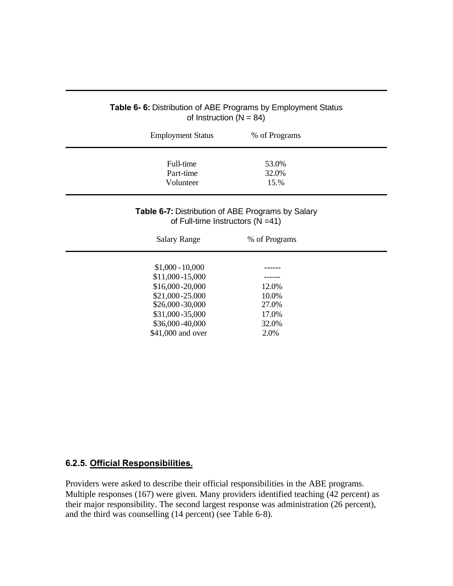| <b>Employment Status</b> | % of Programs                                                                                     |
|--------------------------|---------------------------------------------------------------------------------------------------|
| Full-time<br>Part-time   | 53.0%<br>32.0%                                                                                    |
| Volunteer                | 15.%                                                                                              |
|                          | <b>Table 6-7: Distribution of ABE Programs by Salary</b><br>of Full-time Instructors ( $N = 41$ ) |
| <b>Salary Range</b>      | % of Programs                                                                                     |
| $$1,000 - 10,000$        |                                                                                                   |
| \$11,000-15,000          |                                                                                                   |
| \$16,000-20,000          | 12.0%                                                                                             |
| \$21,000-25.000          | 10.0%                                                                                             |
| \$26,000-30,000          | 27.0%                                                                                             |
| \$31,000-35,000          | 17.0%                                                                                             |
| \$36,000-40,000          | 32.0%                                                                                             |
| \$41,000 and over        | 2.0%                                                                                              |

### **Table 6- 6:** Distribution of ABE Programs by Employment Status of Instruction  $(N = 84)$

## **6.2.5. Official Responsibilities.**

Providers were asked to describe their official responsibilities in the ABE programs. Multiple responses (167) were given. Many providers identified teaching (42 percent) as their major responsibility. The second largest response was administration (26 percent), and the third was counselling (14 percent) (see Table 6-8).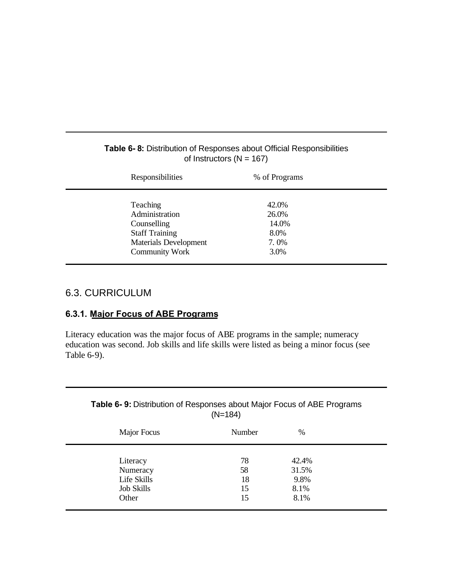| Responsibilities                                                                                                            | % of Programs                                   |  |
|-----------------------------------------------------------------------------------------------------------------------------|-------------------------------------------------|--|
| Teaching<br>Administration<br>Counselling<br><b>Staff Training</b><br><b>Materials Development</b><br><b>Community Work</b> | 42.0%<br>26.0%<br>14.0%<br>8.0%<br>7.0%<br>3.0% |  |
|                                                                                                                             |                                                 |  |

## <span id="page-84-0"></span>**Table 6- 8:** Distribution of Responses about Official Responsibilities of Instructors ( $N = 167$ )

## 6.3. CURRICULUM

## **6.3.1. Major Focus of ABE Programs**

Literacy education was the major focus of ABE programs in the sample; numeracy education was second. Job skills and life skills were listed as being a minor focus (see Table 6-9).

## **Table 6- 9:** Distribution of Responses about Major Focus of ABE Programs (N=184)

| Major Focus                                                       | Number                     | $\%$                                   |  |
|-------------------------------------------------------------------|----------------------------|----------------------------------------|--|
| Literacy<br>Numeracy<br>Life Skills<br><b>Job Skills</b><br>Other | 78<br>58<br>18<br>15<br>15 | 42.4%<br>31.5%<br>9.8%<br>8.1%<br>8.1% |  |
|                                                                   |                            |                                        |  |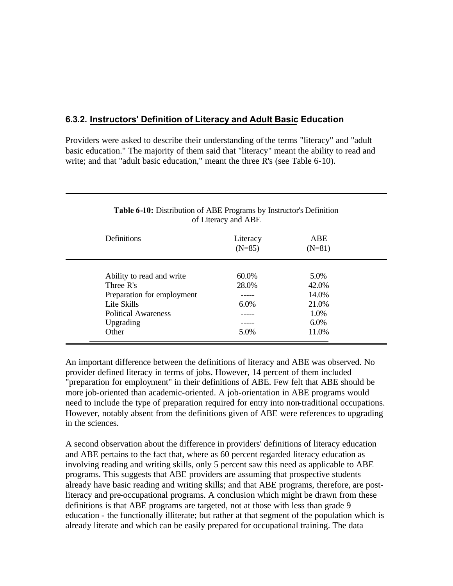## **6.3.2. Instructors' Definition of Literacy and Adult Basic Education**

Providers were asked to describe their understanding ofthe terms "literacy" and "adult basic education." The majority of them said that "literacy" meant the ability to read and write; and that "adult basic education," meant the three R's (see Table 6-10).

|                            | $\frac{1}{2}$        |                        |  |
|----------------------------|----------------------|------------------------|--|
| Definitions                | Literacy<br>$(N=85)$ | <b>ABE</b><br>$(N=81)$ |  |
| Ability to read and write  | 60.0%                | 5.0%                   |  |
| Three R's                  | 28.0%                | 42.0%                  |  |
| Preparation for employment |                      | 14.0%                  |  |
| Life Skills                | 6.0%                 | 21.0%                  |  |
| <b>Political Awareness</b> |                      | 1.0%                   |  |
| Upgrading                  |                      | 6.0%                   |  |
| Other                      | 5.0%                 | 11.0%                  |  |

#### **Table 6-10:** Distribution of ABE Programs by Instructor's Definition of Literacy and ABE

An important difference between the definitions of literacy and ABE was observed. No provider defined literacy in terms of jobs. However, 14 percent of them included "preparation for employment" in their definitions of ABE. Few felt that ABE should be more job-oriented than academic-oriented. A job-orientation in ABE programs would need to include the type of preparation required for entry into non-traditional occupations. However, notably absent from the definitions given of ABE were references to upgrading in the sciences.

A second observation about the difference in providers' definitions of literacy education and ABE pertains to the fact that, where as 60 percent regarded literacy education as involving reading and writing skills, only 5 percent saw this need as applicable to ABE programs. This suggests that ABE providers are assuming that prospective students already have basic reading and writing skills; and that ABE programs, therefore, are postliteracy and pre-occupational programs. A conclusion which might be drawn from these definitions is that ABE programs are targeted, not at those with less than grade 9 education - the functionally illiterate; but rather at that segment of the population which is already literate and which can be easily prepared for occupational training. The data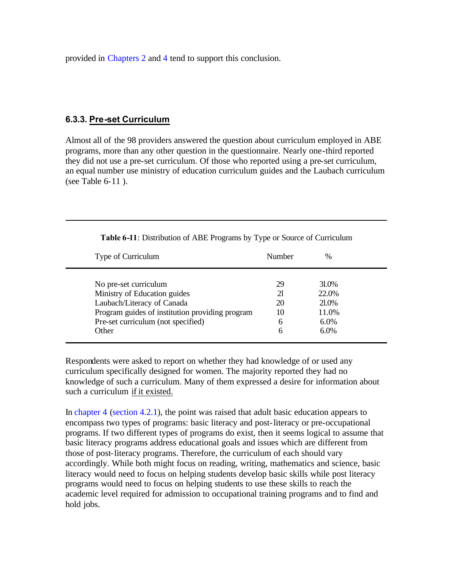provided in [Chapters 2](#page-21-0) and [4 t](#page-54-0)end to support this conclusion.

### **6.3.3. Pre-set Curriculum**

Almost all of the 98 providers answered the question about curriculum employed in ABE programs, more than any other question in the questionnaire. Nearly one-third reported they did not use a pre-set curriculum. Of those who reported using a pre-set curriculum, an equal number use ministry of education curriculum guides and the Laubach curriculum (see Table 6-11 ).

| Type of Curriculum                              | Number | $\frac{0}{0}$ |
|-------------------------------------------------|--------|---------------|
| No pre-set curriculum                           | 29     | 31.0%         |
| Ministry of Education guides                    | 21     | 22.0%         |
| Laubach/Literacy of Canada                      | 20     | 21.0%         |
| Program guides of institution providing program | 10     | 11.0%         |
| Pre-set curriculum (not specified)              | 6      | $6.0\%$       |
| Other                                           | 6      | 6.0%          |

**Table 6-11**: Distribution of ABE Programs by Type or Source of Curriculum

Respondents were asked to report on whether they had knowledge of or used any curriculum specifically designed for women. The majority reported they had no knowledge of such a curriculum. Many of them expressed a desire for information about such a curriculum if it existed.

In chapter 4 (section 4.2.1), the point was raised that adult basic education appears to encompass two types of programs: basic literacy and post-literacy or pre-occupational programs. If two different types of programs do exist, then it seems logical to assume that basic literacy programs address educational goals and issues which are different from those of post-literacy programs. Therefore, the curriculum of each should vary accordingly. While both might focus on reading, writing, mathematics and science, basic literacy would need to focus on helping students develop basic skills while post literacy programs would need to focus on helping students to use these skills to reach the academic level required for admission to occupational training programs and to find and hold jobs.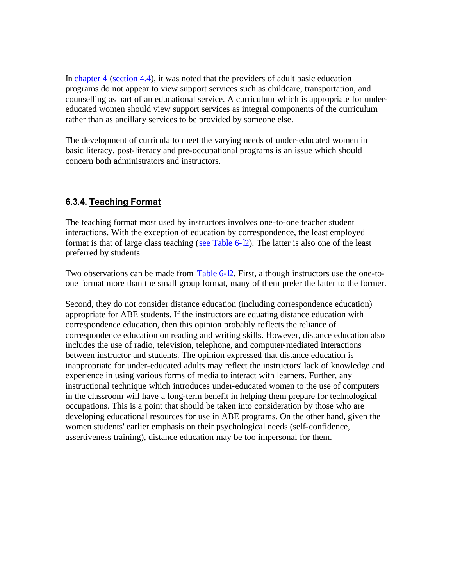In [chapter 4 \(section 4.4\)](#page-69-0), it was noted that the providers of adult basic education programs do not appear to view support services such as childcare, transportation, and counselling as part of an educational service. A curriculum which is appropriate for undereducated women should view support services as integral components of the curriculum rather than as ancillary services to be provided by someone else.

The development of curricula to meet the varying needs of under-educated women in basic literacy, post-literacy and pre-occupational programs is an issue which should concern both administrators and instructors.

## **6.3.4. Teaching Format**

The teaching format most used by instructors involves one-to-one teacher student interactions. With the exception of education by correspondence, the least employed format is that of large class teaching (see Table 6-12). The latter is also one of the least preferred by students.

Two observations can be made from Table 6-12. First, although instructors use the one-toone format more than the small group format, many of them prefer the latter to the former.

Second, they do not consider distance education (including correspondence education) appropriate for ABE students. If the instructors are equating distance education with correspondence education, then this opinion probably reflects the reliance of correspondence education on reading and writing skills. However, distance education also includes the use of radio, television, telephone, and computer-mediated interactions between instructor and students. The opinion expressed that distance education is inappropriate for under-educated adults may reflect the instructors' lack of knowledge and experience in using various forms of media to interact with learners. Further, any instructional technique which introduces under-educated women to the use of computers in the classroom will have a long-term benefit in helping them prepare for technological occupations. This is a point that should be taken into consideration by those who are developing educational resources for use in ABE programs. On the other hand, given the women students' earlier emphasis on their psychological needs (self-confidence, assertiveness training), distance education may be too impersonal for them.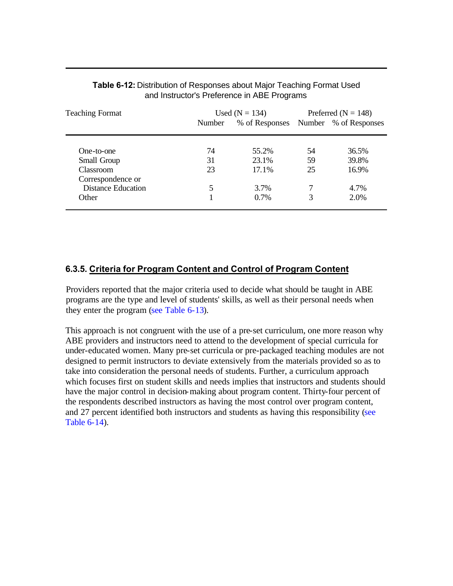| <b>Teaching Format</b>                         |        | Used ( $N = 134$ )                   |    | Preferred ( $N = 148$ ) |  |
|------------------------------------------------|--------|--------------------------------------|----|-------------------------|--|
|                                                | Number | % of Responses Number % of Responses |    |                         |  |
| One-to-one                                     | 74     | 55.2%                                | 54 | 36.5%                   |  |
| Small Group                                    | 31     | 23.1%                                | 59 | 39.8%                   |  |
| <b>Classroom</b>                               | 23     | 17.1%                                | 25 | 16.9%                   |  |
| Correspondence or<br><b>Distance Education</b> | 5      | 3.7%                                 |    | 4.7%                    |  |
| Other                                          |        | $0.7\%$                              |    | 2.0%                    |  |

#### <span id="page-88-0"></span>**Table 6-12:** Distribution of Responses about Major Teaching Format Used and Instructor's Preference in ABE Programs

## **6.3.5. Criteria for Program Content and Control of Program Content**

Providers reported that the major criteria used to decide what should be taught in ABE programs are the type and level of students' skills, as well as their personal needs when they enter the program [\(see Table 6-13\)](#page-89-0).

This approach is not congruent with the use of a pre-set curriculum, one more reason why ABE providers and instructors need to attend to the development of special curricula for under-educated women. Many pre-set curricula or pre-packaged teaching modules are not designed to permit instructors to deviate extensively from the materials provided so as to take into consideration the personal needs of students. Further, a curriculum approach which focuses first on student skills and needs implies that instructors and students should have the major control in decision-making about program content. Thirty-four percent of the respondents described instructors as having the most control over program content, and 27 percent identified both instructors and students as having this responsibility (see [Table 6-14\).](#page-89-0)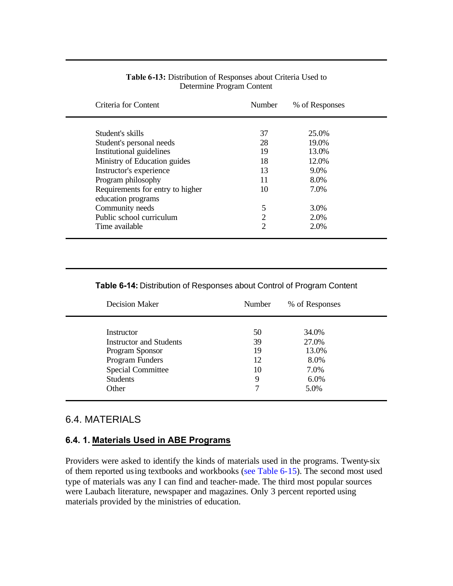<span id="page-89-0"></span>

| Criteria for Content                                                                                                                                                     | <b>Number</b>                 | % of Responses                               |  |
|--------------------------------------------------------------------------------------------------------------------------------------------------------------------------|-------------------------------|----------------------------------------------|--|
| Student's skills<br>Student's personal needs<br>Institutional guidelines<br>Ministry of Education guides                                                                 | 37<br>28<br>19<br>18          | 25.0%<br>19.0%<br>13.0%<br>12.0%             |  |
| Instructor's experience<br>Program philosophy<br>Requirements for entry to higher<br>education programs<br>Community needs<br>Public school curriculum<br>Time available | 13<br>11<br>10<br>5<br>2<br>2 | 9.0%<br>8.0%<br>7.0%<br>3.0%<br>2.0%<br>2.0% |  |

#### **Table 6-13:** Distribution of Responses about Criteria Used to Determine Program Content

#### **Table 6-14:** Distribution of Responses about Control of Program Content

| <b>Decision Maker</b>    |                                | Number | % of Responses |  |
|--------------------------|--------------------------------|--------|----------------|--|
| Instructor               |                                | 50     | 34.0%          |  |
|                          | <b>Instructor and Students</b> | 39     | 27.0%          |  |
| Program Sponsor          |                                | 19     | 13.0%          |  |
| Program Funders          |                                | 12     | 8.0%           |  |
| <b>Special Committee</b> |                                | 10     | 7.0%           |  |
| <b>Students</b>          |                                | 9      | 6.0%           |  |
| Other                    |                                | 7      | 5.0%           |  |

## 6.4. MATERIALS

### **6.4. 1. Materials Used in ABE Programs**

Providers were asked to identify the kinds of materials used in the programs. Twenty-six of them reported using textbooks and workbooks [\(see Table 6-15\)](#page-90-0). The second most used type of materials was any I can find and teacher-made. The third most popular sources were Laubach literature, newspaper and magazines. Only 3 percent reported using materials provided by the ministries of education.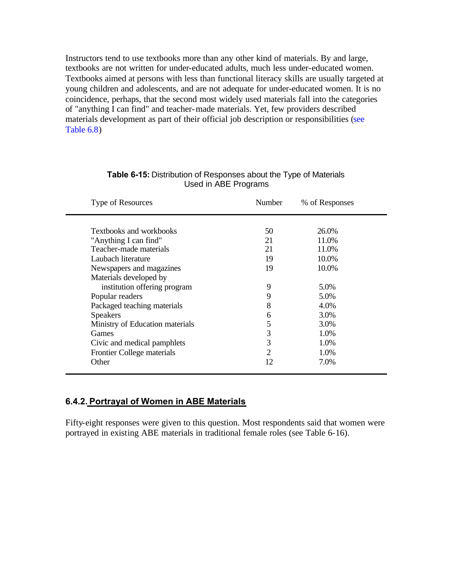<span id="page-90-0"></span>Instructors tend to use textbooks more than any other kind of materials. By and large, textbooks are not written for under-educated adults, much less under-educated women. Textbooks aimed at persons with less than functional literacy skills are usually targeted at young children and adolescents, and are not adequate for under-educated women. It is no coincidence, perhaps, that the second most widely used materials fall into the categories of "anything I can find" and teacher-made materials. Yet, few providers described materials development as part of their official job description or responsibilities (see [Table 6.8\)](#page-84-0)

| Type of Resources               | <b>Number</b>               | % of Responses |
|---------------------------------|-----------------------------|----------------|
|                                 |                             |                |
| Textbooks and workbooks         | 50                          | 26.0%          |
| "Anything I can find"           | 21                          | 11.0%          |
| Teacher-made materials          | 21                          | 11.0%          |
| Laubach literature              | 19                          | 10.0%          |
| Newspapers and magazines        | 19                          | 10.0%          |
| Materials developed by          |                             |                |
| institution offering program    | 9                           | 5.0%           |
| Popular readers                 | 9                           | 5.0%           |
| Packaged teaching materials     | 8                           | 4.0%           |
| <b>Speakers</b>                 | 6                           | 3.0%           |
| Ministry of Education materials | 5                           | 3.0%           |
| Games                           | 3                           | 1.0%           |
| Civic and medical pamphlets     | 3                           | 1.0%           |
| Frontier College materials      | $\mathcal{D}_{\mathcal{L}}$ | 1.0%           |
| Other                           | 12                          | 7.0%           |

#### **Table 6-15:** Distribution of Responses about the Type of Materials Used in ABE Programs

### **6.4.2. Portrayal of Women in ABE Materials**

Fifty-eight responses were given to this question. Most respondents said that women were portrayed in existing ABE materials in traditional female roles (see Table 6-16).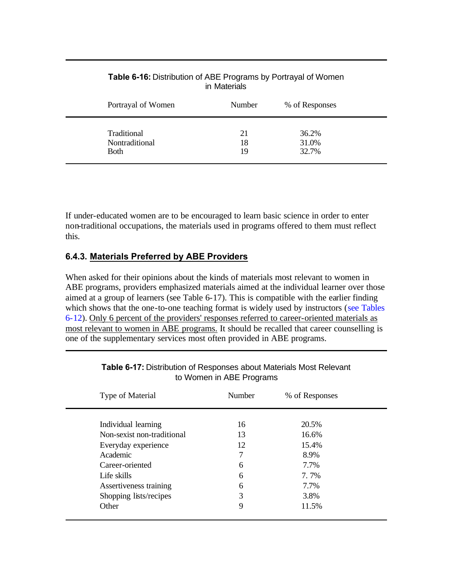| 36.2% |
|-------|
| 31.0% |
| 32.7% |
|       |

#### **Table 6-16:** Distribution of ABE Programs by Portrayal of Women in Materials

If under-educated women are to be encouraged to learn basic science in order to enter non-traditional occupations, the materials used in programs offered to them must reflect this.

## **6.4.3. Materials Preferred by ABE Providers**

When asked for their opinions about the kinds of materials most relevant to women in ABE programs, providers emphasized materials aimed at the individual learner over those aimed at a group of learners (see Table 6-17). This is compatible with the earlier finding which shows that the one-to-one teaching format is widely used by instructors (see Tables 6-12). Only 6 percent of the providers' responses referred to career-oriented materials as most relevant to women in ABE programs. It should be recalled that career counselling is one of the supplementary services most often provided in ABE programs.

| Type of Material           | Number | % of Responses |  |
|----------------------------|--------|----------------|--|
|                            |        |                |  |
| Individual learning        | 16     | 20.5%          |  |
| Non-sexist non-traditional | 13     | 16.6%          |  |
| Everyday experience        | 12     | 15.4%          |  |
| Academic                   | 7      | 8.9%           |  |
| Career-oriented            | 6      | 7.7%           |  |
| Life skills                | 6      | 7.7%           |  |
| Assertiveness training     | 6      | 7.7%           |  |
| Shopping lists/recipes     | 3      | 3.8%           |  |
| Other                      | 9      | 11.5%          |  |

#### **Table 6-17:** Distribution of Responses about Materials Most Relevant to Women in ABE Programs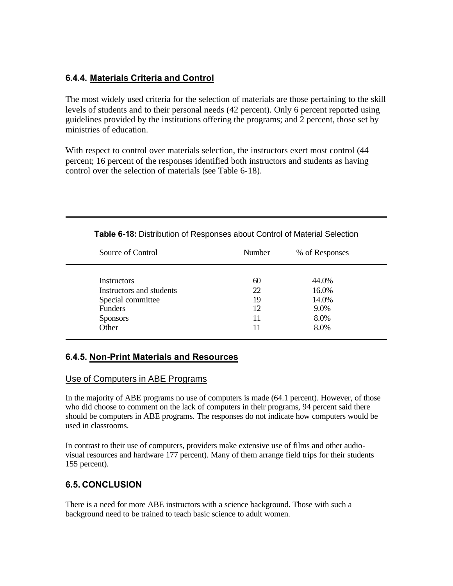## **6.4.4. Materials Criteria and Control**

The most widely used criteria for the selection of materials are those pertaining to the skill levels of students and to their personal needs (42 percent). Only 6 percent reported using guidelines provided by the institutions offering the programs; and 2 percent, those set by ministries of education.

With respect to control over materials selection, the instructors exert most control (44 percent; 16 percent of the responses identified both instructors and students as having control over the selection of materials (see Table 6-18).

| Source of Control        | Number | % of Responses |
|--------------------------|--------|----------------|
| Instructors              | 60     | 44.0%          |
| Instructors and students | 22     | 16.0%          |
| Special committee        | 19     | 14.0%          |
| <b>Funders</b>           | 12     | 9.0%           |
| <b>Sponsors</b>          | 11     | 8.0%           |
| Other                    | 11     | 8.0%           |

**Table 6-18:** Distribution of Responses about Control of Material Selection

### **6.4.5. Non-Print Materials and Resources**

#### Use of Computers in ABE Programs

In the majority of ABE programs no use of computers is made (64.1 percent). However, of those who did choose to comment on the lack of computers in their programs, 94 percent said there should be computers in ABE programs. The responses do not indicate how computers would be used in classrooms.

In contrast to their use of computers, providers make extensive use of films and other audiovisual resources and hardware 177 percent). Many of them arrange field trips for their students 155 percent).

## **6.5. CONCLUSION**

There is a need for more ABE instructors with a science background. Those with such a background need to be trained to teach basic science to adult women.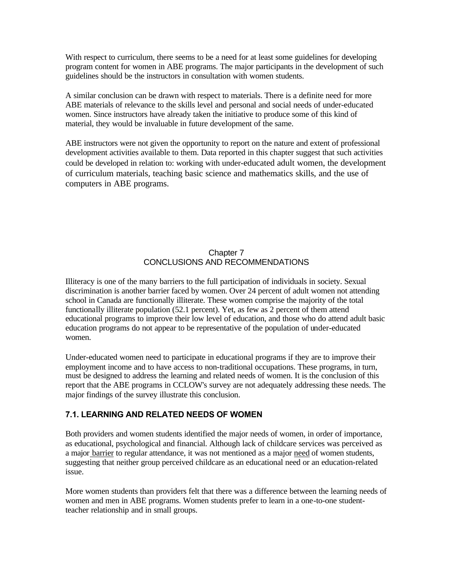With respect to curriculum, there seems to be a need for at least some guidelines for developing program content for women in ABE programs. The major participants in the development of such guidelines should be the instructors in consultation with women students.

A similar conclusion can be drawn with respect to materials. There is a definite need for more ABE materials of relevance to the skills level and personal and social needs of under-educated women. Since instructors have already taken the initiative to produce some of this kind of material, they would be invaluable in future development of the same.

ABE instructors were not given the opportunity to report on the nature and extent of professional development activities available to them. Data reported in this chapter suggest that such activities could be developed in relation to: working with under-educated adult women, the development of curriculum materials, teaching basic science and mathematics skills, and the use of computers in ABE programs.

#### Chapter 7 CONCLUSIONS AND RECOMMENDATIONS

Illiteracy is one of the many barriers to the full participation of individuals in society. Sexual discrimination is another barrier faced by women. Over 24 percent of adult women not attending school in Canada are functionally illiterate. These women comprise the majority of the total functionally illiterate population (52.1 percent). Yet, as few as 2 percent of them attend educational programs to improve their low level of education, and those who do attend adult basic education programs do not appear to be representative of the population of under-educated women.

Under-educated women need to participate in educational programs if they are to improve their employment income and to have access to non-traditional occupations. These programs, in turn, must be designed to address the learning and related needs of women. It is the conclusion of this report that the ABE programs in CCLOW's survey are not adequately addressing these needs. The major findings of the survey illustrate this conclusion.

#### **7.1. LEARNING AND RELATED NEEDS OF WOMEN**

Both providers and women students identified the major needs of women, in order of importance, as educational, psychological and financial. Although lack of childcare services was perceived as a major barrier to regular attendance, it was not mentioned as a major need of women students, suggesting that neither group perceived childcare as an educational need or an education-related issue.

More women students than providers felt that there was a difference between the learning needs of women and men in ABE programs. Women students prefer to learn in a one-to-one studentteacher relationship and in small groups.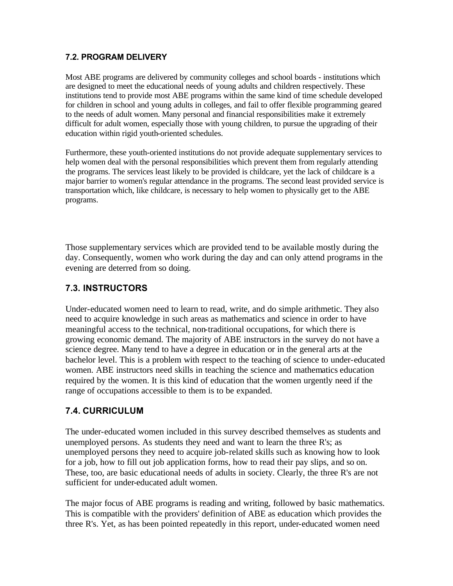### **7.2. PROGRAM DELIVERY**

Most ABE programs are delivered by community colleges and school boards - institutions which are designed to meet the educational needs of young adults and children respectively. These institutions tend to provide most ABE programs within the same kind of time schedule developed for children in school and young adults in colleges, and fail to offer flexible programming geared to the needs of adult women. Many personal and financial responsibilities make it extremely difficult for adult women, especially those with young children, to pursue the upgrading of their education within rigid youth-oriented schedules.

Furthermore, these youth-oriented institutions do not provide adequate supplementary services to help women deal with the personal responsibilities which prevent them from regularly attending the programs. The services least likely to be provided is childcare, yet the lack of childcare is a major barrier to women's regular attendance in the programs. The second least provided service is transportation which, like childcare, is necessary to help women to physically get to the ABE programs.

Those supplementary services which are provided tend to be available mostly during the day. Consequently, women who work during the day and can only attend programs in the evening are deterred from so doing.

## **7.3. INSTRUCTORS**

Under-educated women need to learn to read, write, and do simple arithmetic. They also need to acquire knowledge in such areas as mathematics and science in order to have meaningful access to the technical, non-traditional occupations, for which there is growing economic demand. The majority of ABE instructors in the survey do not have a science degree. Many tend to have a degree in education or in the general arts at the bachelor level. This is a problem with respect to the teaching of science to under-educated women. ABE instructors need skills in teaching the science and mathematics education required by the women. It is this kind of education that the women urgently need if the range of occupations accessible to them is to be expanded.

## **7.4. CURRICULUM**

The under-educated women included in this survey described themselves as students and unemployed persons. As students they need and want to learn the three R's; as unemployed persons they need to acquire job-related skills such as knowing how to look for a job, how to fill out job application forms, how to read their pay slips, and so on. These, too, are basic educational needs of adults in society. Clearly, the three R's are not sufficient for under-educated adult women.

The major focus of ABE programs is reading and writing, followed by basic mathematics. This is compatible with the providers' definition of ABE as education which provides the three R's. Yet, as has been pointed repeatedly in this report, under-educated women need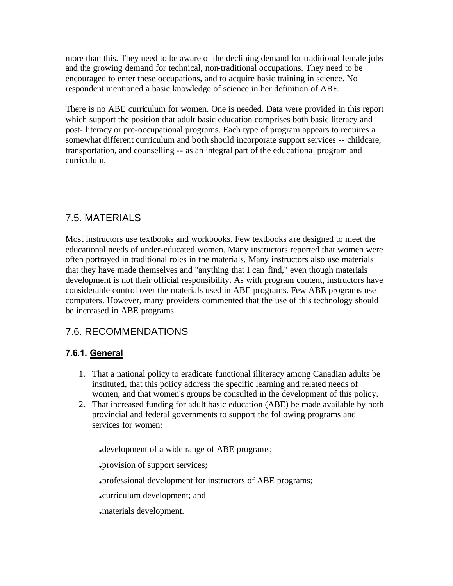more than this. They need to be aware of the declining demand for traditional female jobs and the growing demand for technical, non-traditional occupations. They need to be encouraged to enter these occupations, and to acquire basic training in science. No respondent mentioned a basic knowledge of science in her definition of ABE.

There is no ABE curriculum for women. One is needed. Data were provided in this report which support the position that adult basic education comprises both basic literacy and post- literacy or pre-occupational programs. Each type of program appears to requires a somewhat different curriculum and both should incorporate support services -- childcare, transportation, and counselling -- as an integral part of the educational program and curriculum.

## 7.5. MATERIALS

Most instructors use textbooks and workbooks. Few textbooks are designed to meet the educational needs of under-educated women. Many instructors reported that women were often portrayed in traditional roles in the materials. Many instructors also use materials that they have made themselves and "anything that I can find," even though materials development is not their official responsibility. As with program content, instructors have considerable control over the materials used in ABE programs. Few ABE programs use computers. However, many providers commented that the use of this technology should be increased in ABE programs.

## 7.6. RECOMMENDATIONS

## **7.6.1. General**

- 1. That a national policy to eradicate functional illiteracy among Canadian adults be instituted, that this policy address the specific learning and related needs of women, and that women's groups be consulted in the development of this policy.
- 2. That increased funding for adult basic education (ABE) be made available by both provincial and federal governments to support the following programs and services for women:

**.**development of a wide range of ABE programs;

**.**provision of support services;

**.**professional development for instructors of ABE programs;

**.**curriculum development; and

**.**materials development.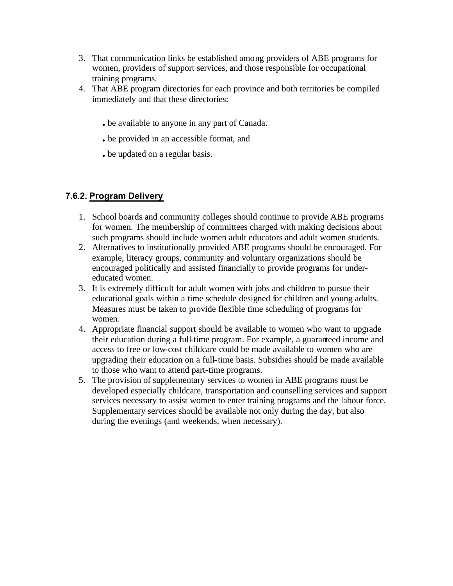- 3. That communication links be established among providers of ABE programs for women, providers of support services, and those responsible for occupational training programs.
- 4. That ABE program directories for each province and both territories be compiled immediately and that these directories:
	- **.** be available to anyone in any part of Canada.
	- **.** be provided in an accessible format, and
	- **.** be updated on a regular basis.

## **7.6.2. Program Delivery**

- 1. School boards and community colleges should continue to provide ABE programs for women. The membership of committees charged with making decisions about such programs should include women adult educators and adult women students.
- 2. Alternatives to institutionally provided ABE programs should be encouraged. For example, literacy groups, community and voluntary organizations should be encouraged politically and assisted financially to provide programs for undereducated women.
- 3. It is extremely difficult for adult women with jobs and children to pursue their educational goals within a time schedule designed for children and young adults. Measures must be taken to provide flexible time scheduling of programs for women.
- 4. Appropriate financial support should be available to women who want to upgrade their education during a full-time program. For example, a guaranteed income and access to free or low-cost childcare could be made available to women who are upgrading their education on a full-time basis. Subsidies should be made available to those who want to attend part-time programs.
- 5. The provision of supplementary services to women in ABE programs must be developed especially childcare, transportation and counselling services and support services necessary to assist women to enter training programs and the labour force. Supplementary services should be available not only during the day, but also during the evenings (and weekends, when necessary).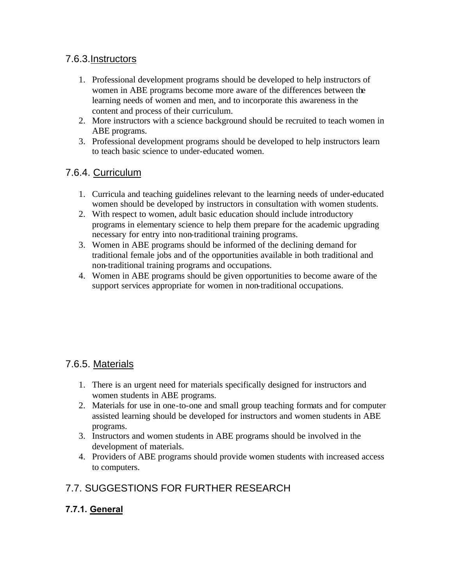## 7.6.3.Instructors

- 1. Professional development programs should be developed to help instructors of women in ABE programs become more aware of the differences between the learning needs of women and men, and to incorporate this awareness in the content and process of their curriculum.
- 2. More instructors with a science background should be recruited to teach women in ABE programs.
- 3. Professional development programs should be developed to help instructors learn to teach basic science to under-educated women.

## 7.6.4. Curriculum

- 1. Curricula and teaching guidelines relevant to the learning needs of under-educated women should be developed by instructors in consultation with women students.
- 2. With respect to women, adult basic education should include introductory programs in elementary science to help them prepare for the academic upgrading necessary for entry into non-traditional training programs.
- 3. Women in ABE programs should be informed of the declining demand for traditional female jobs and of the opportunities available in both traditional and non-traditional training programs and occupations.
- 4. Women in ABE programs should be given opportunities to become aware of the support services appropriate for women in non-traditional occupations.

## 7.6.5. Materials

- 1. There is an urgent need for materials specifically designed for instructors and women students in ABE programs.
- 2. Materials for use in one-to-one and small group teaching formats and for computer assisted learning should be developed for instructors and women students in ABE programs.
- 3. Instructors and women students in ABE programs should be involved in the development of materials.
- 4. Providers of ABE programs should provide women students with increased access to computers.

## 7.7. SUGGESTIONS FOR FURTHER RESEARCH

## **7.7.1. General**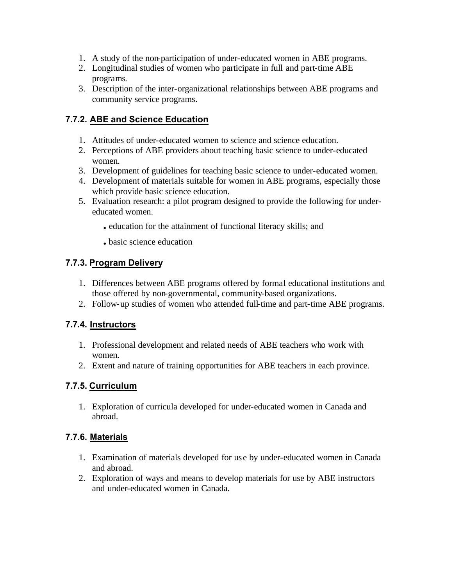- 1. A study of the non-participation of under-educated women in ABE programs.
- 2. Longitudinal studies of women who participate in full and part-time ABE programs.
- 3. Description of the inter-organizational relationships between ABE programs and community service programs.

## **7.7.2. ABE and Science Education**

- 1. Attitudes of under-educated women to science and science education.
- 2. Perceptions of ABE providers about teaching basic science to under-educated women.
- 3. Development of guidelines for teaching basic science to under-educated women.
- 4. Development of materials suitable for women in ABE programs, especially those which provide basic science education.
- 5. Evaluation research: a pilot program designed to provide the following for undereducated women.
	- **.** education for the attainment of functional literacy skills; and
	- **.** basic science education

## **7.7.3. Program Delivery**

- 1. Differences between ABE programs offered by formal educational institutions and those offered by non-governmental, community-based organizations.
- 2. Follow-up studies of women who attended full-time and part-time ABE programs.

## **7.7.4. Instructors**

- 1. Professional development and related needs of ABE teachers who work with women.
- 2. Extent and nature of training opportunities for ABE teachers in each province.

## **7.7.5. Curriculum**

1. Exploration of curricula developed for under-educated women in Canada and abroad.

## **7.7.6. Materials**

- 1. Examination of materials developed for us e by under-educated women in Canada and abroad.
- 2. Exploration of ways and means to develop materials for use by ABE instructors and under-educated women in Canada.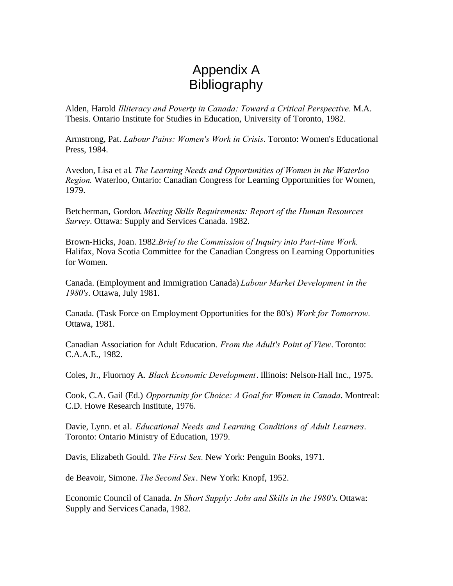# Appendix A Bibliography

Alden, Harold *Illiteracy and Poverty in Canada: Toward a Critical Perspective.* M.A. Thesis. Ontario Institute for Studies in Education, University of Toronto, 1982.

Armstrong, Pat. *Labour Pains: Women's Work in Crisis*. Toronto: Women's Educational Press, 1984.

Avedon, Lisa et al. *The Learning Needs and Opportunities of Women in the Waterloo Region.* Waterloo, Ontario: Canadian Congress for Learning Opportunities for Women, 1979.

Betcherman, Gordon. *Meeting Skills Requirements: Report of the Human Resources Survey*. Ottawa: Supply and Services Canada. 1982.

Brown-Hicks, Joan. 1982.*Brief to the Commission of Inquiry into Part-time Work.*  Halifax, Nova Scotia Committee for the Canadian Congress on Learning Opportunities for Women.

Canada. (Employment and Immigration Canada) *Labour Market Development in the 1980's*. Ottawa, July 1981.

Canada. (Task Force on Employment Opportunities for the 80's) *Work for Tomorrow.*  Ottawa, 1981.

Canadian Association for Adult Education. *From the Adult's Point of View*. Toronto: C.A.A.E., 1982.

Coles, Jr., Fluornoy A. *Black Economic Development*. Illinois: Nelson-Hall Inc., 1975.

Cook, C.A. Gail (Ed.) *Opportunity for Choice: A Goal for Women in Canada*. Montreal: C.D. Howe Research Institute, 1976.

Davie, Lynn. et al. *Educational Needs and Learning Conditions of Adult Learners*. Toronto: Ontario Ministry of Education, 1979.

Davis, Elizabeth Gould. *The First Sex.* New York: Penguin Books, 1971.

de Beavoir, Simone. *The Second Sex*. New York: Knopf, 1952.

Economic Council of Canada. *In Short Supply: Jobs and Skills in the 1980's*. Ottawa: Supply and Services Canada, 1982.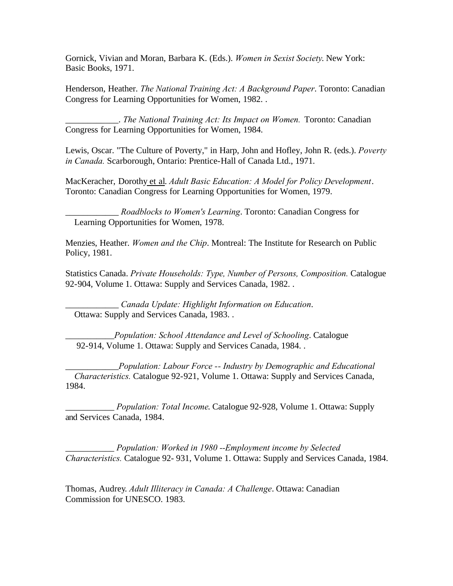Gornick, Vivian and Moran, Barbara K. (Eds.). *Women in Sexist Society*. New York: Basic Books, 1971.

Henderson, Heather. *The National Training Act: A Background Paper*. Toronto: Canadian Congress for Learning Opportunities for Women, 1982. .

\_\_\_\_\_\_\_\_\_\_\_\_. *The National Training Act: Its Impact on Women.* Toronto: Canadian Congress for Learning Opportunities for Women, 1984.

Lewis, Oscar. "The Culture of Poverty," in Harp, John and Hofley, John R. (eds.). *Poverty in Canada.* Scarborough, Ontario: Prentice-Hall of Canada Ltd., 1971.

MacKeracher, Dorothy et al. *Adult Basic Education: A Model for Policy Development*. Toronto: Canadian Congress for Learning Opportunities for Women, 1979.

\_\_\_\_\_\_\_\_\_\_\_\_ *Roadblocks to Women's Learning*. Toronto: Canadian Congress for Learning Opportunities for Women, 1978.

Menzies, Heather. *Women and the Chip*. Montreal: The Institute for Research on Public Policy, 1981.

Statistics Canada. *Private Households: Type, Number of Persons, Composition.* Catalogue 92-904, Volume 1. Ottawa: Supply and Services Canada, 1982. .

\_\_\_\_\_\_\_\_\_\_\_\_ *Canada Update: Highlight Information on Education*. Ottawa: Supply and Services Canada, 1983. .

\_\_\_\_\_\_\_\_\_\_\_*Population: School Attendance and Level of Schooling*. Catalogue 92-914, Volume 1. Ottawa: Supply and Services Canada, 1984. .

\_\_\_\_\_\_\_\_\_\_\_\_*Population: Labour Force -- Industry by Demographic and Educational Characteristics.* Catalogue 92-921, Volume 1. Ottawa: Supply and Services Canada, 1984.

\_\_\_\_\_\_\_\_\_\_\_ *Population: Total Income*. Catalogue 92-928, Volume 1. Ottawa: Supply and Services Canada, 1984.

\_\_\_\_\_\_\_\_\_\_\_ *Population: Worked in 1980 --Employment income by Selected Characteristics.* Catalogue 92- 931, Volume 1. Ottawa: Supply and Services Canada, 1984.

Thomas, Audrey. *Adult Illiteracy in Canada: A Challenge*. Ottawa: Canadian Commission for UNESCO. 1983.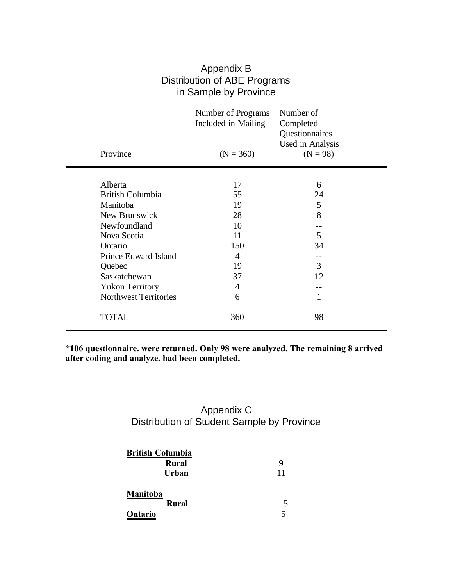| Appendix B                   |
|------------------------------|
| Distribution of ABE Programs |
| in Sample by Province        |

|                              | Number of Programs<br>Included in Mailing | Number of<br>Completed<br>Questionnaires<br>Used in Analysis |
|------------------------------|-------------------------------------------|--------------------------------------------------------------|
| Province                     | $(N = 360)$                               | $(N = 98)$                                                   |
|                              |                                           |                                                              |
| Alberta                      | 17                                        | 6                                                            |
| <b>British Columbia</b>      | 55                                        | 24                                                           |
| Manitoba                     | 19                                        | 5                                                            |
| New Brunswick                | 28                                        | 8                                                            |
| Newfoundland                 | 10                                        |                                                              |
| Nova Scotia                  | 11                                        | 5                                                            |
| Ontario                      | 150                                       | 34                                                           |
| Prince Edward Island         | $\overline{4}$                            |                                                              |
| Quebec                       | 19                                        | 3                                                            |
| Saskatchewan                 | 37                                        | 12                                                           |
| <b>Yukon Territory</b>       | 4                                         |                                                              |
| <b>Northwest Territories</b> | 6                                         | 1                                                            |
| <b>TOTAL</b>                 | 360                                       | 98                                                           |

**\*106 questionnaire. were returned. Only 98 were analyzed. The remaining 8 arrived after coding and analyze. had been completed.** 

## Appendix C Distribution of Student Sample by Province

| <b>British Columbia</b>             |                     |  |
|-------------------------------------|---------------------|--|
| <b>Rural</b>                        | 9                   |  |
| Urban                               | 11                  |  |
| Manitoba<br><b>Rural</b><br>Ontario | 5<br>$\overline{5}$ |  |